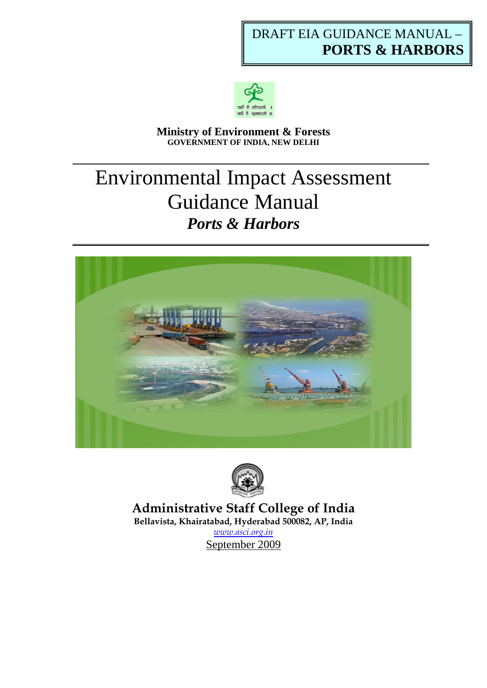# DRAFT EIA GUIDANCE MANUAL – **PORTS & HARBORS**



#### **Ministry of Environment & Forests GOVERNMENT OF INDIA, NEW DELHI**

# Environmental Impact Assessment Guidance Manual *Ports & Harbors*





**Administrative Staff College of India Bellavista, Khairatabad, Hyderabad 500082, AP, India** 

*[www.asci.org.in](http://www.asci.org.in/)*  September 2009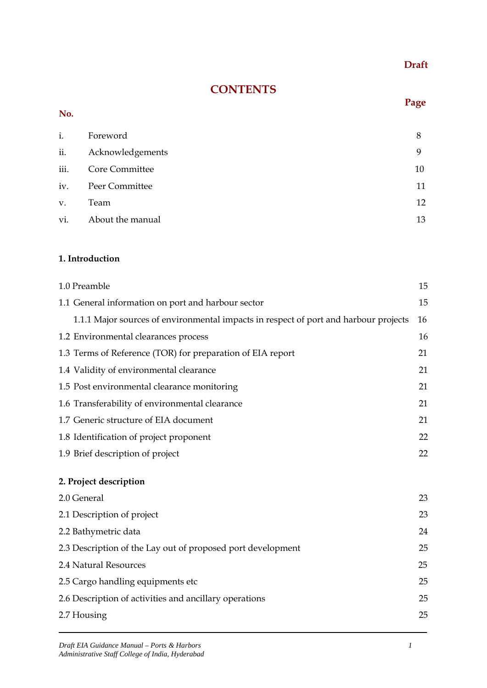## **Draft**

# **CONTENTS**

#### **No.**

#### **Page**

| i.             | Foreword              | 8  |
|----------------|-----------------------|----|
|                | ii. Acknowledgements  | Q  |
| iii.           | Core Committee        | 10 |
| iv.            | <b>Peer Committee</b> | 11 |
| V <sub>1</sub> | Team                  | 12 |
|                | vi. About the manual  | 13 |

#### **1. Introduction**

| 1.0 Preamble                                                                         | 15 |
|--------------------------------------------------------------------------------------|----|
| 1.1 General information on port and harbour sector                                   | 15 |
| 1.1.1 Major sources of environmental impacts in respect of port and harbour projects | 16 |
| 1.2 Environmental clearances process                                                 | 16 |
| 1.3 Terms of Reference (TOR) for preparation of EIA report                           | 21 |
| 1.4 Validity of environmental clearance                                              | 21 |
| 1.5 Post environmental clearance monitoring                                          | 21 |
| 1.6 Transferability of environmental clearance                                       | 21 |
| 1.7 Generic structure of EIA document                                                | 21 |
| 1.8 Identification of project proponent                                              | 22 |
| 1.9 Brief description of project                                                     | 22 |
|                                                                                      |    |
| 2. Project description                                                               |    |
| 2.0 General                                                                          | 23 |
| 2.1 Description of project                                                           | 23 |
| 2.2 Bathymetric data                                                                 | 24 |
| 2.3 Description of the Lay out of proposed port development                          | 25 |
| 2.4 Natural Resources                                                                | 25 |
| 2.5 Cargo handling equipments etc                                                    | 25 |
| 2.6 Description of activities and ancillary operations                               | 25 |
| 2.7 Housing                                                                          | 25 |
|                                                                                      |    |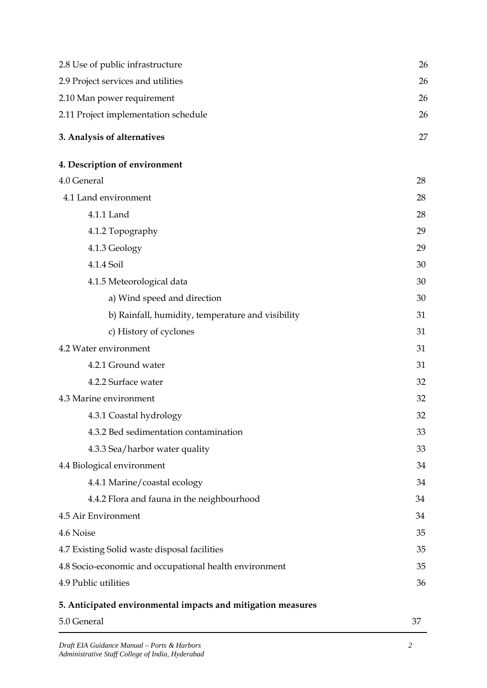| 2.8 Use of public infrastructure                             | 26 |
|--------------------------------------------------------------|----|
| 2.9 Project services and utilities                           | 26 |
| 2.10 Man power requirement                                   | 26 |
| 2.11 Project implementation schedule                         | 26 |
| 3. Analysis of alternatives                                  | 27 |
| 4. Description of environment                                |    |
| 4.0 General                                                  | 28 |
| 4.1 Land environment                                         | 28 |
| 4.1.1 Land                                                   | 28 |
| 4.1.2 Topography                                             | 29 |
| 4.1.3 Geology                                                | 29 |
| 4.1.4 Soil                                                   | 30 |
| 4.1.5 Meteorological data                                    | 30 |
| a) Wind speed and direction                                  | 30 |
| b) Rainfall, humidity, temperature and visibility            | 31 |
| c) History of cyclones                                       | 31 |
| 4.2 Water environment                                        | 31 |
| 4.2.1 Ground water                                           | 31 |
| 4.2.2 Surface water                                          | 32 |
| 4.3 Marine environment                                       | 32 |
| 4.3.1 Coastal hydrology                                      | 32 |
| 4.3.2 Bed sedimentation contamination                        | 33 |
| 4.3.3 Sea/harbor water quality                               | 33 |
| 4.4 Biological environment                                   | 34 |
| 4.4.1 Marine/coastal ecology                                 | 34 |
| 4.4.2 Flora and fauna in the neighbourhood                   | 34 |
| 4.5 Air Environment                                          | 34 |
| 4.6 Noise                                                    | 35 |
| 4.7 Existing Solid waste disposal facilities                 | 35 |
| 4.8 Socio-economic and occupational health environment       |    |
| 4.9 Public utilities                                         | 36 |
| 5. Anticipated environmental impacts and mitigation measures |    |
| 5.0 General                                                  | 37 |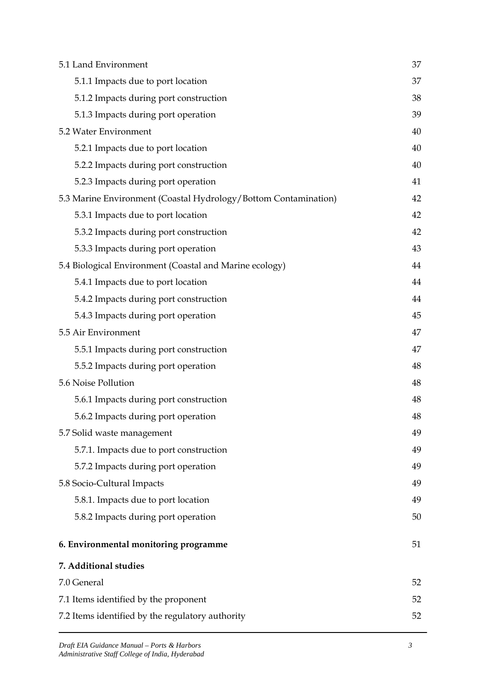| 5.1 Land Environment                                            | 37 |
|-----------------------------------------------------------------|----|
| 5.1.1 Impacts due to port location                              | 37 |
| 5.1.2 Impacts during port construction                          | 38 |
| 5.1.3 Impacts during port operation                             | 39 |
| 5.2 Water Environment                                           | 40 |
| 5.2.1 Impacts due to port location                              | 40 |
| 5.2.2 Impacts during port construction                          | 40 |
| 5.2.3 Impacts during port operation                             | 41 |
| 5.3 Marine Environment (Coastal Hydrology/Bottom Contamination) | 42 |
| 5.3.1 Impacts due to port location                              | 42 |
| 5.3.2 Impacts during port construction                          | 42 |
| 5.3.3 Impacts during port operation                             | 43 |
| 5.4 Biological Environment (Coastal and Marine ecology)         | 44 |
| 5.4.1 Impacts due to port location                              | 44 |
| 5.4.2 Impacts during port construction                          | 44 |
| 5.4.3 Impacts during port operation                             | 45 |
| 5.5 Air Environment                                             | 47 |
| 5.5.1 Impacts during port construction                          | 47 |
| 5.5.2 Impacts during port operation                             | 48 |
| 5.6 Noise Pollution                                             | 48 |
| 5.6.1 Impacts during port construction                          | 48 |
| 5.6.2 Impacts during port operation                             | 48 |
| 5.7 Solid waste management                                      | 49 |
| 5.7.1. Impacts due to port construction                         | 49 |
| 5.7.2 Impacts during port operation                             | 49 |
| 5.8 Socio-Cultural Impacts                                      | 49 |
| 5.8.1. Impacts due to port location                             | 49 |
| 5.8.2 Impacts during port operation                             | 50 |
| 6. Environmental monitoring programme                           | 51 |
| 7. Additional studies                                           |    |
| 7.0 General                                                     | 52 |
| 7.1 Items identified by the proponent                           | 52 |
| 7.2 Items identified by the regulatory authority                | 52 |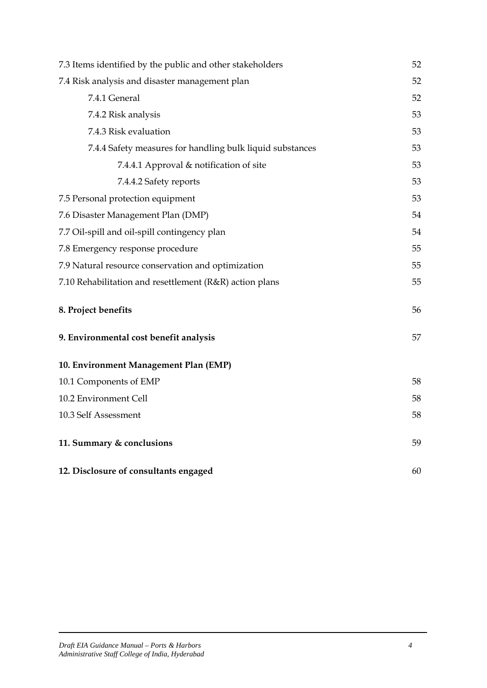| 7.3 Items identified by the public and other stakeholders | 52 |
|-----------------------------------------------------------|----|
| 7.4 Risk analysis and disaster management plan            | 52 |
| 7.4.1 General                                             | 52 |
| 7.4.2 Risk analysis                                       | 53 |
| 7.4.3 Risk evaluation                                     | 53 |
| 7.4.4 Safety measures for handling bulk liquid substances | 53 |
| 7.4.4.1 Approval & notification of site                   | 53 |
| 7.4.4.2 Safety reports                                    | 53 |
| 7.5 Personal protection equipment                         | 53 |
| 7.6 Disaster Management Plan (DMP)                        | 54 |
| 7.7 Oil-spill and oil-spill contingency plan              | 54 |
| 7.8 Emergency response procedure                          | 55 |
| 7.9 Natural resource conservation and optimization        | 55 |
| 7.10 Rehabilitation and resettlement (R&R) action plans   | 55 |
| 8. Project benefits                                       | 56 |
| 9. Environmental cost benefit analysis                    | 57 |
| 10. Environment Management Plan (EMP)                     |    |
| 10.1 Components of EMP                                    | 58 |
| 10.2 Environment Cell                                     | 58 |
| 10.3 Self Assessment                                      | 58 |
| 11. Summary & conclusions                                 | 59 |
| 12. Disclosure of consultants engaged                     | 60 |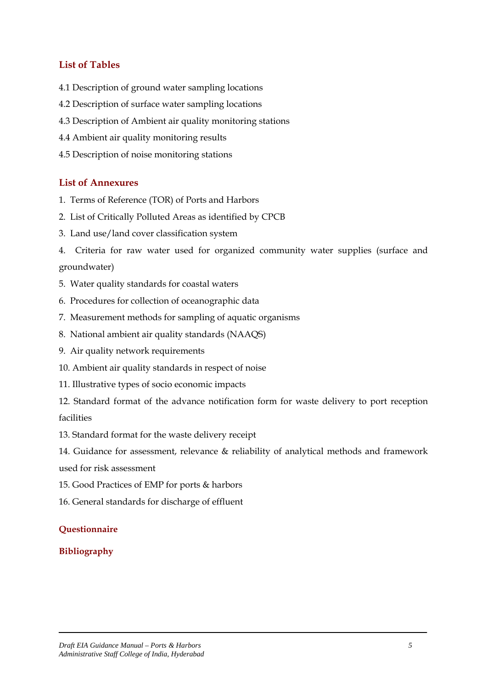### **List of Tables**

- 4.1 Description of ground water sampling locations
- 4.2 Description of surface water sampling locations
- 4.3 Description of Ambient air quality monitoring stations
- 4.4 Ambient air quality monitoring results
- 4.5 Description of noise monitoring stations

#### **List of Annexures**

- 1. Terms of Reference (TOR) of Ports and Harbors
- 2. List of Critically Polluted Areas as identified by CPCB
- 3. Land use/land cover classification system
- 4. Criteria for raw water used for organized community water supplies (surface and groundwater)
- 5. Water quality standards for coastal waters
- 6. Procedures for collection of oceanographic data
- 7. Measurement methods for sampling of aquatic organisms
- 8. National ambient air quality standards (NAAQS)
- 9. Air quality network requirements
- 10. Ambient air quality standards in respect of noise
- 11. Illustrative types of socio economic impacts
- 12. Standard format of the advance notification form for waste delivery to port reception facilities
- 13. Standard format for the waste delivery receipt
- 14. Guidance for assessment, relevance & reliability of analytical methods and framework used for risk assessment
- 15. Good Practices of EMP for ports & harbors
- 16. General standards for discharge of effluent

#### **Questionnaire**

#### **Bibliography**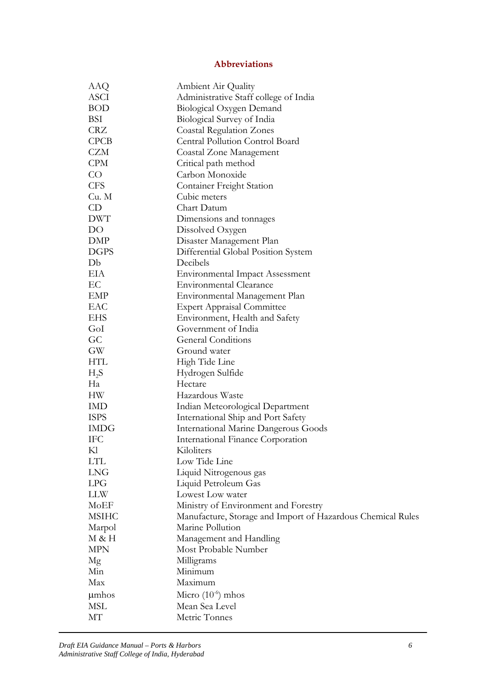### **Abbreviations**

| AAQ          | <b>Ambient Air Quality</b>                                  |
|--------------|-------------------------------------------------------------|
| ASCI         | Administrative Staff college of India                       |
| <b>BOD</b>   | Biological Oxygen Demand                                    |
| BSI          | Biological Survey of India                                  |
| <b>CRZ</b>   | <b>Coastal Regulation Zones</b>                             |
| CPCB         | Central Pollution Control Board                             |
| CZM          | Coastal Zone Management                                     |
| <b>CPM</b>   | Critical path method                                        |
| CO           | Carbon Monoxide                                             |
| <b>CFS</b>   | <b>Container Freight Station</b>                            |
| Cu. M        | Cubic meters                                                |
| CD           | Chart Datum                                                 |
| <b>DWT</b>   | Dimensions and tonnages                                     |
| DO           | Dissolved Oxygen                                            |
| DMP          | Disaster Management Plan                                    |
| <b>DGPS</b>  | Differential Global Position System                         |
| Db           | Decibels                                                    |
| EІА          | <b>Environmental Impact Assessment</b>                      |
| EC           | Environmental Clearance                                     |
| EMP          | Environmental Management Plan                               |
| EAC          | <b>Expert Appraisal Committee</b>                           |
| <b>EHS</b>   | Environment, Health and Safety                              |
| GoI          | Government of India                                         |
| GC           | <b>General Conditions</b>                                   |
| GW           | Ground water                                                |
| <b>HTL</b>   | High Tide Line                                              |
| $H_2S$       | Hydrogen Sulfide                                            |
| Ha           | Hectare                                                     |
| HW           | Hazardous Waste                                             |
| IMD          | Indian Meteorological Department                            |
| <b>ISPS</b>  | International Ship and Port Safety                          |
| <b>IMDG</b>  | <b>International Marine Dangerous Goods</b>                 |
| IFC          | International Finance Corporation                           |
| Kl           | Kiloliters                                                  |
| LTL          | Low Tide Line                                               |
| <b>LNG</b>   | Liquid Nitrogenous gas                                      |
| <b>LPG</b>   | Liquid Petroleum Gas                                        |
| LLW          | Lowest Low water                                            |
| MoEF         | Ministry of Environment and Forestry                        |
| <b>MSIHC</b> | Manufacture, Storage and Import of Hazardous Chemical Rules |
| Marpol       | Marine Pollution                                            |
| M & H        | Management and Handling                                     |
| <b>MPN</b>   | Most Probable Number                                        |
| Mg           | Milligrams                                                  |
| Min          | Minimum                                                     |
| Max          | Maximum                                                     |
| umhos        | Micro $(10^{-6})$ mhos                                      |
| MSL          | Mean Sea Level                                              |
| МT           | Metric Tonnes                                               |
|              |                                                             |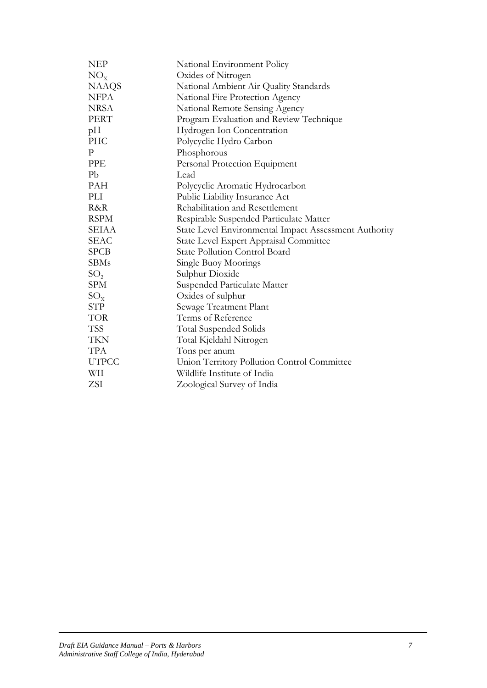| <b>NEP</b>      | National Environment Policy                           |  |
|-----------------|-------------------------------------------------------|--|
| $NO_{x}$        | Oxides of Nitrogen                                    |  |
| <b>NAAQS</b>    | National Ambient Air Quality Standards                |  |
| <b>NFPA</b>     | National Fire Protection Agency                       |  |
| <b>NRSA</b>     | National Remote Sensing Agency                        |  |
| <b>PERT</b>     | Program Evaluation and Review Technique               |  |
| pH              | Hydrogen Ion Concentration                            |  |
| <b>PHC</b>      | Polycyclic Hydro Carbon                               |  |
| P               | Phosphorous                                           |  |
| PPE             | Personal Protection Equipment                         |  |
| Pb              | Lead                                                  |  |
| <b>PAH</b>      | Polycyclic Aromatic Hydrocarbon                       |  |
| PLI             | Public Liability Insurance Act                        |  |
| R&R             | Rehabilitation and Resettlement                       |  |
| <b>RSPM</b>     | Respirable Suspended Particulate Matter               |  |
| <b>SEIAA</b>    | State Level Environmental Impact Assessment Authority |  |
| SEAC            | State Level Expert Appraisal Committee                |  |
| <b>SPCB</b>     | <b>State Pollution Control Board</b>                  |  |
| <b>SBMs</b>     | Single Buoy Moorings                                  |  |
| SO <sub>2</sub> | Sulphur Dioxide                                       |  |
| <b>SPM</b>      | Suspended Particulate Matter                          |  |
| $SO_{x}$        | Oxides of sulphur                                     |  |
| <b>STP</b>      | Sewage Treatment Plant                                |  |
| <b>TOR</b>      | Terms of Reference                                    |  |
| <b>TSS</b>      | <b>Total Suspended Solids</b>                         |  |
| <b>TKN</b>      | Total Kjeldahl Nitrogen                               |  |
| <b>TPA</b>      | Tons per anum                                         |  |
| <b>UTPCC</b>    | Union Territory Pollution Control Committee           |  |
| WII             | Wildlife Institute of India                           |  |
| ZSI             | Zoological Survey of India                            |  |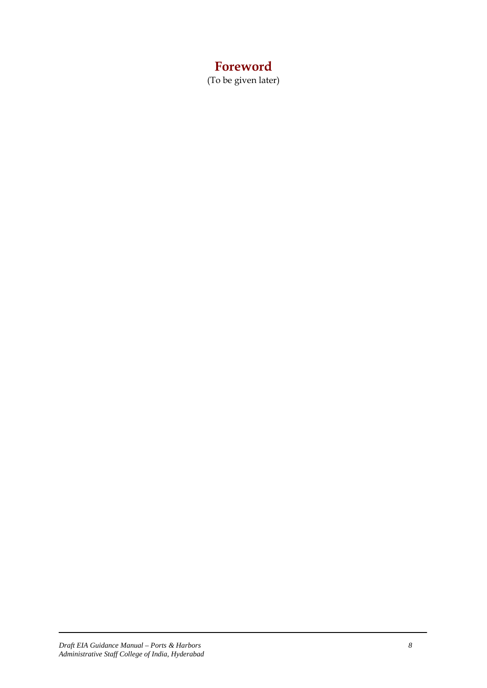# **Foreword**

(To be given later)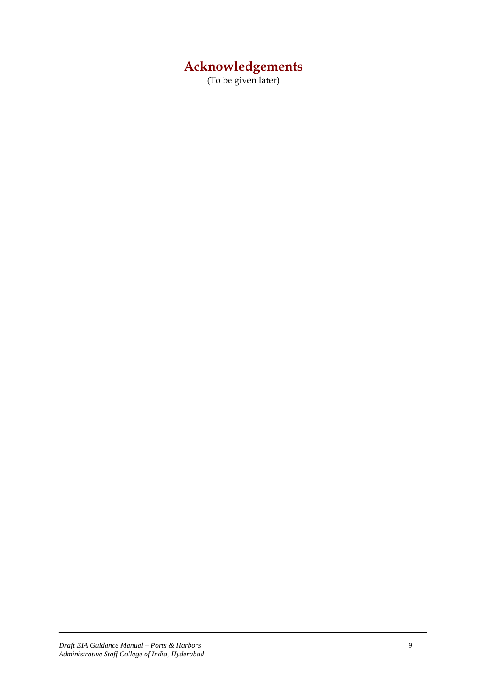# **Acknowledgements**

(To be given later)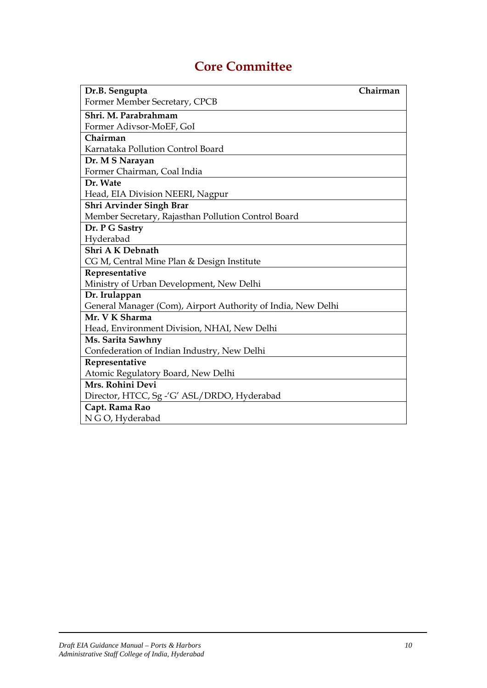# **Core Committee**

| Dr.B. Sengupta                                               | Chairman |
|--------------------------------------------------------------|----------|
| Former Member Secretary, CPCB                                |          |
| Shri. M. Parabrahmam                                         |          |
| Former Adivsor-MoEF, GoI                                     |          |
| Chairman                                                     |          |
| Karnataka Pollution Control Board                            |          |
| Dr. M S Narayan                                              |          |
| Former Chairman, Coal India                                  |          |
| Dr. Wate                                                     |          |
| Head, EIA Division NEERI, Nagpur                             |          |
| Shri Arvinder Singh Brar                                     |          |
| Member Secretary, Rajasthan Pollution Control Board          |          |
| Dr. P G Sastry                                               |          |
| Hyderabad                                                    |          |
| Shri A K Debnath                                             |          |
| CG M, Central Mine Plan & Design Institute                   |          |
| Representative                                               |          |
| Ministry of Urban Development, New Delhi                     |          |
| Dr. Irulappan                                                |          |
| General Manager (Com), Airport Authority of India, New Delhi |          |
| Mr. V K Sharma                                               |          |
| Head, Environment Division, NHAI, New Delhi                  |          |
| Ms. Sarita Sawhny                                            |          |
| Confederation of Indian Industry, New Delhi                  |          |
| Representative                                               |          |
| Atomic Regulatory Board, New Delhi                           |          |
| Mrs. Rohini Devi                                             |          |
| Director, HTCC, Sg -'G' ASL/DRDO, Hyderabad                  |          |
| Capt. Rama Rao                                               |          |
| N G O, Hyderabad                                             |          |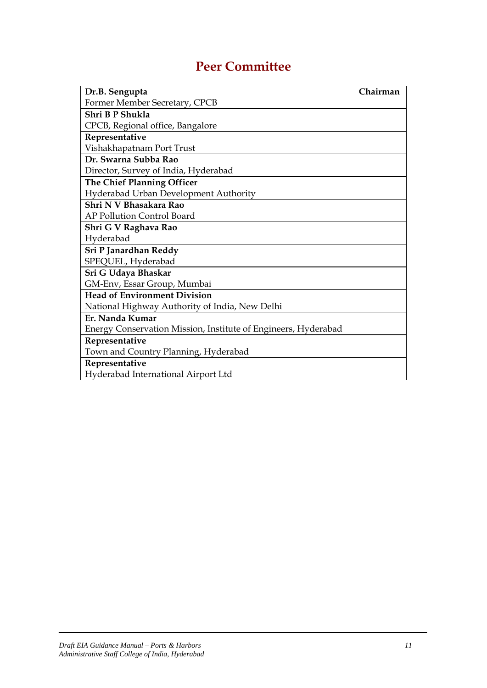# **Peer Committee**

| Dr.B. Sengupta                                                 | Chairman |
|----------------------------------------------------------------|----------|
| Former Member Secretary, CPCB                                  |          |
| Shri B P Shukla                                                |          |
| CPCB, Regional office, Bangalore                               |          |
| Representative                                                 |          |
| Vishakhapatnam Port Trust                                      |          |
| Dr. Swarna Subba Rao                                           |          |
| Director, Survey of India, Hyderabad                           |          |
| The Chief Planning Officer                                     |          |
| Hyderabad Urban Development Authority                          |          |
| Shri N V Bhasakara Rao                                         |          |
| AP Pollution Control Board                                     |          |
| Shri G V Raghava Rao                                           |          |
| Hyderabad                                                      |          |
| Sri P Janardhan Reddy                                          |          |
| SPEQUEL, Hyderabad                                             |          |
| Sri G Udaya Bhaskar                                            |          |
| GM-Env, Essar Group, Mumbai                                    |          |
| <b>Head of Environment Division</b>                            |          |
| National Highway Authority of India, New Delhi                 |          |
| Er. Nanda Kumar                                                |          |
| Energy Conservation Mission, Institute of Engineers, Hyderabad |          |
| Representative                                                 |          |
| Town and Country Planning, Hyderabad                           |          |
| Representative                                                 |          |
| Hyderabad International Airport Ltd                            |          |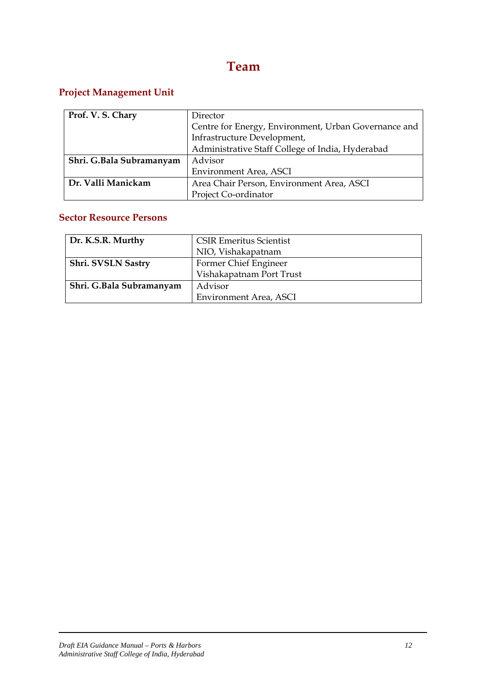# **Team**

# **Project Management Unit**

| Prof. V. S. Chary        |                                                      |  |  |
|--------------------------|------------------------------------------------------|--|--|
|                          | Director                                             |  |  |
|                          | Centre for Energy, Environment, Urban Governance and |  |  |
|                          | Infrastructure Development,                          |  |  |
|                          | Administrative Staff College of India, Hyderabad     |  |  |
| Shri. G.Bala Subramanyam | Advisor                                              |  |  |
|                          | Environment Area, ASCI                               |  |  |
| Dr. Valli Manickam       | Area Chair Person, Environment Area, ASCI            |  |  |
|                          | Project Co-ordinator                                 |  |  |

#### **Sector Resource Persons**

| Dr. K.S.R. Murthy        | <b>CSIR Emeritus Scientist</b> |  |  |
|--------------------------|--------------------------------|--|--|
|                          | NIO, Vishakapatnam             |  |  |
| Shri. SVSLN Sastry       | Former Chief Engineer          |  |  |
|                          | Vishakapatnam Port Trust       |  |  |
| Shri. G.Bala Subramanyam | Advisor                        |  |  |
|                          | Environment Area, ASCI         |  |  |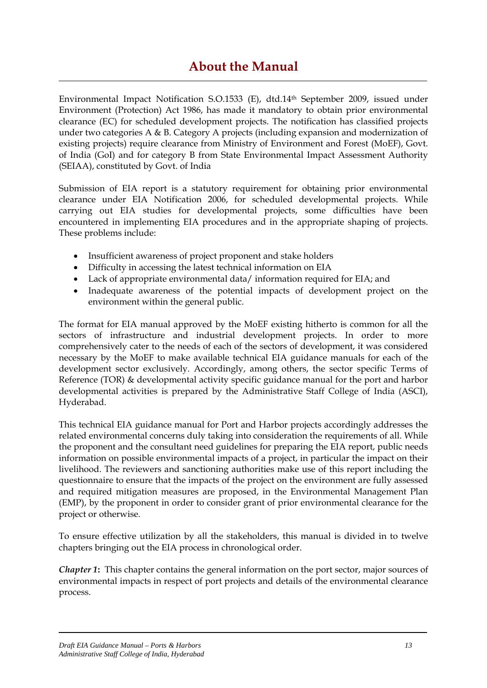# **About the Manual**

Environmental Impact Notification S.O.1533 (E), dtd.14th September 2009, issued under Environment (Protection) Act 1986, has made it mandatory to obtain prior environmental clearance (EC) for scheduled development projects. The notification has classified projects under two categories A & B. Category A projects (including expansion and modernization of existing projects) require clearance from Ministry of Environment and Forest (MoEF), Govt. of India (GoI) and for category B from State Environmental Impact Assessment Authority (SEIAA), constituted by Govt. of India

Submission of EIA report is a statutory requirement for obtaining prior environmental clearance under EIA Notification 2006, for scheduled developmental projects. While carrying out EIA studies for developmental projects, some difficulties have been encountered in implementing EIA procedures and in the appropriate shaping of projects. These problems include:

- Insufficient awareness of project proponent and stake holders
- Difficulty in accessing the latest technical information on EIA
- Lack of appropriate environmental data/ information required for EIA; and
- Inadequate awareness of the potential impacts of development project on the environment within the general public.

The format for EIA manual approved by the MoEF existing hitherto is common for all the sectors of infrastructure and industrial development projects. In order to more comprehensively cater to the needs of each of the sectors of development, it was considered necessary by the MoEF to make available technical EIA guidance manuals for each of the development sector exclusively. Accordingly, among others, the sector specific Terms of Reference (TOR) & developmental activity specific guidance manual for the port and harbor developmental activities is prepared by the Administrative Staff College of India (ASCI), Hyderabad.

This technical EIA guidance manual for Port and Harbor projects accordingly addresses the related environmental concerns duly taking into consideration the requirements of all. While the proponent and the consultant need guidelines for preparing the EIA report, public needs information on possible environmental impacts of a project, in particular the impact on their livelihood. The reviewers and sanctioning authorities make use of this report including the questionnaire to ensure that the impacts of the project on the environment are fully assessed and required mitigation measures are proposed, in the Environmental Management Plan (EMP), by the proponent in order to consider grant of prior environmental clearance for the project or otherwise.

To ensure effective utilization by all the stakeholders, this manual is divided in to twelve chapters bringing out the EIA process in chronological order.

*Chapter 1***:** This chapter contains the general information on the port sector, major sources of environmental impacts in respect of port projects and details of the environmental clearance process.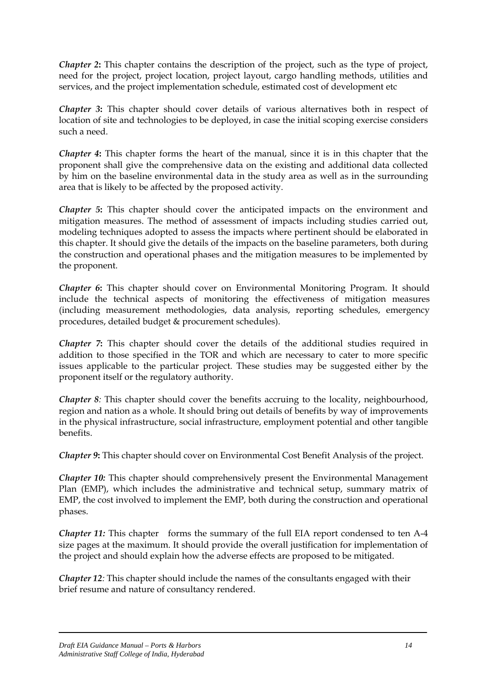*Chapter 2***:** This chapter contains the description of the project, such as the type of project, need for the project, project location, project layout, cargo handling methods, utilities and services, and the project implementation schedule, estimated cost of development etc

*Chapter 3***:** This chapter should cover details of various alternatives both in respect of location of site and technologies to be deployed, in case the initial scoping exercise considers such a need.

*Chapter 4***:** This chapter forms the heart of the manual, since it is in this chapter that the proponent shall give the comprehensive data on the existing and additional data collected by him on the baseline environmental data in the study area as well as in the surrounding area that is likely to be affected by the proposed activity.

*Chapter 5***:** This chapter should cover the anticipated impacts on the environment and mitigation measures. The method of assessment of impacts including studies carried out, modeling techniques adopted to assess the impacts where pertinent should be elaborated in this chapter. It should give the details of the impacts on the baseline parameters, both during the construction and operational phases and the mitigation measures to be implemented by the proponent.

*Chapter 6***:** This chapter should cover on Environmental Monitoring Program. It should include the technical aspects of monitoring the effectiveness of mitigation measures (including measurement methodologies, data analysis, reporting schedules, emergency procedures, detailed budget & procurement schedules).

*Chapter 7***:** This chapter should cover the details of the additional studies required in addition to those specified in the TOR and which are necessary to cater to more specific issues applicable to the particular project. These studies may be suggested either by the proponent itself or the regulatory authority.

*Chapter 8:* This chapter should cover the benefits accruing to the locality, neighbourhood, region and nation as a whole. It should bring out details of benefits by way of improvements in the physical infrastructure, social infrastructure, employment potential and other tangible benefits.

*Chapter 9***:** This chapter should cover on Environmental Cost Benefit Analysis of the project.

*Chapter 10:* This chapter should comprehensively present the Environmental Management Plan (EMP), which includes the administrative and technical setup, summary matrix of EMP, the cost involved to implement the EMP, both during the construction and operational phases.

*Chapter 11:* This chapter forms the summary of the full EIA report condensed to ten A-4 size pages at the maximum. It should provide the overall justification for implementation of the project and should explain how the adverse effects are proposed to be mitigated.

*Chapter 12:* This chapter should include the names of the consultants engaged with their brief resume and nature of consultancy rendered.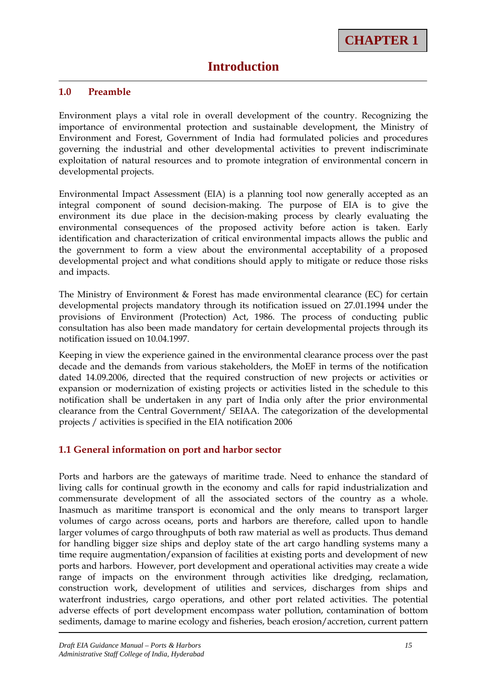#### **1.0 Preamble**

Environment plays a vital role in overall development of the country. Recognizing the importance of environmental protection and sustainable development, the Ministry of Environment and Forest, Government of India had formulated policies and procedures governing the industrial and other developmental activities to prevent indiscriminate exploitation of natural resources and to promote integration of environmental concern in developmental projects.

Environmental Impact Assessment (EIA) is a planning tool now generally accepted as an integral component of sound decision-making. The purpose of EIA is to give the environment its due place in the decision-making process by clearly evaluating the environmental consequences of the proposed activity before action is taken. Early identification and characterization of critical environmental impacts allows the public and the government to form a view about the environmental acceptability of a proposed developmental project and what conditions should apply to mitigate or reduce those risks and impacts.

The Ministry of Environment & Forest has made environmental clearance (EC) for certain developmental projects mandatory through its notification issued on 27.01.1994 under the provisions of Environment (Protection) Act, 1986. The process of conducting public consultation has also been made mandatory for certain developmental projects through its notification issued on 10.04.1997.

Keeping in view the experience gained in the environmental clearance process over the past decade and the demands from various stakeholders, the MoEF in terms of the notification dated 14.09.2006, directed that the required construction of new projects or activities or expansion or modernization of existing projects or activities listed in the schedule to this notification shall be undertaken in any part of India only after the prior environmental clearance from the Central Government/ SEIAA. The categorization of the developmental projects / activities is specified in the EIA notification 2006

#### **1.1 General information on port and harbor sector**

Ports and harbors are the gateways of maritime trade. Need to enhance the standard of living calls for continual growth in the economy and calls for rapid industrialization and commensurate development of all the associated sectors of the country as a whole. Inasmuch as maritime transport is economical and the only means to transport larger volumes of cargo across oceans, ports and harbors are therefore, called upon to handle larger volumes of cargo throughputs of both raw material as well as products. Thus demand for handling bigger size ships and deploy state of the art cargo handling systems many a time require augmentation/expansion of facilities at existing ports and development of new ports and harbors. However, port development and operational activities may create a wide range of impacts on the environment through activities like dredging, reclamation, construction work, development of utilities and services, discharges from ships and waterfront industries, cargo operations, and other port related activities. The potential adverse effects of port development encompass water pollution, contamination of bottom sediments, damage to marine ecology and fisheries, beach erosion/accretion, current pattern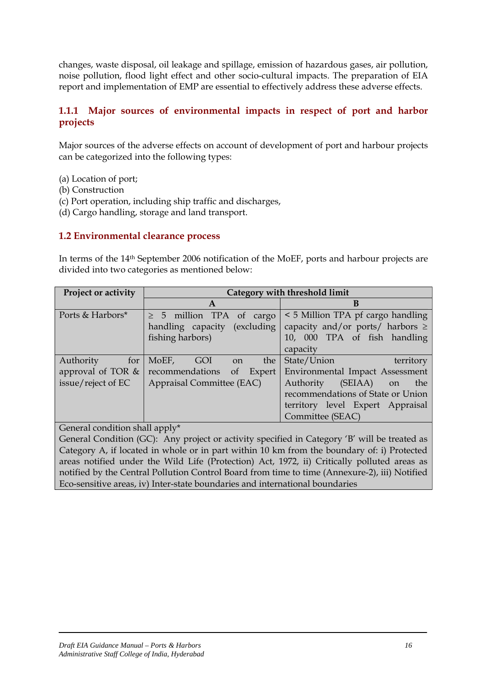changes, waste disposal, oil leakage and spillage, emission of hazardous gases, air pollution, noise pollution, flood light effect and other socio-cultural impacts. The preparation of EIA report and implementation of EMP are essential to effectively address these adverse effects.

#### **1.1.1 Major sources of environmental impacts in respect of port and harbor projects**

Major sources of the adverse effects on account of development of port and harbour projects can be categorized into the following types:

- (a) Location of port;
- (b) Construction
- (c) Port operation, including ship traffic and discharges,
- (d) Cargo handling, storage and land transport.

#### **1.2 Environmental clearance process**

In terms of the 14th September 2006 notification of the MoEF, ports and harbour projects are divided into two categories as mentioned below:

| Project or activity | Category with threshold limit |                                             |
|---------------------|-------------------------------|---------------------------------------------|
|                     | A                             | B                                           |
| Ports & Harbors*    | $\geq$ 5 million TPA of cargo | < 5 Million TPA pf cargo handling           |
|                     | handling capacity (excluding  | capacity and/or ports/ harbors $\geq$       |
|                     | fishing harbors)              | 10, 000 TPA of fish handling                |
|                     |                               | capacity                                    |
| Authority<br>for    | MoEF, GOI on<br>the           | State/Union<br>territory                    |
| approval of TOR $&$ | recommendations               | of Expert   Environmental Impact Assessment |
| issue/reject of EC  | Appraisal Committee (EAC)     | $(SEIAA)$ on<br>Authority<br>the            |
|                     |                               | recommendations of State or Union           |
|                     |                               | territory level Expert Appraisal            |
|                     |                               | Committee (SEAC)                            |

General condition shall apply\*

General Condition (GC): Any project or activity specified in Category 'B' will be treated as Category A, if located in whole or in part within 10 km from the boundary of: i) Protected areas notified under the Wild Life (Protection) Act, 1972, ii) Critically polluted areas as notified by the Central Pollution Control Board from time to time (Annexure-2), iii) Notified Eco-sensitive areas, iv) Inter-state boundaries and international boundaries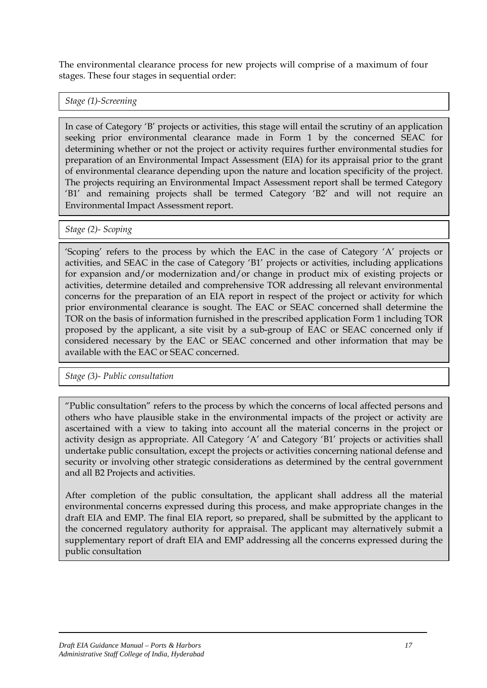The environmental clearance process for new projects will comprise of a maximum of four stages. These four stages in sequential order:

*Stage (1)-Screening* 

In case of Category 'B' projects or activities, this stage will entail the scrutiny of an application seeking prior environmental clearance made in Form 1 by the concerned SEAC for determining whether or not the project or activity requires further environmental studies for preparation of an Environmental Impact Assessment (EIA) for its appraisal prior to the grant of environmental clearance depending upon the nature and location specificity of the project. The projects requiring an Environmental Impact Assessment report shall be termed Category 'B1' and remaining projects shall be termed Category 'B2' and will not require an Environmental Impact Assessment report.

*Stage (2)- Scoping*

'Scoping' refers to the process by which the EAC in the case of Category 'A' projects or activities, and SEAC in the case of Category 'B1' projects or activities, including applications for expansion and/or modernization and/or change in product mix of existing projects or activities, determine detailed and comprehensive TOR addressing all relevant environmental concerns for the preparation of an EIA report in respect of the project or activity for which prior environmental clearance is sought. The EAC or SEAC concerned shall determine the TOR on the basis of information furnished in the prescribed application Form 1 including TOR proposed by the applicant, a site visit by a sub-group of EAC or SEAC concerned only if considered necessary by the EAC or SEAC concerned and other information that may be available with the EAC or SEAC concerned.

*Stage (3)- Public consultation*

"Public consultation" refers to the process by which the concerns of local affected persons and others who have plausible stake in the environmental impacts of the project or activity are ascertained with a view to taking into account all the material concerns in the project or activity design as appropriate. All Category 'A' and Category 'B1' projects or activities shall undertake public consultation, except the projects or activities concerning national defense and security or involving other strategic considerations as determined by the central government and all B2 Projects and activities.

After completion of the public consultation, the applicant shall address all the material environmental concerns expressed during this process, and make appropriate changes in the draft EIA and EMP. The final EIA report, so prepared, shall be submitted by the applicant to the concerned regulatory authority for appraisal. The applicant may alternatively submit a supplementary report of draft EIA and EMP addressing all the concerns expressed during the public consultation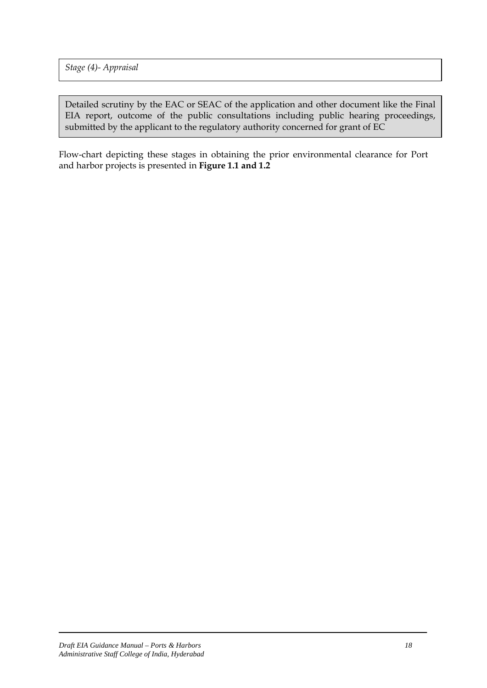*Stage (4)- Appraisal*

Detailed scrutiny by the EAC or SEAC of the application and other document like the Final EIA report, outcome of the public consultations including public hearing proceedings, submitted by the applicant to the regulatory authority concerned for grant of EC

Flow-chart depicting these stages in obtaining the prior environmental clearance for Port and harbor projects is presented in **Figure 1.1 and 1.2**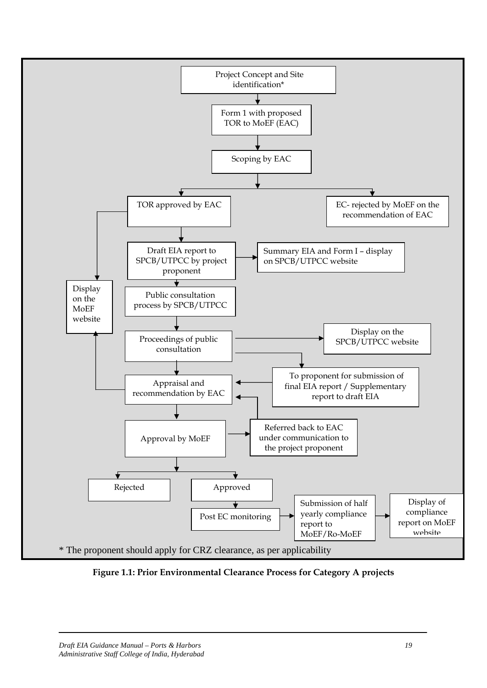

**Figure 1.1: Prior Environmental Clearance Process for Category A projects**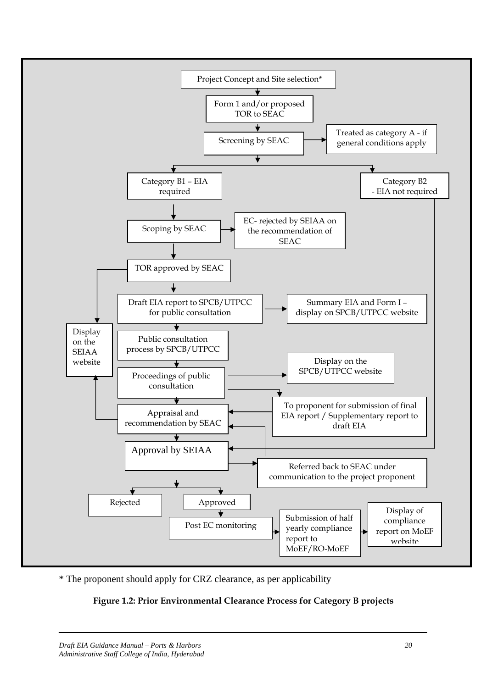

\* The proponent should apply for CRZ clearance, as per applicability

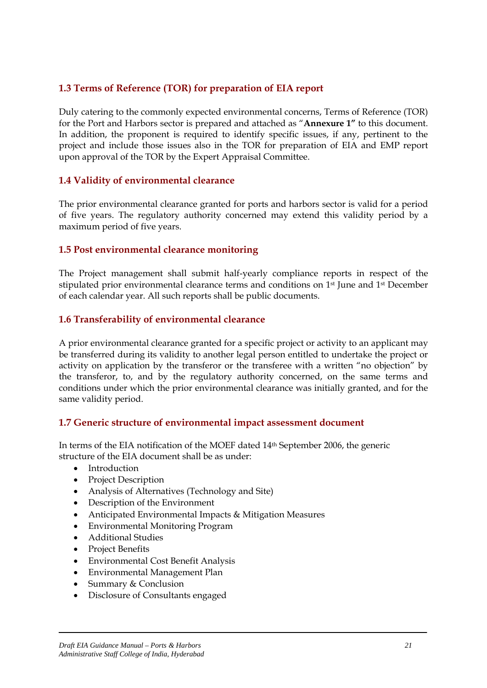### **1.3 Terms of Reference (TOR) for preparation of EIA report**

Duly catering to the commonly expected environmental concerns, Terms of Reference (TOR) for the Port and Harbors sector is prepared and attached as "**Annexure 1"** to this document. In addition, the proponent is required to identify specific issues, if any, pertinent to the project and include those issues also in the TOR for preparation of EIA and EMP report upon approval of the TOR by the Expert Appraisal Committee.

#### **1.4 Validity of environmental clearance**

The prior environmental clearance granted for ports and harbors sector is valid for a period of five years. The regulatory authority concerned may extend this validity period by a maximum period of five years.

#### **1.5 Post environmental clearance monitoring**

The Project management shall submit half-yearly compliance reports in respect of the stipulated prior environmental clearance terms and conditions on 1st June and 1st December of each calendar year. All such reports shall be public documents.

#### **1.6 Transferability of environmental clearance**

A prior environmental clearance granted for a specific project or activity to an applicant may be transferred during its validity to another legal person entitled to undertake the project or activity on application by the transferor or the transferee with a written "no objection" by the transferor, to, and by the regulatory authority concerned, on the same terms and conditions under which the prior environmental clearance was initially granted, and for the same validity period.

#### **1.7 Generic structure of environmental impact assessment document**

In terms of the EIA notification of the MOEF dated 14th September 2006, the generic structure of the EIA document shall be as under:

- **Introduction**
- Project Description
- Analysis of Alternatives (Technology and Site)
- Description of the Environment
- Anticipated Environmental Impacts & Mitigation Measures
- Environmental Monitoring Program
- Additional Studies
- Project Benefits
- Environmental Cost Benefit Analysis
- Environmental Management Plan
- Summary & Conclusion
- Disclosure of Consultants engaged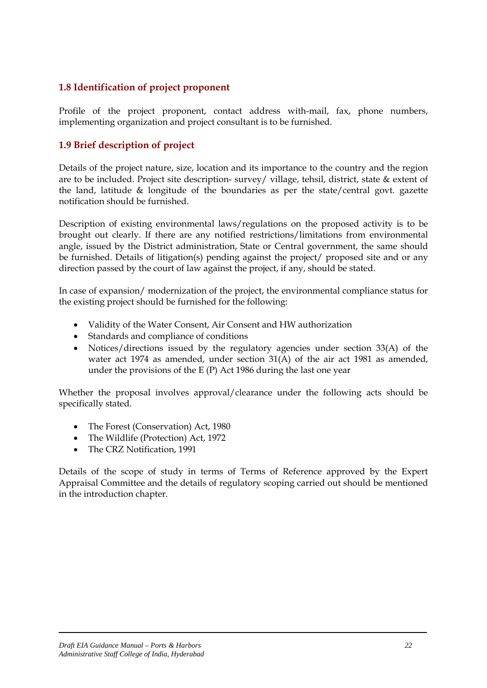#### **1.8 Identification of project proponent**

Profile of the project proponent, contact address with-mail, fax, phone numbers, implementing organization and project consultant is to be furnished.

#### **1.9 Brief description of project**

Details of the project nature, size, location and its importance to the country and the region are to be included. Project site description- survey/ village, tehsil, district, state & extent of the land, latitude & longitude of the boundaries as per the state/central govt. gazette notification should be furnished.

Description of existing environmental laws/regulations on the proposed activity is to be brought out clearly. If there are any notified restrictions/limitations from environmental angle, issued by the District administration, State or Central government, the same should be furnished. Details of litigation(s) pending against the project/ proposed site and or any direction passed by the court of law against the project, if any, should be stated.

In case of expansion/ modernization of the project, the environmental compliance status for the existing project should be furnished for the following:

- Validity of the Water Consent, Air Consent and HW authorization
- Standards and compliance of conditions
- Notices/directions issued by the regulatory agencies under section 33(A) of the water act 1974 as amended, under section 31(A) of the air act 1981 as amended, under the provisions of the E (P) Act 1986 during the last one year

Whether the proposal involves approval/clearance under the following acts should be specifically stated.

- The Forest (Conservation) Act, 1980
- The Wildlife (Protection) Act, 1972
- The CRZ Notification, 1991

Details of the scope of study in terms of Terms of Reference approved by the Expert Appraisal Committee and the details of regulatory scoping carried out should be mentioned in the introduction chapter.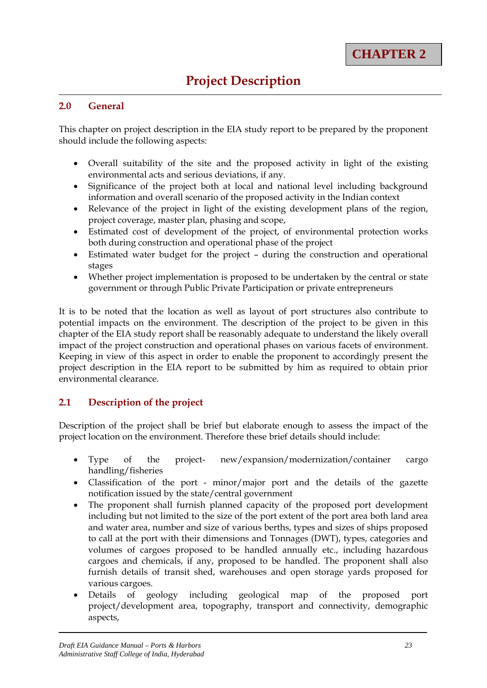#### **2.0 General**

This chapter on project description in the EIA study report to be prepared by the proponent should include the following aspects:

- Overall suitability of the site and the proposed activity in light of the existing environmental acts and serious deviations, if any.
- Significance of the project both at local and national level including background information and overall scenario of the proposed activity in the Indian context
- Relevance of the project in light of the existing development plans of the region, project coverage, master plan, phasing and scope,
- Estimated cost of development of the project, of environmental protection works both during construction and operational phase of the project
- Estimated water budget for the project during the construction and operational stages
- Whether project implementation is proposed to be undertaken by the central or state government or through Public Private Participation or private entrepreneurs

It is to be noted that the location as well as layout of port structures also contribute to potential impacts on the environment. The description of the project to be given in this chapter of the EIA study report shall be reasonably adequate to understand the likely overall impact of the project construction and operational phases on various facets of environment. Keeping in view of this aspect in order to enable the proponent to accordingly present the project description in the EIA report to be submitted by him as required to obtain prior environmental clearance.

#### **2.1 Description of the project**

Description of the project shall be brief but elaborate enough to assess the impact of the project location on the environment. Therefore these brief details should include:

- Type of the project- new/expansion/modernization/container cargo handling/fisheries
- Classification of the port minor/major port and the details of the gazette notification issued by the state/central government
- The proponent shall furnish planned capacity of the proposed port development including but not limited to the size of the port extent of the port area both land area and water area, number and size of various berths, types and sizes of ships proposed to call at the port with their dimensions and Tonnages (DWT), types, categories and volumes of cargoes proposed to be handled annually etc., including hazardous cargoes and chemicals, if any, proposed to be handled. The proponent shall also furnish details of transit shed, warehouses and open storage yards proposed for various cargoes.
- Details of geology including geological map of the proposed port project/development area, topography, transport and connectivity, demographic aspects,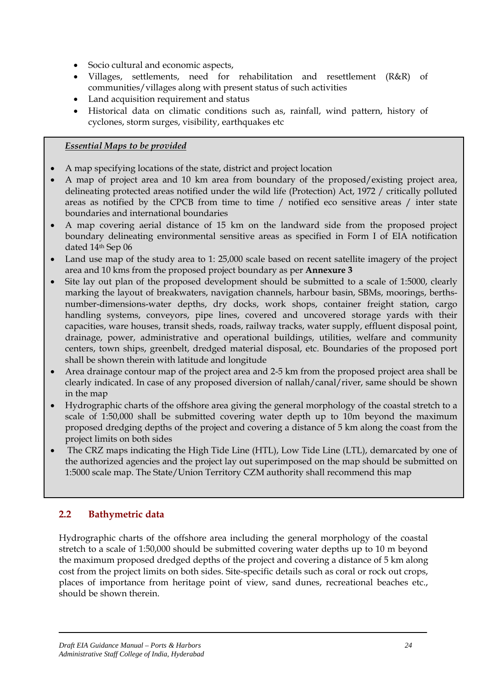- Socio cultural and economic aspects,
- Villages, settlements, need for rehabilitation and resettlement (R&R) of communities/villages along with present status of such activities
- Land acquisition requirement and status
- Historical data on climatic conditions such as, rainfall, wind pattern, history of cyclones, storm surges, visibility, earthquakes etc

#### *Essential Maps to be provided*

- A map specifying locations of the state, district and project location
- A map of project area and 10 km area from boundary of the proposed/existing project area, delineating protected areas notified under the wild life (Protection) Act, 1972 / critically polluted areas as notified by the CPCB from time to time / notified eco sensitive areas / inter state boundaries and international boundaries
- A map covering aerial distance of 15 km on the landward side from the proposed project boundary delineating environmental sensitive areas as specified in Form I of EIA notification dated 14th Sep 06
- Land use map of the study area to 1: 25,000 scale based on recent satellite imagery of the project area and 10 kms from the proposed project boundary as per **Annexure 3**
- Site lay out plan of the proposed development should be submitted to a scale of 1:5000, clearly marking the layout of breakwaters, navigation channels, harbour basin, SBMs, moorings, berthsnumber-dimensions-water depths, dry docks, work shops, container freight station, cargo handling systems, conveyors, pipe lines, covered and uncovered storage yards with their capacities, ware houses, transit sheds, roads, railway tracks, water supply, effluent disposal point, drainage, power, administrative and operational buildings, utilities, welfare and community centers, town ships, greenbelt, dredged material disposal, etc. Boundaries of the proposed port shall be shown therein with latitude and longitude
- Area drainage contour map of the project area and 2-5 km from the proposed project area shall be clearly indicated. In case of any proposed diversion of nallah/canal/river, same should be shown in the map
- Hydrographic charts of the offshore area giving the general morphology of the coastal stretch to a scale of 1:50,000 shall be submitted covering water depth up to 10m beyond the maximum proposed dredging depths of the project and covering a distance of 5 km along the coast from the project limits on both sides
- The CRZ maps indicating the High Tide Line (HTL), Low Tide Line (LTL), demarcated by one of the authorized agencies and the project lay out superimposed on the map should be submitted on 1:5000 scale map. The State/Union Territory CZM authority shall recommend this map

# **2.2 Bathymetric data**

Hydrographic charts of the offshore area including the general morphology of the coastal stretch to a scale of 1:50,000 should be submitted covering water depths up to 10 m beyond the maximum proposed dredged depths of the project and covering a distance of 5 km along cost from the project limits on both sides. Site-specific details such as coral or rock out crops, places of importance from heritage point of view, sand dunes, recreational beaches etc., should be shown therein.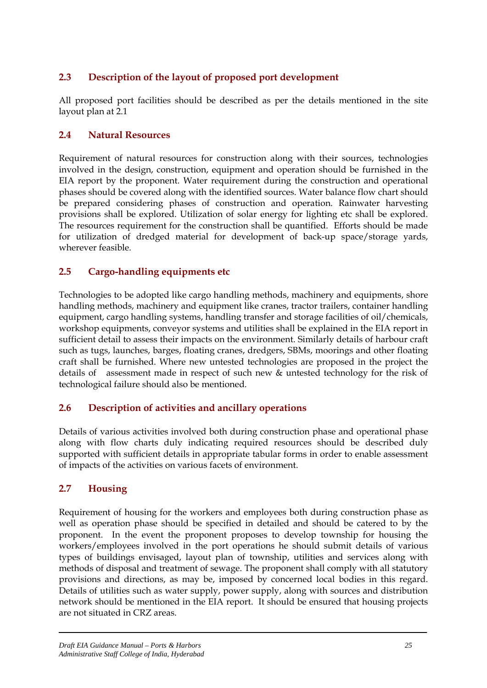# **2.3 Description of the layout of proposed port development**

All proposed port facilities should be described as per the details mentioned in the site layout plan at 2.1

#### **2.4 Natural Resources**

Requirement of natural resources for construction along with their sources, technologies involved in the design, construction, equipment and operation should be furnished in the EIA report by the proponent. Water requirement during the construction and operational phases should be covered along with the identified sources. Water balance flow chart should be prepared considering phases of construction and operation. Rainwater harvesting provisions shall be explored. Utilization of solar energy for lighting etc shall be explored. The resources requirement for the construction shall be quantified. Efforts should be made for utilization of dredged material for development of back-up space/storage yards, wherever feasible.

#### **2.5 Cargo-handling equipments etc**

Technologies to be adopted like cargo handling methods, machinery and equipments, shore handling methods, machinery and equipment like cranes, tractor trailers, container handling equipment, cargo handling systems, handling transfer and storage facilities of oil/chemicals, workshop equipments, conveyor systems and utilities shall be explained in the EIA report in sufficient detail to assess their impacts on the environment. Similarly details of harbour craft such as tugs, launches, barges, floating cranes, dredgers, SBMs, moorings and other floating craft shall be furnished. Where new untested technologies are proposed in the project the details of assessment made in respect of such new & untested technology for the risk of technological failure should also be mentioned.

#### **2.6 Description of activities and ancillary operations**

Details of various activities involved both during construction phase and operational phase along with flow charts duly indicating required resources should be described duly supported with sufficient details in appropriate tabular forms in order to enable assessment of impacts of the activities on various facets of environment.

#### **2.7 Housing**

Requirement of housing for the workers and employees both during construction phase as well as operation phase should be specified in detailed and should be catered to by the proponent. In the event the proponent proposes to develop township for housing the workers/employees involved in the port operations he should submit details of various types of buildings envisaged, layout plan of township, utilities and services along with methods of disposal and treatment of sewage. The proponent shall comply with all statutory provisions and directions, as may be, imposed by concerned local bodies in this regard. Details of utilities such as water supply, power supply, along with sources and distribution network should be mentioned in the EIA report. It should be ensured that housing projects are not situated in CRZ areas.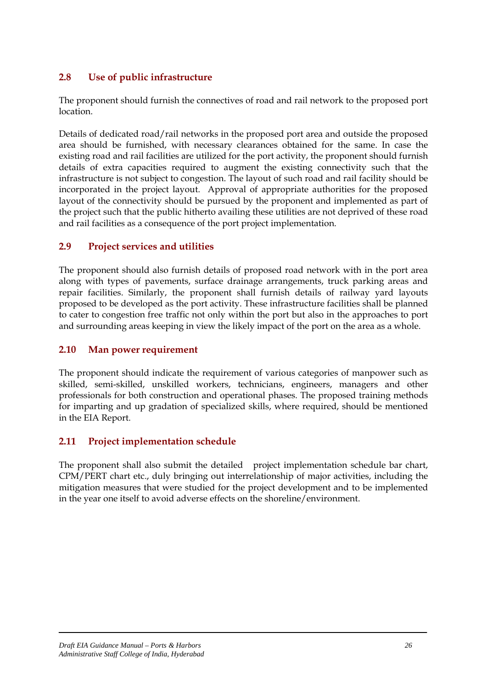## **2.8 Use of public infrastructure**

The proponent should furnish the connectives of road and rail network to the proposed port location.

Details of dedicated road/rail networks in the proposed port area and outside the proposed area should be furnished, with necessary clearances obtained for the same. In case the existing road and rail facilities are utilized for the port activity, the proponent should furnish details of extra capacities required to augment the existing connectivity such that the infrastructure is not subject to congestion. The layout of such road and rail facility should be incorporated in the project layout. Approval of appropriate authorities for the proposed layout of the connectivity should be pursued by the proponent and implemented as part of the project such that the public hitherto availing these utilities are not deprived of these road and rail facilities as a consequence of the port project implementation.

#### **2.9 Project services and utilities**

The proponent should also furnish details of proposed road network with in the port area along with types of pavements, surface drainage arrangements, truck parking areas and repair facilities. Similarly, the proponent shall furnish details of railway yard layouts proposed to be developed as the port activity. These infrastructure facilities shall be planned to cater to congestion free traffic not only within the port but also in the approaches to port and surrounding areas keeping in view the likely impact of the port on the area as a whole.

#### **2.10 Man power requirement**

The proponent should indicate the requirement of various categories of manpower such as skilled, semi-skilled, unskilled workers, technicians, engineers, managers and other professionals for both construction and operational phases. The proposed training methods for imparting and up gradation of specialized skills, where required, should be mentioned in the EIA Report.

# **2.11 Project implementation schedule**

The proponent shall also submit the detailed project implementation schedule bar chart, CPM/PERT chart etc., duly bringing out interrelationship of major activities, including the mitigation measures that were studied for the project development and to be implemented in the year one itself to avoid adverse effects on the shoreline/environment.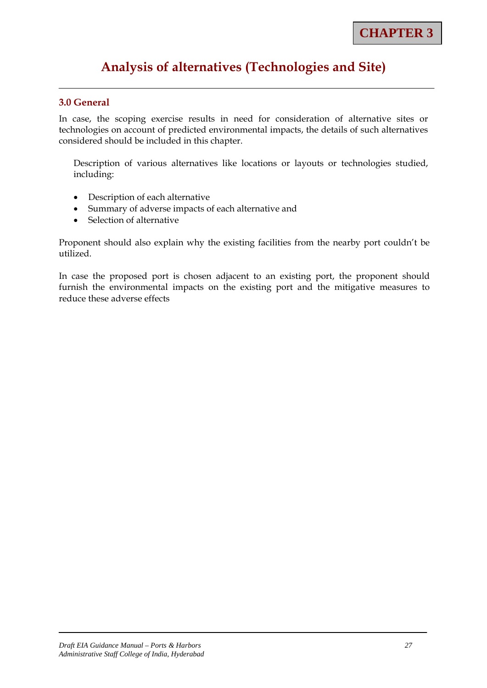# **Analysis of alternatives (Technologies and Site)**

#### **3.0 General**

In case, the scoping exercise results in need for consideration of alternative sites or technologies on account of predicted environmental impacts, the details of such alternatives considered should be included in this chapter.

Description of various alternatives like locations or layouts or technologies studied, including:

- Description of each alternative
- Summary of adverse impacts of each alternative and
- Selection of alternative

Proponent should also explain why the existing facilities from the nearby port couldn't be utilized.

In case the proposed port is chosen adjacent to an existing port, the proponent should furnish the environmental impacts on the existing port and the mitigative measures to reduce these adverse effects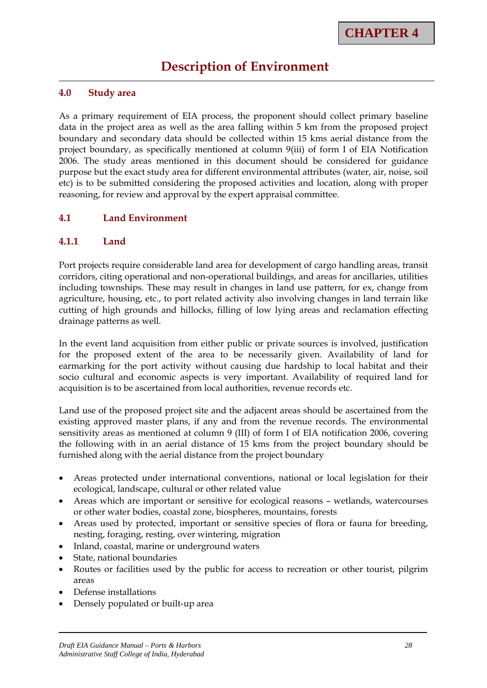# **Description of Environment**

#### **4.0 Study area**

As a primary requirement of EIA process, the proponent should collect primary baseline data in the project area as well as the area falling within 5 km from the proposed project boundary and secondary data should be collected within 15 kms aerial distance from the project boundary, as specifically mentioned at column 9(iii) of form I of EIA Notification 2006. The study areas mentioned in this document should be considered for guidance purpose but the exact study area for different environmental attributes (water, air, noise, soil etc) is to be submitted considering the proposed activities and location, along with proper reasoning, for review and approval by the expert appraisal committee.

#### **4.1 Land Environment**

#### **4.1.1 Land**

Port projects require considerable land area for development of cargo handling areas, transit corridors, citing operational and non-operational buildings, and areas for ancillaries, utilities including townships. These may result in changes in land use pattern, for ex, change from agriculture, housing, etc., to port related activity also involving changes in land terrain like cutting of high grounds and hillocks, filling of low lying areas and reclamation effecting drainage patterns as well.

In the event land acquisition from either public or private sources is involved, justification for the proposed extent of the area to be necessarily given. Availability of land for earmarking for the port activity without causing due hardship to local habitat and their socio cultural and economic aspects is very important. Availability of required land for acquisition is to be ascertained from local authorities, revenue records etc.

Land use of the proposed project site and the adjacent areas should be ascertained from the existing approved master plans, if any and from the revenue records. The environmental sensitivity areas as mentioned at column 9 (III) of form I of EIA notification 2006, covering the following with in an aerial distance of 15 kms from the project boundary should be furnished along with the aerial distance from the project boundary

- Areas protected under international conventions, national or local legislation for their ecological, landscape, cultural or other related value
- Areas which are important or sensitive for ecological reasons wetlands, watercourses or other water bodies, coastal zone, biospheres, mountains, forests
- Areas used by protected, important or sensitive species of flora or fauna for breeding, nesting, foraging, resting, over wintering, migration
- Inland, coastal, marine or underground waters
- State, national boundaries
- Routes or facilities used by the public for access to recreation or other tourist, pilgrim areas
- Defense installations
- Densely populated or built-up area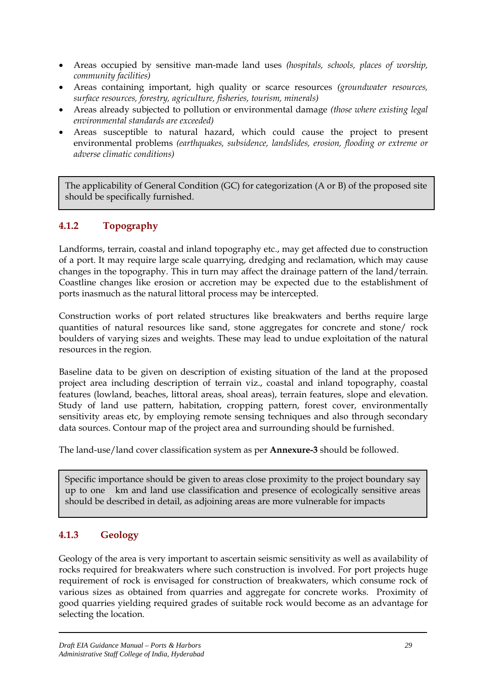- Areas occupied by sensitive man-made land uses *(hospitals, schools, places of worship, community facilities)*
- Areas containing important, high quality or scarce resources *(groundwater resources, surface resources, forestry, agriculture, fisheries, tourism, minerals)*
- Areas already subjected to pollution or environmental damage *(those where existing legal environmental standards are exceeded)*
- Areas susceptible to natural hazard, which could cause the project to present environmental problems *(earthquakes, subsidence, landslides, erosion, flooding or extreme or adverse climatic conditions)*

The applicability of General Condition (GC) for categorization (A or B) of the proposed site should be specifically furnished.

# **4.1.2 Topography**

Landforms, terrain, coastal and inland topography etc., may get affected due to construction of a port. It may require large scale quarrying, dredging and reclamation, which may cause changes in the topography. This in turn may affect the drainage pattern of the land/terrain. Coastline changes like erosion or accretion may be expected due to the establishment of ports inasmuch as the natural littoral process may be intercepted.

Construction works of port related structures like breakwaters and berths require large quantities of natural resources like sand, stone aggregates for concrete and stone/ rock boulders of varying sizes and weights. These may lead to undue exploitation of the natural resources in the region.

Baseline data to be given on description of existing situation of the land at the proposed project area including description of terrain viz., coastal and inland topography, coastal features (lowland, beaches, littoral areas, shoal areas), terrain features, slope and elevation. Study of land use pattern, habitation, cropping pattern, forest cover, environmentally sensitivity areas etc, by employing remote sensing techniques and also through secondary data sources. Contour map of the project area and surrounding should be furnished.

The land-use/land cover classification system as per **Annexure-3** should be followed.

Specific importance should be given to areas close proximity to the project boundary say up to one km and land use classification and presence of ecologically sensitive areas should be described in detail, as adjoining areas are more vulnerable for impacts

# **4.1.3 Geology**

Geology of the area is very important to ascertain seismic sensitivity as well as availability of rocks required for breakwaters where such construction is involved. For port projects huge requirement of rock is envisaged for construction of breakwaters, which consume rock of various sizes as obtained from quarries and aggregate for concrete works. Proximity of good quarries yielding required grades of suitable rock would become as an advantage for selecting the location.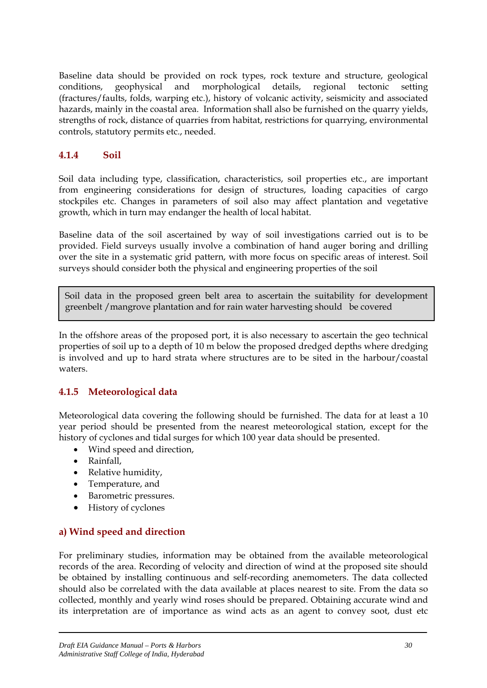Baseline data should be provided on rock types, rock texture and structure, geological conditions, geophysical and morphological details, regional tectonic setting (fractures/faults, folds, warping etc.), history of volcanic activity, seismicity and associated hazards, mainly in the coastal area. Information shall also be furnished on the quarry yields, strengths of rock, distance of quarries from habitat, restrictions for quarrying, environmental controls, statutory permits etc., needed.

#### **4.1.4 Soil**

Soil data including type, classification, characteristics, soil properties etc., are important from engineering considerations for design of structures, loading capacities of cargo stockpiles etc. Changes in parameters of soil also may affect plantation and vegetative growth, which in turn may endanger the health of local habitat.

Baseline data of the soil ascertained by way of soil investigations carried out is to be provided. Field surveys usually involve a combination of hand auger boring and drilling over the site in a systematic grid pattern, with more focus on specific areas of interest. Soil surveys should consider both the physical and engineering properties of the soil

Soil data in the proposed green belt area to ascertain the suitability for development greenbelt /mangrove plantation and for rain water harvesting should be covered

In the offshore areas of the proposed port, it is also necessary to ascertain the geo technical properties of soil up to a depth of 10 m below the proposed dredged depths where dredging is involved and up to hard strata where structures are to be sited in the harbour/coastal waters.

# **4.1.5 Meteorological data**

Meteorological data covering the following should be furnished. The data for at least a 10 year period should be presented from the nearest meteorological station, except for the history of cyclones and tidal surges for which 100 year data should be presented.

- Wind speed and direction,
- Rainfall,
- Relative humidity,
- Temperature, and
- Barometric pressures.
- History of cyclones

#### **a) Wind speed and direction**

For preliminary studies, information may be obtained from the available meteorological records of the area. Recording of velocity and direction of wind at the proposed site should be obtained by installing continuous and self-recording anemometers. The data collected should also be correlated with the data available at places nearest to site. From the data so collected, monthly and yearly wind roses should be prepared. Obtaining accurate wind and its interpretation are of importance as wind acts as an agent to convey soot, dust etc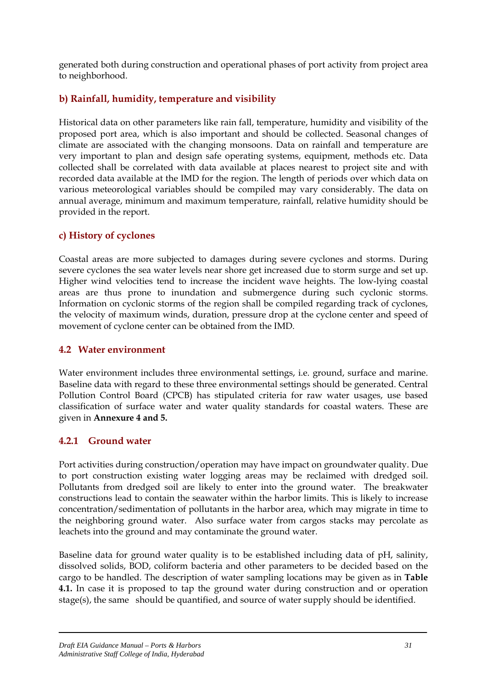generated both during construction and operational phases of port activity from project area to neighborhood.

# **b) Rainfall, humidity, temperature and visibility**

Historical data on other parameters like rain fall, temperature, humidity and visibility of the proposed port area, which is also important and should be collected. Seasonal changes of climate are associated with the changing monsoons. Data on rainfall and temperature are very important to plan and design safe operating systems, equipment, methods etc. Data collected shall be correlated with data available at places nearest to project site and with recorded data available at the IMD for the region. The length of periods over which data on various meteorological variables should be compiled may vary considerably. The data on annual average, minimum and maximum temperature, rainfall, relative humidity should be provided in the report.

### **c) History of cyclones**

Coastal areas are more subjected to damages during severe cyclones and storms. During severe cyclones the sea water levels near shore get increased due to storm surge and set up. Higher wind velocities tend to increase the incident wave heights. The low-lying coastal areas are thus prone to inundation and submergence during such cyclonic storms. Information on cyclonic storms of the region shall be compiled regarding track of cyclones, the velocity of maximum winds, duration, pressure drop at the cyclone center and speed of movement of cyclone center can be obtained from the IMD.

#### **4.2 Water environment**

Water environment includes three environmental settings, i.e. ground, surface and marine. Baseline data with regard to these three environmental settings should be generated. Central Pollution Control Board (CPCB) has stipulated criteria for raw water usages, use based classification of surface water and water quality standards for coastal waters. These are given in **Annexure 4 and 5.**

#### **4.2.1 Ground water**

Port activities during construction/operation may have impact on groundwater quality. Due to port construction existing water logging areas may be reclaimed with dredged soil. Pollutants from dredged soil are likely to enter into the ground water. The breakwater constructions lead to contain the seawater within the harbor limits. This is likely to increase concentration/sedimentation of pollutants in the harbor area, which may migrate in time to the neighboring ground water. Also surface water from cargos stacks may percolate as leachets into the ground and may contaminate the ground water.

Baseline data for ground water quality is to be established including data of pH, salinity, dissolved solids, BOD, coliform bacteria and other parameters to be decided based on the cargo to be handled. The description of water sampling locations may be given as in **Table 4.1.** In case it is proposed to tap the ground water during construction and or operation stage(s), the same should be quantified, and source of water supply should be identified.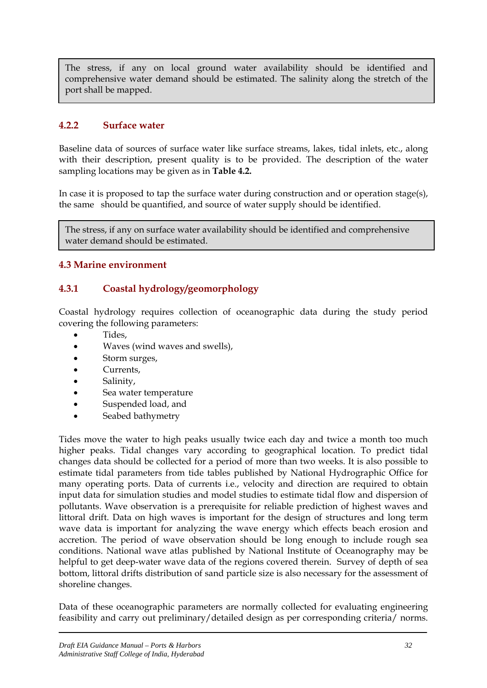The stress, if any on local ground water availability should be identified and comprehensive water demand should be estimated. The salinity along the stretch of the port shall be mapped.

### **4.2.2 Surface water**

Baseline data of sources of surface water like surface streams, lakes, tidal inlets, etc., along with their description, present quality is to be provided. The description of the water sampling locations may be given as in **Table 4.2.** 

In case it is proposed to tap the surface water during construction and or operation stage(s), the same should be quantified, and source of water supply should be identified.

The stress, if any on surface water availability should be identified and comprehensive water demand should be estimated.

### **4.3 Marine environment**

### **4.3.1 Coastal hydrology/geomorphology**

Coastal hydrology requires collection of oceanographic data during the study period covering the following parameters:

- Tides,
- Waves (wind waves and swells),
- Storm surges,
- Currents,
- Salinity,
- Sea water temperature
- Suspended load, and
- Seabed bathymetry

Tides move the water to high peaks usually twice each day and twice a month too much higher peaks. Tidal changes vary according to geographical location. To predict tidal changes data should be collected for a period of more than two weeks. It is also possible to estimate tidal parameters from tide tables published by National Hydrographic Office for many operating ports. Data of currents i.e., velocity and direction are required to obtain input data for simulation studies and model studies to estimate tidal flow and dispersion of pollutants. Wave observation is a prerequisite for reliable prediction of highest waves and littoral drift. Data on high waves is important for the design of structures and long term wave data is important for analyzing the wave energy which effects beach erosion and accretion. The period of wave observation should be long enough to include rough sea conditions. National wave atlas published by National Institute of Oceanography may be helpful to get deep-water wave data of the regions covered therein. Survey of depth of sea bottom, littoral drifts distribution of sand particle size is also necessary for the assessment of shoreline changes.

Data of these oceanographic parameters are normally collected for evaluating engineering feasibility and carry out preliminary/detailed design as per corresponding criteria/ norms.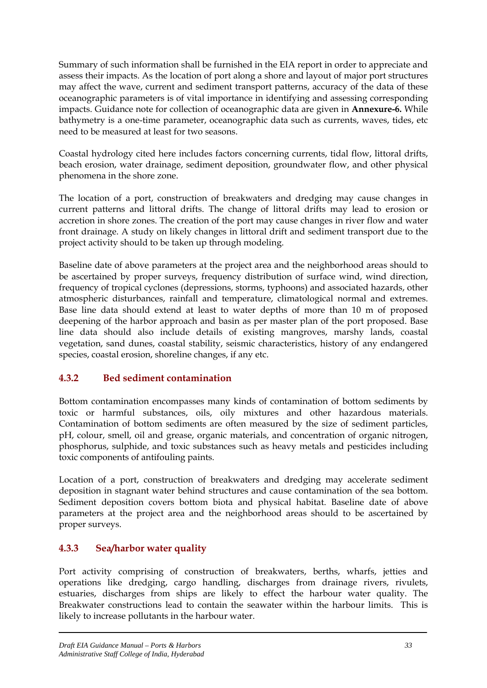Summary of such information shall be furnished in the EIA report in order to appreciate and assess their impacts. As the location of port along a shore and layout of major port structures may affect the wave, current and sediment transport patterns, accuracy of the data of these oceanographic parameters is of vital importance in identifying and assessing corresponding impacts. Guidance note for collection of oceanographic data are given in **Annexure-6.** While bathymetry is a one-time parameter, oceanographic data such as currents, waves, tides, etc need to be measured at least for two seasons.

Coastal hydrology cited here includes factors concerning currents, tidal flow, littoral drifts, beach erosion, water drainage, sediment deposition, groundwater flow, and other physical phenomena in the shore zone.

The location of a port, construction of breakwaters and dredging may cause changes in current patterns and littoral drifts. The change of littoral drifts may lead to erosion or accretion in shore zones. The creation of the port may cause changes in river flow and water front drainage. A study on likely changes in littoral drift and sediment transport due to the project activity should to be taken up through modeling.

Baseline date of above parameters at the project area and the neighborhood areas should to be ascertained by proper surveys, frequency distribution of surface wind, wind direction, frequency of tropical cyclones (depressions, storms, typhoons) and associated hazards, other atmospheric disturbances, rainfall and temperature, climatological normal and extremes. Base line data should extend at least to water depths of more than 10 m of proposed deepening of the harbor approach and basin as per master plan of the port proposed. Base line data should also include details of existing mangroves, marshy lands, coastal vegetation, sand dunes, coastal stability, seismic characteristics, history of any endangered species, coastal erosion, shoreline changes, if any etc.

# **4.3.2 Bed sediment contamination**

Bottom contamination encompasses many kinds of contamination of bottom sediments by toxic or harmful substances, oils, oily mixtures and other hazardous materials. Contamination of bottom sediments are often measured by the size of sediment particles, pH, colour, smell, oil and grease, organic materials, and concentration of organic nitrogen, phosphorus, sulphide, and toxic substances such as heavy metals and pesticides including toxic components of antifouling paints.

Location of a port, construction of breakwaters and dredging may accelerate sediment deposition in stagnant water behind structures and cause contamination of the sea bottom. Sediment deposition covers bottom biota and physical habitat. Baseline date of above parameters at the project area and the neighborhood areas should to be ascertained by proper surveys.

# **4.3.3 Sea/harbor water quality**

Port activity comprising of construction of breakwaters, berths, wharfs, jetties and operations like dredging, cargo handling, discharges from drainage rivers, rivulets, estuaries, discharges from ships are likely to effect the harbour water quality. The Breakwater constructions lead to contain the seawater within the harbour limits. This is likely to increase pollutants in the harbour water.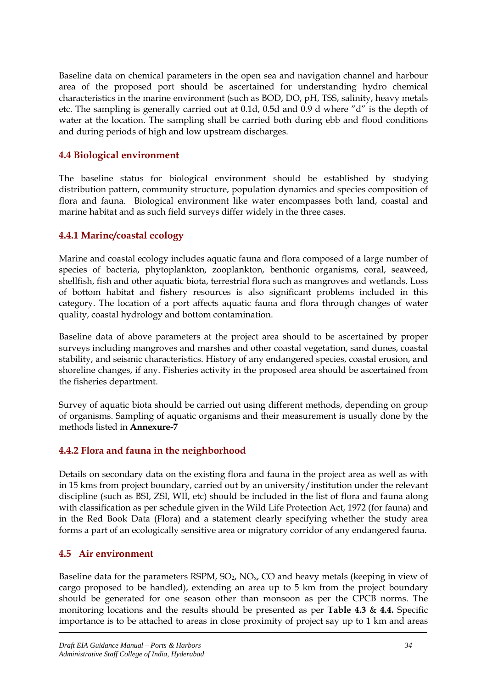Baseline data on chemical parameters in the open sea and navigation channel and harbour area of the proposed port should be ascertained for understanding hydro chemical characteristics in the marine environment (such as BOD, DO, pH, TSS, salinity, heavy metals etc. The sampling is generally carried out at 0.1d, 0.5d and 0.9 d where "d" is the depth of water at the location. The sampling shall be carried both during ebb and flood conditions and during periods of high and low upstream discharges.

#### **4.4 Biological environment**

The baseline status for biological environment should be established by studying distribution pattern, community structure, population dynamics and species composition of flora and fauna. Biological environment like water encompasses both land, coastal and marine habitat and as such field surveys differ widely in the three cases.

### **4.4.1 Marine/coastal ecology**

Marine and coastal ecology includes aquatic fauna and flora composed of a large number of species of bacteria, phytoplankton, zooplankton, benthonic organisms, coral, seaweed, shellfish, fish and other aquatic biota, terrestrial flora such as mangroves and wetlands. Loss of bottom habitat and fishery resources is also significant problems included in this category. The location of a port affects aquatic fauna and flora through changes of water quality, coastal hydrology and bottom contamination.

Baseline data of above parameters at the project area should to be ascertained by proper surveys including mangroves and marshes and other coastal vegetation, sand dunes, coastal stability, and seismic characteristics. History of any endangered species, coastal erosion, and shoreline changes, if any. Fisheries activity in the proposed area should be ascertained from the fisheries department.

Survey of aquatic biota should be carried out using different methods, depending on group of organisms. Sampling of aquatic organisms and their measurement is usually done by the methods listed in **Annexure-7**

# **4.4.2 Flora and fauna in the neighborhood**

Details on secondary data on the existing flora and fauna in the project area as well as with in 15 kms from project boundary, carried out by an university/institution under the relevant discipline (such as BSI, ZSI, WII, etc) should be included in the list of flora and fauna along with classification as per schedule given in the Wild Life Protection Act, 1972 (for fauna) and in the Red Book Data (Flora) and a statement clearly specifying whether the study area forms a part of an ecologically sensitive area or migratory corridor of any endangered fauna.

#### **4.5 Air environment**

Baseline data for the parameters RSPM,  $SO_2$ ,  $NO_x$ ,  $CO$  and heavy metals (keeping in view of cargo proposed to be handled), extending an area up to 5 km from the project boundary should be generated for one season other than monsoon as per the CPCB norms. The monitoring locations and the results should be presented as per **Table 4.3** & **4.4.** Specific importance is to be attached to areas in close proximity of project say up to 1 km and areas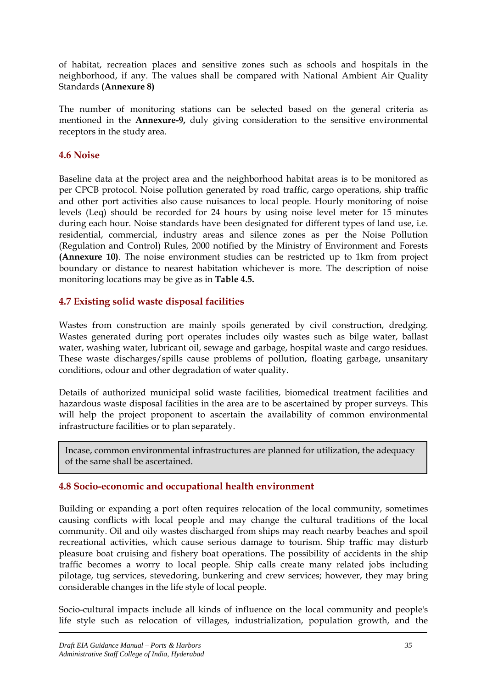of habitat, recreation places and sensitive zones such as schools and hospitals in the neighborhood, if any. The values shall be compared with National Ambient Air Quality Standards **(Annexure 8)**

The number of monitoring stations can be selected based on the general criteria as mentioned in the **Annexure-9,** duly giving consideration to the sensitive environmental receptors in the study area.

#### **4.6 Noise**

Baseline data at the project area and the neighborhood habitat areas is to be monitored as per CPCB protocol. Noise pollution generated by road traffic, cargo operations, ship traffic and other port activities also cause nuisances to local people. Hourly monitoring of noise levels (Leq) should be recorded for 24 hours by using noise level meter for 15 minutes during each hour. Noise standards have been designated for different types of land use, i.e. residential, commercial, industry areas and silence zones as per the Noise Pollution (Regulation and Control) Rules, 2000 notified by the Ministry of Environment and Forests **(Annexure 10)**. The noise environment studies can be restricted up to 1km from project boundary or distance to nearest habitation whichever is more. The description of noise monitoring locations may be give as in **Table 4.5.**

#### **4.7 Existing solid waste disposal facilities**

Wastes from construction are mainly spoils generated by civil construction, dredging. Wastes generated during port operates includes oily wastes such as bilge water, ballast water, washing water, lubricant oil, sewage and garbage, hospital waste and cargo residues. These waste discharges/spills cause problems of pollution, floating garbage, unsanitary conditions, odour and other degradation of water quality.

Details of authorized municipal solid waste facilities, biomedical treatment facilities and hazardous waste disposal facilities in the area are to be ascertained by proper surveys. This will help the project proponent to ascertain the availability of common environmental infrastructure facilities or to plan separately.

 Incase, common environmental infrastructures are planned for utilization, the adequacy of the same shall be ascertained.

#### **4.8 Socio-economic and occupational health environment**

Building or expanding a port often requires relocation of the local community, sometimes causing conflicts with local people and may change the cultural traditions of the local community. Oil and oily wastes discharged from ships may reach nearby beaches and spoil recreational activities, which cause serious damage to tourism. Ship traffic may disturb pleasure boat cruising and fishery boat operations. The possibility of accidents in the ship traffic becomes a worry to local people. Ship calls create many related jobs including pilotage, tug services, stevedoring, bunkering and crew services; however, they may bring considerable changes in the life style of local people.

Socio-cultural impacts include all kinds of influence on the local community and people's life style such as relocation of villages, industrialization, population growth, and the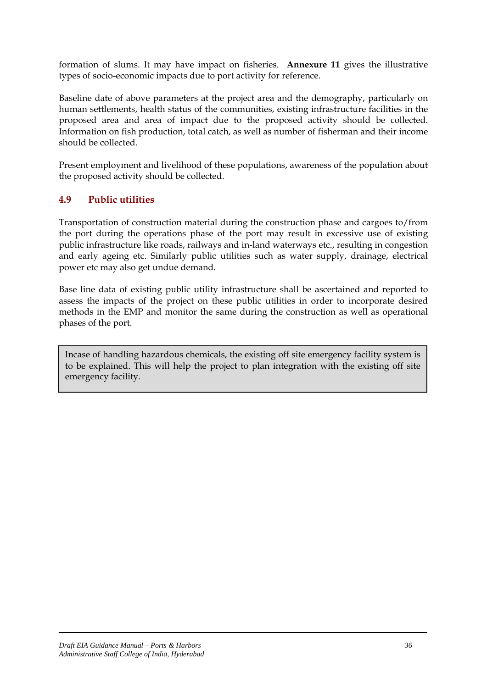formation of slums. It may have impact on fisheries. **Annexure 11** gives the illustrative types of socio-economic impacts due to port activity for reference.

Baseline date of above parameters at the project area and the demography, particularly on human settlements, health status of the communities, existing infrastructure facilities in the proposed area and area of impact due to the proposed activity should be collected. Information on fish production, total catch, as well as number of fisherman and their income should be collected.

Present employment and livelihood of these populations, awareness of the population about the proposed activity should be collected.

# **4.9 Public utilities**

Transportation of construction material during the construction phase and cargoes to/from the port during the operations phase of the port may result in excessive use of existing public infrastructure like roads, railways and in-land waterways etc., resulting in congestion and early ageing etc. Similarly public utilities such as water supply, drainage, electrical power etc may also get undue demand.

Base line data of existing public utility infrastructure shall be ascertained and reported to assess the impacts of the project on these public utilities in order to incorporate desired methods in the EMP and monitor the same during the construction as well as operational phases of the port.

Incase of handling hazardous chemicals, the existing off site emergency facility system is to be explained. This will help the project to plan integration with the existing off site emergency facility.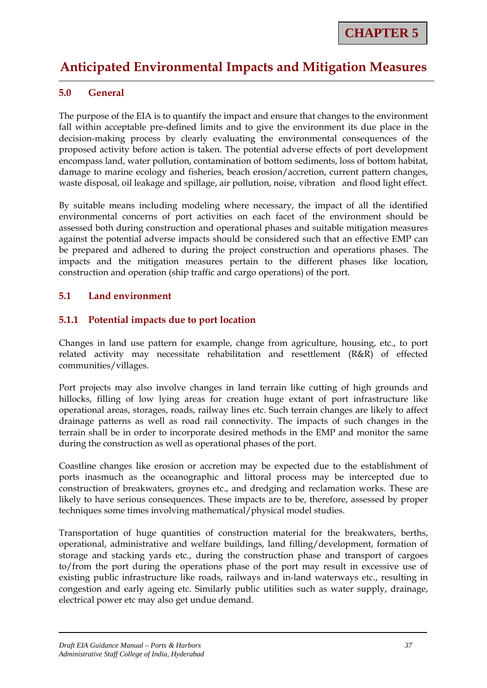# **Anticipated Environmental Impacts and Mitigation Measures**

# **5.0 General**

The purpose of the EIA is to quantify the impact and ensure that changes to the environment fall within acceptable pre-defined limits and to give the environment its due place in the decision-making process by clearly evaluating the environmental consequences of the proposed activity before action is taken. The potential adverse effects of port development encompass land, water pollution, contamination of bottom sediments, loss of bottom habitat, damage to marine ecology and fisheries, beach erosion/accretion, current pattern changes, waste disposal, oil leakage and spillage, air pollution, noise, vibration and flood light effect.

By suitable means including modeling where necessary, the impact of all the identified environmental concerns of port activities on each facet of the environment should be assessed both during construction and operational phases and suitable mitigation measures against the potential adverse impacts should be considered such that an effective EMP can be prepared and adhered to during the project construction and operations phases. The impacts and the mitigation measures pertain to the different phases like location, construction and operation (ship traffic and cargo operations) of the port.

# **5.1 Land environment**

# **5.1.1 Potential impacts due to port location**

Changes in land use pattern for example, change from agriculture, housing, etc., to port related activity may necessitate rehabilitation and resettlement (R&R) of effected communities/villages.

Port projects may also involve changes in land terrain like cutting of high grounds and hillocks, filling of low lying areas for creation huge extant of port infrastructure like operational areas, storages, roads, railway lines etc. Such terrain changes are likely to affect drainage patterns as well as road rail connectivity. The impacts of such changes in the terrain shall be in order to incorporate desired methods in the EMP and monitor the same during the construction as well as operational phases of the port.

Coastline changes like erosion or accretion may be expected due to the establishment of ports inasmuch as the oceanographic and littoral process may be intercepted due to construction of breakwaters, groynes etc., and dredging and reclamation works. These are likely to have serious consequences. These impacts are to be, therefore, assessed by proper techniques some times involving mathematical/physical model studies.

Transportation of huge quantities of construction material for the breakwaters, berths, operational, administrative and welfare buildings, land filling/development, formation of storage and stacking yards etc., during the construction phase and transport of cargoes to/from the port during the operations phase of the port may result in excessive use of existing public infrastructure like roads, railways and in-land waterways etc., resulting in congestion and early ageing etc. Similarly public utilities such as water supply, drainage, electrical power etc may also get undue demand.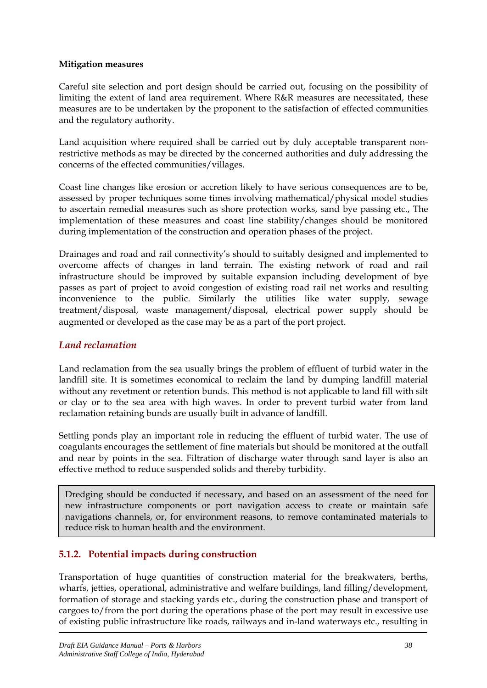#### **Mitigation measures**

Careful site selection and port design should be carried out, focusing on the possibility of limiting the extent of land area requirement. Where R&R measures are necessitated, these measures are to be undertaken by the proponent to the satisfaction of effected communities and the regulatory authority.

Land acquisition where required shall be carried out by duly acceptable transparent nonrestrictive methods as may be directed by the concerned authorities and duly addressing the concerns of the effected communities/villages.

Coast line changes like erosion or accretion likely to have serious consequences are to be, assessed by proper techniques some times involving mathematical/physical model studies to ascertain remedial measures such as shore protection works, sand bye passing etc., The implementation of these measures and coast line stability/changes should be monitored during implementation of the construction and operation phases of the project.

Drainages and road and rail connectivity's should to suitably designed and implemented to overcome affects of changes in land terrain. The existing network of road and rail infrastructure should be improved by suitable expansion including development of bye passes as part of project to avoid congestion of existing road rail net works and resulting inconvenience to the public. Similarly the utilities like water supply, sewage treatment/disposal, waste management/disposal, electrical power supply should be augmented or developed as the case may be as a part of the port project.

## *Land reclamation*

Land reclamation from the sea usually brings the problem of effluent of turbid water in the landfill site. It is sometimes economical to reclaim the land by dumping landfill material without any revetment or retention bunds. This method is not applicable to land fill with silt or clay or to the sea area with high waves. In order to prevent turbid water from land reclamation retaining bunds are usually built in advance of landfill.

Settling ponds play an important role in reducing the effluent of turbid water. The use of coagulants encourages the settlement of fine materials but should be monitored at the outfall and near by points in the sea. Filtration of discharge water through sand layer is also an effective method to reduce suspended solids and thereby turbidity.

Dredging should be conducted if necessary, and based on an assessment of the need for new infrastructure components or port navigation access to create or maintain safe navigations channels, or, for environment reasons, to remove contaminated materials to reduce risk to human health and the environment.

# **5.1.2. Potential impacts during construction**

Transportation of huge quantities of construction material for the breakwaters, berths, wharfs, jetties, operational, administrative and welfare buildings, land filling/development, formation of storage and stacking yards etc., during the construction phase and transport of cargoes to/from the port during the operations phase of the port may result in excessive use of existing public infrastructure like roads, railways and in-land waterways etc., resulting in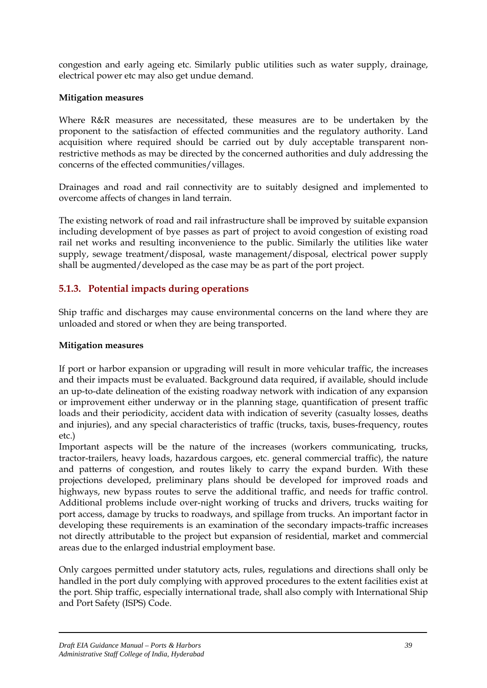congestion and early ageing etc. Similarly public utilities such as water supply, drainage, electrical power etc may also get undue demand.

# **Mitigation measures**

Where R&R measures are necessitated, these measures are to be undertaken by the proponent to the satisfaction of effected communities and the regulatory authority. Land acquisition where required should be carried out by duly acceptable transparent nonrestrictive methods as may be directed by the concerned authorities and duly addressing the concerns of the effected communities/villages.

Drainages and road and rail connectivity are to suitably designed and implemented to overcome affects of changes in land terrain.

The existing network of road and rail infrastructure shall be improved by suitable expansion including development of bye passes as part of project to avoid congestion of existing road rail net works and resulting inconvenience to the public. Similarly the utilities like water supply, sewage treatment/disposal, waste management/disposal, electrical power supply shall be augmented/developed as the case may be as part of the port project.

# **5.1.3. Potential impacts during operations**

Ship traffic and discharges may cause environmental concerns on the land where they are unloaded and stored or when they are being transported.

# **Mitigation measures**

If port or harbor expansion or upgrading will result in more vehicular traffic, the increases and their impacts must be evaluated. Background data required, if available, should include an up-to-date delineation of the existing roadway network with indication of any expansion or improvement either underway or in the planning stage, quantification of present traffic loads and their periodicity, accident data with indication of severity (casualty losses, deaths and injuries), and any special characteristics of traffic (trucks, taxis, buses-frequency, routes etc.)

Important aspects will be the nature of the increases (workers communicating, trucks, tractor-trailers, heavy loads, hazardous cargoes, etc. general commercial traffic), the nature and patterns of congestion, and routes likely to carry the expand burden. With these projections developed, preliminary plans should be developed for improved roads and highways, new bypass routes to serve the additional traffic, and needs for traffic control. Additional problems include over-night working of trucks and drivers, trucks waiting for port access, damage by trucks to roadways, and spillage from trucks. An important factor in developing these requirements is an examination of the secondary impacts-traffic increases not directly attributable to the project but expansion of residential, market and commercial areas due to the enlarged industrial employment base.

Only cargoes permitted under statutory acts, rules, regulations and directions shall only be handled in the port duly complying with approved procedures to the extent facilities exist at the port. Ship traffic, especially international trade, shall also comply with International Ship and Port Safety (ISPS) Code.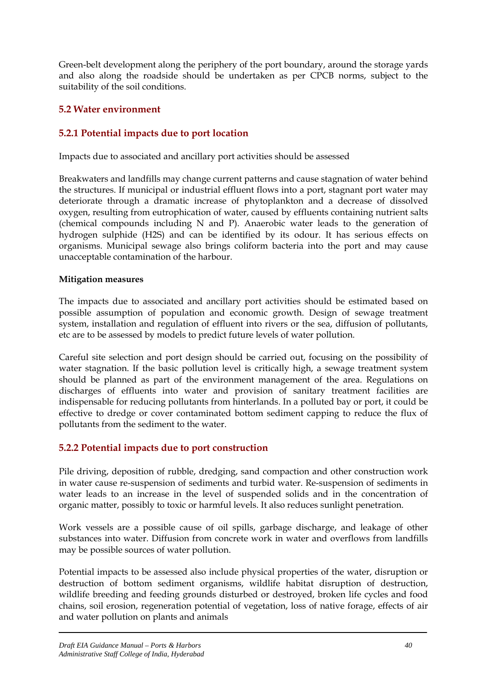Green-belt development along the periphery of the port boundary, around the storage yards and also along the roadside should be undertaken as per CPCB norms, subject to the suitability of the soil conditions.

# **5.2 Water environment**

# **5.2.1 Potential impacts due to port location**

Impacts due to associated and ancillary port activities should be assessed

Breakwaters and landfills may change current patterns and cause stagnation of water behind the structures. If municipal or industrial effluent flows into a port, stagnant port water may deteriorate through a dramatic increase of phytoplankton and a decrease of dissolved oxygen, resulting from eutrophication of water, caused by effluents containing nutrient salts (chemical compounds including N and P). Anaerobic water leads to the generation of hydrogen sulphide (H2S) and can be identified by its odour. It has serious effects on organisms. Municipal sewage also brings coliform bacteria into the port and may cause unacceptable contamination of the harbour.

#### **Mitigation measures**

The impacts due to associated and ancillary port activities should be estimated based on possible assumption of population and economic growth. Design of sewage treatment system, installation and regulation of effluent into rivers or the sea, diffusion of pollutants, etc are to be assessed by models to predict future levels of water pollution.

Careful site selection and port design should be carried out, focusing on the possibility of water stagnation. If the basic pollution level is critically high, a sewage treatment system should be planned as part of the environment management of the area. Regulations on discharges of effluents into water and provision of sanitary treatment facilities are indispensable for reducing pollutants from hinterlands. In a polluted bay or port, it could be effective to dredge or cover contaminated bottom sediment capping to reduce the flux of pollutants from the sediment to the water.

# **5.2.2 Potential impacts due to port construction**

Pile driving, deposition of rubble, dredging, sand compaction and other construction work in water cause re-suspension of sediments and turbid water. Re-suspension of sediments in water leads to an increase in the level of suspended solids and in the concentration of organic matter, possibly to toxic or harmful levels. It also reduces sunlight penetration.

Work vessels are a possible cause of oil spills, garbage discharge, and leakage of other substances into water. Diffusion from concrete work in water and overflows from landfills may be possible sources of water pollution.

Potential impacts to be assessed also include physical properties of the water, disruption or destruction of bottom sediment organisms, wildlife habitat disruption of destruction, wildlife breeding and feeding grounds disturbed or destroyed, broken life cycles and food chains, soil erosion, regeneration potential of vegetation, loss of native forage, effects of air and water pollution on plants and animals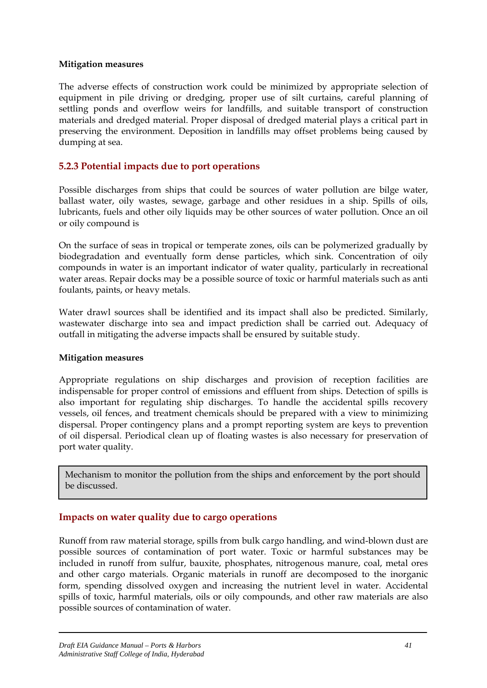#### **Mitigation measures**

The adverse effects of construction work could be minimized by appropriate selection of equipment in pile driving or dredging, proper use of silt curtains, careful planning of settling ponds and overflow weirs for landfills, and suitable transport of construction materials and dredged material. Proper disposal of dredged material plays a critical part in preserving the environment. Deposition in landfills may offset problems being caused by dumping at sea.

# **5.2.3 Potential impacts due to port operations**

Possible discharges from ships that could be sources of water pollution are bilge water, ballast water, oily wastes, sewage, garbage and other residues in a ship. Spills of oils, lubricants, fuels and other oily liquids may be other sources of water pollution. Once an oil or oily compound is

On the surface of seas in tropical or temperate zones, oils can be polymerized gradually by biodegradation and eventually form dense particles, which sink. Concentration of oily compounds in water is an important indicator of water quality, particularly in recreational water areas. Repair docks may be a possible source of toxic or harmful materials such as anti foulants, paints, or heavy metals.

Water drawl sources shall be identified and its impact shall also be predicted. Similarly, wastewater discharge into sea and impact prediction shall be carried out. Adequacy of outfall in mitigating the adverse impacts shall be ensured by suitable study.

## **Mitigation measures**

Appropriate regulations on ship discharges and provision of reception facilities are indispensable for proper control of emissions and effluent from ships. Detection of spills is also important for regulating ship discharges. To handle the accidental spills recovery vessels, oil fences, and treatment chemicals should be prepared with a view to minimizing dispersal. Proper contingency plans and a prompt reporting system are keys to prevention of oil dispersal. Periodical clean up of floating wastes is also necessary for preservation of port water quality.

Mechanism to monitor the pollution from the ships and enforcement by the port should be discussed.

# **Impacts on water quality due to cargo operations**

Runoff from raw material storage, spills from bulk cargo handling, and wind-blown dust are possible sources of contamination of port water. Toxic or harmful substances may be included in runoff from sulfur, bauxite, phosphates, nitrogenous manure, coal, metal ores and other cargo materials. Organic materials in runoff are decomposed to the inorganic form, spending dissolved oxygen and increasing the nutrient level in water. Accidental spills of toxic, harmful materials, oils or oily compounds, and other raw materials are also possible sources of contamination of water.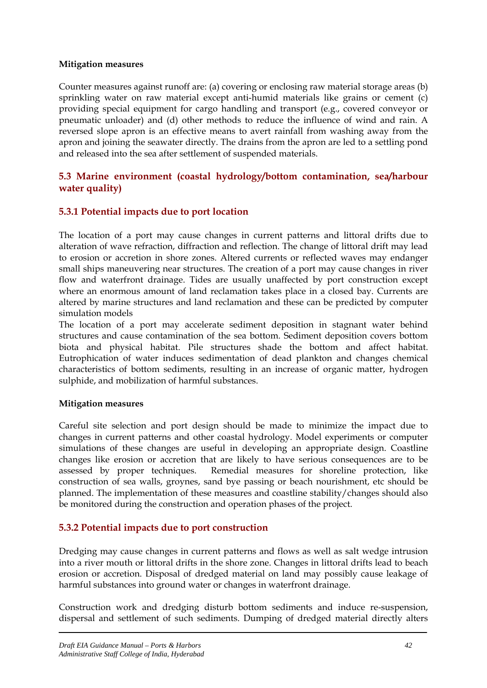#### **Mitigation measures**

Counter measures against runoff are: (a) covering or enclosing raw material storage areas (b) sprinkling water on raw material except anti-humid materials like grains or cement (c) providing special equipment for cargo handling and transport (e.g., covered conveyor or pneumatic unloader) and (d) other methods to reduce the influence of wind and rain. A reversed slope apron is an effective means to avert rainfall from washing away from the apron and joining the seawater directly. The drains from the apron are led to a settling pond and released into the sea after settlement of suspended materials.

# **5.3 Marine environment (coastal hydrology/bottom contamination, sea/harbour water quality)**

# **5.3.1 Potential impacts due to port location**

The location of a port may cause changes in current patterns and littoral drifts due to alteration of wave refraction, diffraction and reflection. The change of littoral drift may lead to erosion or accretion in shore zones. Altered currents or reflected waves may endanger small ships maneuvering near structures. The creation of a port may cause changes in river flow and waterfront drainage. Tides are usually unaffected by port construction except where an enormous amount of land reclamation takes place in a closed bay. Currents are altered by marine structures and land reclamation and these can be predicted by computer simulation models

The location of a port may accelerate sediment deposition in stagnant water behind structures and cause contamination of the sea bottom. Sediment deposition covers bottom biota and physical habitat. Pile structures shade the bottom and affect habitat. Eutrophication of water induces sedimentation of dead plankton and changes chemical characteristics of bottom sediments, resulting in an increase of organic matter, hydrogen sulphide, and mobilization of harmful substances.

## **Mitigation measures**

Careful site selection and port design should be made to minimize the impact due to changes in current patterns and other coastal hydrology. Model experiments or computer simulations of these changes are useful in developing an appropriate design. Coastline changes like erosion or accretion that are likely to have serious consequences are to be assessed by proper techniques. Remedial measures for shoreline protection, like construction of sea walls, groynes, sand bye passing or beach nourishment, etc should be planned. The implementation of these measures and coastline stability/changes should also be monitored during the construction and operation phases of the project.

# **5.3.2 Potential impacts due to port construction**

Dredging may cause changes in current patterns and flows as well as salt wedge intrusion into a river mouth or littoral drifts in the shore zone. Changes in littoral drifts lead to beach erosion or accretion. Disposal of dredged material on land may possibly cause leakage of harmful substances into ground water or changes in waterfront drainage.

Construction work and dredging disturb bottom sediments and induce re-suspension, dispersal and settlement of such sediments. Dumping of dredged material directly alters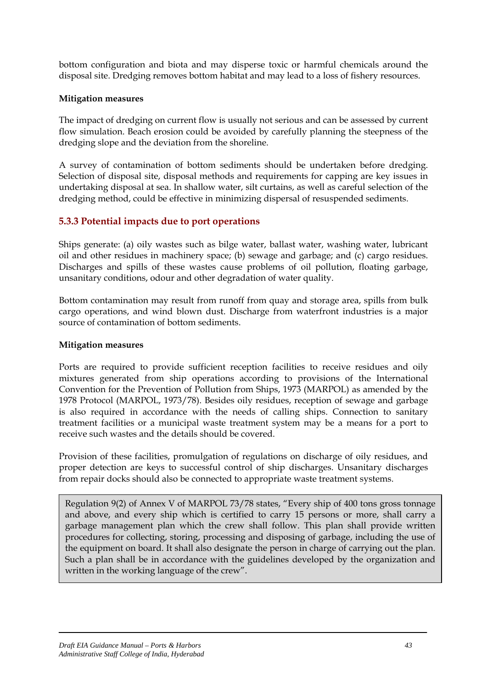bottom configuration and biota and may disperse toxic or harmful chemicals around the disposal site. Dredging removes bottom habitat and may lead to a loss of fishery resources.

#### **Mitigation measures**

The impact of dredging on current flow is usually not serious and can be assessed by current flow simulation. Beach erosion could be avoided by carefully planning the steepness of the dredging slope and the deviation from the shoreline.

A survey of contamination of bottom sediments should be undertaken before dredging. Selection of disposal site, disposal methods and requirements for capping are key issues in undertaking disposal at sea. In shallow water, silt curtains, as well as careful selection of the dredging method, could be effective in minimizing dispersal of resuspended sediments.

# **5.3.3 Potential impacts due to port operations**

Ships generate: (a) oily wastes such as bilge water, ballast water, washing water, lubricant oil and other residues in machinery space; (b) sewage and garbage; and (c) cargo residues. Discharges and spills of these wastes cause problems of oil pollution, floating garbage, unsanitary conditions, odour and other degradation of water quality.

Bottom contamination may result from runoff from quay and storage area, spills from bulk cargo operations, and wind blown dust. Discharge from waterfront industries is a major source of contamination of bottom sediments.

#### **Mitigation measures**

Ports are required to provide sufficient reception facilities to receive residues and oily mixtures generated from ship operations according to provisions of the International Convention for the Prevention of Pollution from Ships, 1973 (MARPOL) as amended by the 1978 Protocol (MARPOL, 1973/78). Besides oily residues, reception of sewage and garbage is also required in accordance with the needs of calling ships. Connection to sanitary treatment facilities or a municipal waste treatment system may be a means for a port to receive such wastes and the details should be covered.

Provision of these facilities, promulgation of regulations on discharge of oily residues, and proper detection are keys to successful control of ship discharges. Unsanitary discharges from repair docks should also be connected to appropriate waste treatment systems.

Regulation 9(2) of Annex V of MARPOL 73/78 states, "Every ship of 400 tons gross tonnage and above, and every ship which is certified to carry 15 persons or more, shall carry a garbage management plan which the crew shall follow. This plan shall provide written procedures for collecting, storing, processing and disposing of garbage, including the use of the equipment on board. It shall also designate the person in charge of carrying out the plan. Such a plan shall be in accordance with the guidelines developed by the organization and written in the working language of the crew".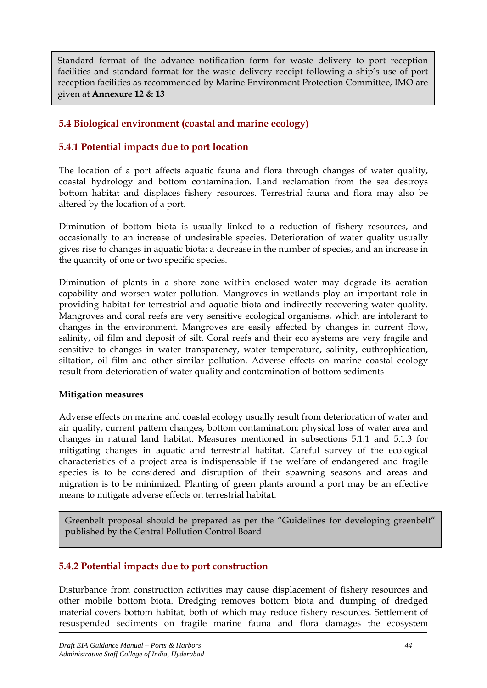Standard format of the advance notification form for waste delivery to port reception facilities and standard format for the waste delivery receipt following a ship's use of port reception facilities as recommended by Marine Environment Protection Committee, IMO are given at **Annexure 12 & 13**

# **5.4 Biological environment (coastal and marine ecology)**

# **5.4.1 Potential impacts due to port location**

The location of a port affects aquatic fauna and flora through changes of water quality, coastal hydrology and bottom contamination. Land reclamation from the sea destroys bottom habitat and displaces fishery resources. Terrestrial fauna and flora may also be altered by the location of a port.

Diminution of bottom biota is usually linked to a reduction of fishery resources, and occasionally to an increase of undesirable species. Deterioration of water quality usually gives rise to changes in aquatic biota: a decrease in the number of species, and an increase in the quantity of one or two specific species.

Diminution of plants in a shore zone within enclosed water may degrade its aeration capability and worsen water pollution. Mangroves in wetlands play an important role in providing habitat for terrestrial and aquatic biota and indirectly recovering water quality. Mangroves and coral reefs are very sensitive ecological organisms, which are intolerant to changes in the environment. Mangroves are easily affected by changes in current flow, salinity, oil film and deposit of silt. Coral reefs and their eco systems are very fragile and sensitive to changes in water transparency, water temperature, salinity, euthrophication, siltation, oil film and other similar pollution. Adverse effects on marine coastal ecology result from deterioration of water quality and contamination of bottom sediments

#### **Mitigation measures**

Adverse effects on marine and coastal ecology usually result from deterioration of water and air quality, current pattern changes, bottom contamination; physical loss of water area and changes in natural land habitat. Measures mentioned in subsections 5.1.1 and 5.1.3 for mitigating changes in aquatic and terrestrial habitat. Careful survey of the ecological characteristics of a project area is indispensable if the welfare of endangered and fragile species is to be considered and disruption of their spawning seasons and areas and migration is to be minimized. Planting of green plants around a port may be an effective means to mitigate adverse effects on terrestrial habitat.

Greenbelt proposal should be prepared as per the "Guidelines for developing greenbelt" published by the Central Pollution Control Board

# **5.4.2 Potential impacts due to port construction**

Disturbance from construction activities may cause displacement of fishery resources and other mobile bottom biota. Dredging removes bottom biota and dumping of dredged material covers bottom habitat, both of which may reduce fishery resources. Settlement of resuspended sediments on fragile marine fauna and flora damages the ecosystem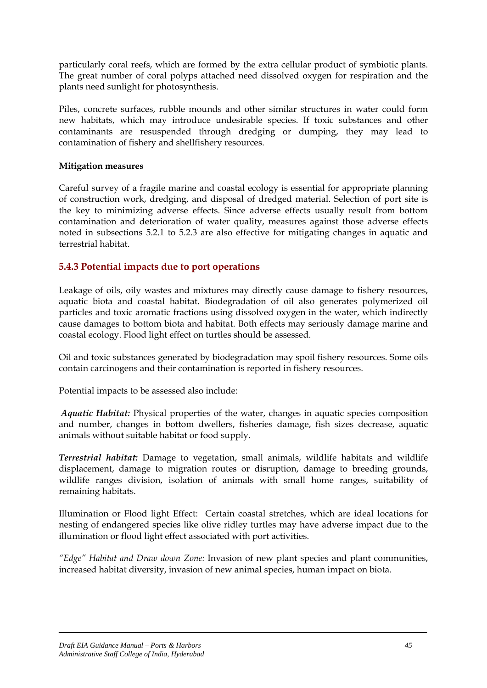particularly coral reefs, which are formed by the extra cellular product of symbiotic plants. The great number of coral polyps attached need dissolved oxygen for respiration and the plants need sunlight for photosynthesis.

Piles, concrete surfaces, rubble mounds and other similar structures in water could form new habitats, which may introduce undesirable species. If toxic substances and other contaminants are resuspended through dredging or dumping, they may lead to contamination of fishery and shellfishery resources.

#### **Mitigation measures**

Careful survey of a fragile marine and coastal ecology is essential for appropriate planning of construction work, dredging, and disposal of dredged material. Selection of port site is the key to minimizing adverse effects. Since adverse effects usually result from bottom contamination and deterioration of water quality, measures against those adverse effects noted in subsections 5.2.1 to 5.2.3 are also effective for mitigating changes in aquatic and terrestrial habitat.

# **5.4.3 Potential impacts due to port operations**

Leakage of oils, oily wastes and mixtures may directly cause damage to fishery resources, aquatic biota and coastal habitat. Biodegradation of oil also generates polymerized oil particles and toxic aromatic fractions using dissolved oxygen in the water, which indirectly cause damages to bottom biota and habitat. Both effects may seriously damage marine and coastal ecology. Flood light effect on turtles should be assessed.

Oil and toxic substances generated by biodegradation may spoil fishery resources. Some oils contain carcinogens and their contamination is reported in fishery resources.

Potential impacts to be assessed also include:

*Aquatic Habitat:* Physical properties of the water, changes in aquatic species composition and number, changes in bottom dwellers, fisheries damage, fish sizes decrease, aquatic animals without suitable habitat or food supply.

*Terrestrial habitat:* Damage to vegetation, small animals, wildlife habitats and wildlife displacement, damage to migration routes or disruption, damage to breeding grounds, wildlife ranges division, isolation of animals with small home ranges, suitability of remaining habitats.

Illumination or Flood light Effect: Certain coastal stretches, which are ideal locations for nesting of endangered species like olive ridley turtles may have adverse impact due to the illumination or flood light effect associated with port activities.

*"Edge" Habitat and Draw down Zone:* Invasion of new plant species and plant communities, increased habitat diversity, invasion of new animal species, human impact on biota.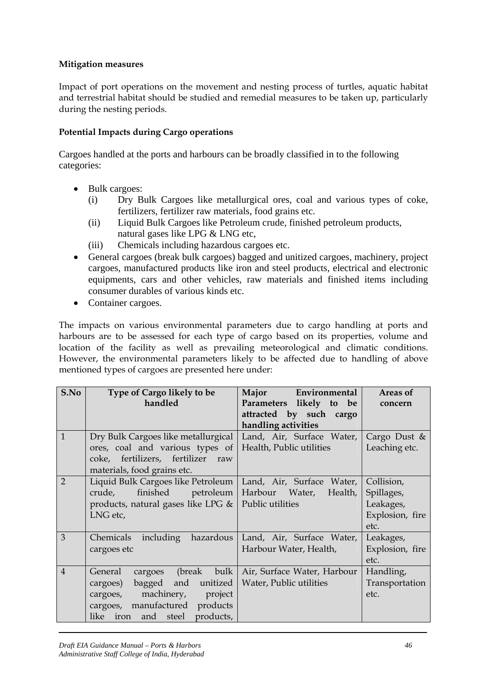## **Mitigation measures**

Impact of port operations on the movement and nesting process of turtles, aquatic habitat and terrestrial habitat should be studied and remedial measures to be taken up, particularly during the nesting periods.

## **Potential Impacts during Cargo operations**

Cargoes handled at the ports and harbours can be broadly classified in to the following categories:

- Bulk cargoes:
	- (i) Dry Bulk Cargoes like metallurgical ores, coal and various types of coke, fertilizers, fertilizer raw materials, food grains etc.
	- (ii) Liquid Bulk Cargoes like Petroleum crude, finished petroleum products, natural gases like LPG & LNG etc,
	- (iii) Chemicals including hazardous cargoes etc.
- General cargoes (break bulk cargoes) bagged and unitized cargoes, machinery, project cargoes, manufactured products like iron and steel products, electrical and electronic equipments, cars and other vehicles, raw materials and finished items including consumer durables of various kinds etc.
- Container cargoes.

The impacts on various environmental parameters due to cargo handling at ports and harbours are to be assessed for each type of cargo based on its properties, volume and location of the facility as well as prevailing meteorological and climatic conditions. However, the environmental parameters likely to be affected due to handling of above mentioned types of cargoes are presented here under:

| S.No           | Type of Cargo likely to be<br>handled                                                                                                                                                       | Major<br>Environmental<br>Parameters likely to<br>be<br>attracted by such cargo<br>handling activities | Areas of<br>concern                                              |
|----------------|---------------------------------------------------------------------------------------------------------------------------------------------------------------------------------------------|--------------------------------------------------------------------------------------------------------|------------------------------------------------------------------|
| $\mathbf{1}$   | Dry Bulk Cargoes like metallurgical<br>ores, coal and various types of<br>coke, fertilizers, fertilizer raw<br>materials, food grains etc.                                                  | Land, Air, Surface Water,<br>Health, Public utilities                                                  | Cargo Dust $\&$<br>Leaching etc.                                 |
| $\overline{2}$ | Liquid Bulk Cargoes like Petroleum<br>finished petroleum<br>crude,<br>products, natural gases like LPG &<br>LNG etc,                                                                        | Land, Air, Surface Water,<br>Harbour Water,<br>Health,<br>Public utilities                             | Collision,<br>Spillages,<br>Leakages,<br>Explosion, fire<br>etc. |
| 3              | including hazardous<br>Chemicals<br>cargoes etc                                                                                                                                             | Land, Air, Surface Water,<br>Harbour Water, Health,                                                    | Leakages,<br>Explosion, fire<br>etc.                             |
| $\overline{4}$ | bulk<br>General<br>(break<br>cargoes<br>bagged<br>and<br>unitized<br>cargoes)<br>machinery, project<br>cargoes,<br>cargoes, manufactured products<br>like<br>iron<br>products,<br>and steel | Air, Surface Water, Harbour<br>Water, Public utilities                                                 | Handling,<br>Transportation<br>etc.                              |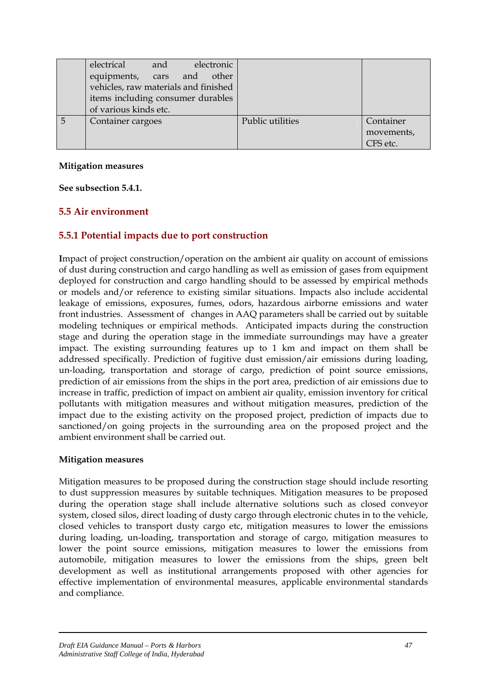|   | electrical                           | and | electronic |                  |            |
|---|--------------------------------------|-----|------------|------------------|------------|
|   | equipments, cars and other           |     |            |                  |            |
|   | vehicles, raw materials and finished |     |            |                  |            |
|   | items including consumer durables    |     |            |                  |            |
|   | of various kinds etc.                |     |            |                  |            |
| 5 | Container cargoes                    |     |            | Public utilities | Container  |
|   |                                      |     |            |                  | movements, |
|   |                                      |     |            |                  | CFS etc.   |

#### **Mitigation measures**

**See subsection 5.4.1.**

# **5.5 Air environment**

# **5.5.1 Potential impacts due to port construction**

**I**mpact of project construction/operation on the ambient air quality on account of emissions of dust during construction and cargo handling as well as emission of gases from equipment deployed for construction and cargo handling should to be assessed by empirical methods or models and/or reference to existing similar situations. Impacts also include accidental leakage of emissions, exposures, fumes, odors, hazardous airborne emissions and water front industries. Assessment of changes in AAQ parameters shall be carried out by suitable modeling techniques or empirical methods. Anticipated impacts during the construction stage and during the operation stage in the immediate surroundings may have a greater impact. The existing surrounding features up to 1 km and impact on them shall be addressed specifically. Prediction of fugitive dust emission/air emissions during loading, un-loading, transportation and storage of cargo, prediction of point source emissions, prediction of air emissions from the ships in the port area, prediction of air emissions due to increase in traffic, prediction of impact on ambient air quality, emission inventory for critical pollutants with mitigation measures and without mitigation measures, prediction of the impact due to the existing activity on the proposed project, prediction of impacts due to sanctioned/on going projects in the surrounding area on the proposed project and the ambient environment shall be carried out.

#### **Mitigation measures**

Mitigation measures to be proposed during the construction stage should include resorting to dust suppression measures by suitable techniques. Mitigation measures to be proposed during the operation stage shall include alternative solutions such as closed conveyor system, closed silos, direct loading of dusty cargo through electronic chutes in to the vehicle, closed vehicles to transport dusty cargo etc, mitigation measures to lower the emissions during loading, un-loading, transportation and storage of cargo, mitigation measures to lower the point source emissions, mitigation measures to lower the emissions from automobile, mitigation measures to lower the emissions from the ships, green belt development as well as institutional arrangements proposed with other agencies for effective implementation of environmental measures, applicable environmental standards and compliance.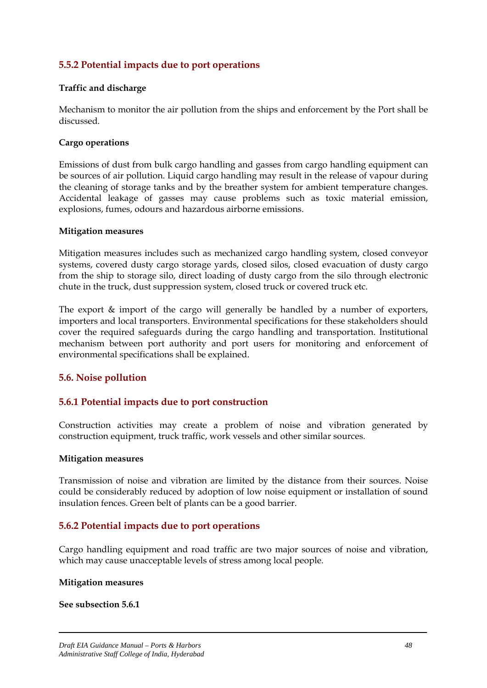# **5.5.2 Potential impacts due to port operations**

#### **Traffic and discharge**

Mechanism to monitor the air pollution from the ships and enforcement by the Port shall be discussed.

#### **Cargo operations**

Emissions of dust from bulk cargo handling and gasses from cargo handling equipment can be sources of air pollution. Liquid cargo handling may result in the release of vapour during the cleaning of storage tanks and by the breather system for ambient temperature changes. Accidental leakage of gasses may cause problems such as toxic material emission, explosions, fumes, odours and hazardous airborne emissions.

#### **Mitigation measures**

Mitigation measures includes such as mechanized cargo handling system, closed conveyor systems, covered dusty cargo storage yards, closed silos, closed evacuation of dusty cargo from the ship to storage silo, direct loading of dusty cargo from the silo through electronic chute in the truck, dust suppression system, closed truck or covered truck etc.

The export & import of the cargo will generally be handled by a number of exporters, importers and local transporters. Environmental specifications for these stakeholders should cover the required safeguards during the cargo handling and transportation. Institutional mechanism between port authority and port users for monitoring and enforcement of environmental specifications shall be explained.

## **5.6. Noise pollution**

## **5.6.1 Potential impacts due to port construction**

Construction activities may create a problem of noise and vibration generated by construction equipment, truck traffic, work vessels and other similar sources.

#### **Mitigation measures**

Transmission of noise and vibration are limited by the distance from their sources. Noise could be considerably reduced by adoption of low noise equipment or installation of sound insulation fences. Green belt of plants can be a good barrier.

## **5.6.2 Potential impacts due to port operations**

Cargo handling equipment and road traffic are two major sources of noise and vibration, which may cause unacceptable levels of stress among local people.

#### **Mitigation measures**

#### **See subsection 5.6.1**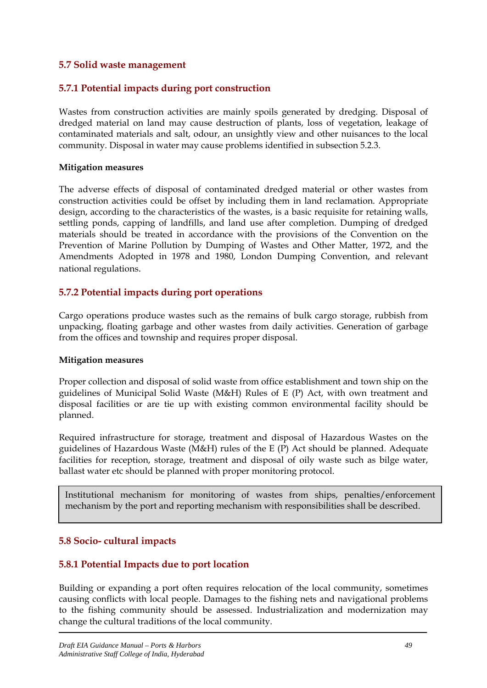## **5.7 Solid waste management**

## **5.7.1 Potential impacts during port construction**

Wastes from construction activities are mainly spoils generated by dredging. Disposal of dredged material on land may cause destruction of plants, loss of vegetation, leakage of contaminated materials and salt, odour, an unsightly view and other nuisances to the local community. Disposal in water may cause problems identified in subsection 5.2.3.

#### **Mitigation measures**

The adverse effects of disposal of contaminated dredged material or other wastes from construction activities could be offset by including them in land reclamation. Appropriate design, according to the characteristics of the wastes, is a basic requisite for retaining walls, settling ponds, capping of landfills, and land use after completion. Dumping of dredged materials should be treated in accordance with the provisions of the Convention on the Prevention of Marine Pollution by Dumping of Wastes and Other Matter, 1972, and the Amendments Adopted in 1978 and 1980, London Dumping Convention, and relevant national regulations.

## **5.7.2 Potential impacts during port operations**

Cargo operations produce wastes such as the remains of bulk cargo storage, rubbish from unpacking, floating garbage and other wastes from daily activities. Generation of garbage from the offices and township and requires proper disposal.

#### **Mitigation measures**

Proper collection and disposal of solid waste from office establishment and town ship on the guidelines of Municipal Solid Waste (M&H) Rules of E (P) Act, with own treatment and disposal facilities or are tie up with existing common environmental facility should be planned.

Required infrastructure for storage, treatment and disposal of Hazardous Wastes on the guidelines of Hazardous Waste (M&H) rules of the E (P) Act should be planned. Adequate facilities for reception, storage, treatment and disposal of oily waste such as bilge water, ballast water etc should be planned with proper monitoring protocol.

Institutional mechanism for monitoring of wastes from ships, penalties/enforcement mechanism by the port and reporting mechanism with responsibilities shall be described.

#### **5.8 Socio- cultural impacts**

## **5.8.1 Potential Impacts due to port location**

Building or expanding a port often requires relocation of the local community, sometimes causing conflicts with local people. Damages to the fishing nets and navigational problems to the fishing community should be assessed. Industrialization and modernization may change the cultural traditions of the local community.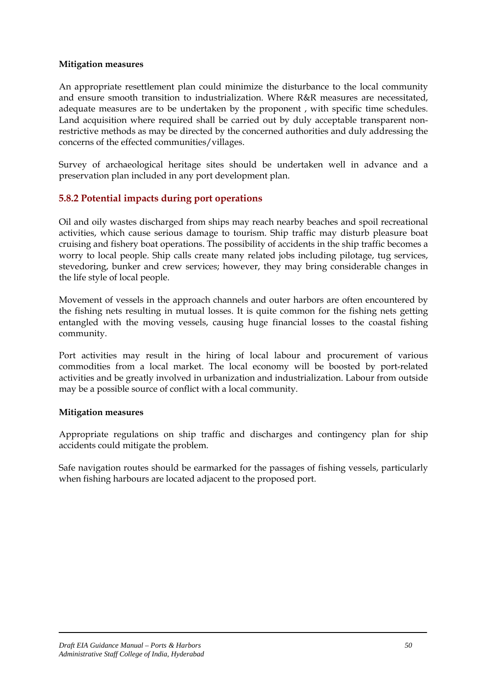#### **Mitigation measures**

An appropriate resettlement plan could minimize the disturbance to the local community and ensure smooth transition to industrialization. Where R&R measures are necessitated, adequate measures are to be undertaken by the proponent , with specific time schedules. Land acquisition where required shall be carried out by duly acceptable transparent nonrestrictive methods as may be directed by the concerned authorities and duly addressing the concerns of the effected communities/villages.

Survey of archaeological heritage sites should be undertaken well in advance and a preservation plan included in any port development plan.

# **5.8.2 Potential impacts during port operations**

Oil and oily wastes discharged from ships may reach nearby beaches and spoil recreational activities, which cause serious damage to tourism. Ship traffic may disturb pleasure boat cruising and fishery boat operations. The possibility of accidents in the ship traffic becomes a worry to local people. Ship calls create many related jobs including pilotage, tug services, stevedoring, bunker and crew services; however, they may bring considerable changes in the life style of local people.

Movement of vessels in the approach channels and outer harbors are often encountered by the fishing nets resulting in mutual losses. It is quite common for the fishing nets getting entangled with the moving vessels, causing huge financial losses to the coastal fishing community.

Port activities may result in the hiring of local labour and procurement of various commodities from a local market. The local economy will be boosted by port-related activities and be greatly involved in urbanization and industrialization. Labour from outside may be a possible source of conflict with a local community.

#### **Mitigation measures**

Appropriate regulations on ship traffic and discharges and contingency plan for ship accidents could mitigate the problem.

Safe navigation routes should be earmarked for the passages of fishing vessels, particularly when fishing harbours are located adjacent to the proposed port.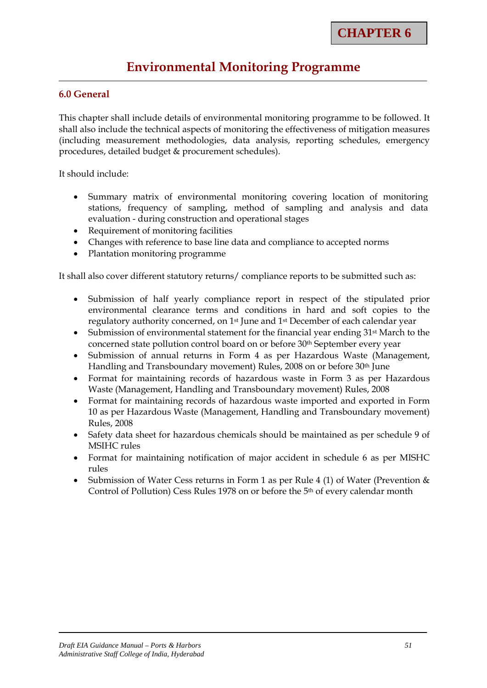# **Environmental Monitoring Programme**

## **6.0 General**

This chapter shall include details of environmental monitoring programme to be followed. It shall also include the technical aspects of monitoring the effectiveness of mitigation measures (including measurement methodologies, data analysis, reporting schedules, emergency procedures, detailed budget & procurement schedules).

It should include:

- Summary matrix of environmental monitoring covering location of monitoring stations, frequency of sampling, method of sampling and analysis and data evaluation - during construction and operational stages
- Requirement of monitoring facilities
- Changes with reference to base line data and compliance to accepted norms
- Plantation monitoring programme

It shall also cover different statutory returns/ compliance reports to be submitted such as:

- Submission of half yearly compliance report in respect of the stipulated prior environmental clearance terms and conditions in hard and soft copies to the regulatory authority concerned, on 1st June and 1st December of each calendar year
- Submission of environmental statement for the financial year ending 31<sup>st</sup> March to the concerned state pollution control board on or before 30<sup>th</sup> September every year
- Submission of annual returns in Form 4 as per Hazardous Waste (Management, Handling and Transboundary movement) Rules, 2008 on or before 30<sup>th</sup> June
- Format for maintaining records of hazardous waste in Form 3 as per Hazardous Waste (Management, Handling and Transboundary movement) Rules, 2008
- Format for maintaining records of hazardous waste imported and exported in Form 10 as per Hazardous Waste (Management, Handling and Transboundary movement) Rules, 2008
- Safety data sheet for hazardous chemicals should be maintained as per schedule 9 of MSIHC rules
- Format for maintaining notification of major accident in schedule 6 as per MISHC rules
- Submission of Water Cess returns in Form 1 as per Rule 4 (1) of Water (Prevention & Control of Pollution) Cess Rules 1978 on or before the 5th of every calendar month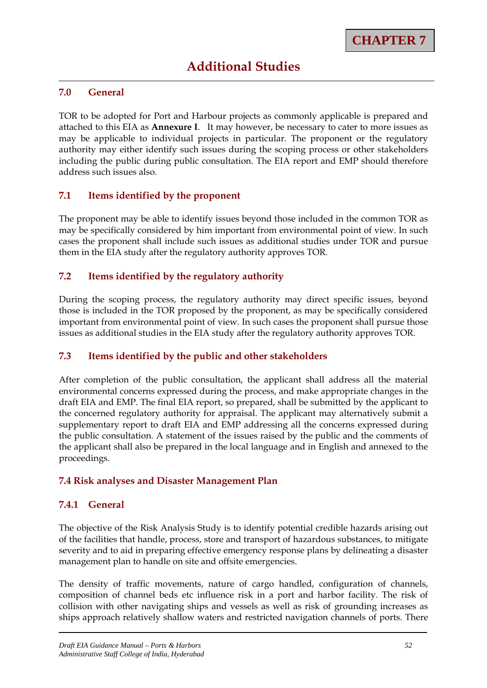# **Additional Studies**

## **7.0 General**

TOR to be adopted for Port and Harbour projects as commonly applicable is prepared and attached to this EIA as **Annexure I**. It may however, be necessary to cater to more issues as may be applicable to individual projects in particular. The proponent or the regulatory authority may either identify such issues during the scoping process or other stakeholders including the public during public consultation. The EIA report and EMP should therefore address such issues also.

## **7.1 Items identified by the proponent**

The proponent may be able to identify issues beyond those included in the common TOR as may be specifically considered by him important from environmental point of view. In such cases the proponent shall include such issues as additional studies under TOR and pursue them in the EIA study after the regulatory authority approves TOR.

# **7.2 Items identified by the regulatory authority**

During the scoping process, the regulatory authority may direct specific issues, beyond those is included in the TOR proposed by the proponent, as may be specifically considered important from environmental point of view. In such cases the proponent shall pursue those issues as additional studies in the EIA study after the regulatory authority approves TOR.

## **7.3 Items identified by the public and other stakeholders**

After completion of the public consultation, the applicant shall address all the material environmental concerns expressed during the process, and make appropriate changes in the draft EIA and EMP. The final EIA report, so prepared, shall be submitted by the applicant to the concerned regulatory authority for appraisal. The applicant may alternatively submit a supplementary report to draft EIA and EMP addressing all the concerns expressed during the public consultation. A statement of the issues raised by the public and the comments of the applicant shall also be prepared in the local language and in English and annexed to the proceedings.

## **7.4 Risk analyses and Disaster Management Plan**

## **7.4.1 General**

The objective of the Risk Analysis Study is to identify potential credible hazards arising out of the facilities that handle, process, store and transport of hazardous substances, to mitigate severity and to aid in preparing effective emergency response plans by delineating a disaster management plan to handle on site and offsite emergencies.

The density of traffic movements, nature of cargo handled, configuration of channels, composition of channel beds etc influence risk in a port and harbor facility. The risk of collision with other navigating ships and vessels as well as risk of grounding increases as ships approach relatively shallow waters and restricted navigation channels of ports. There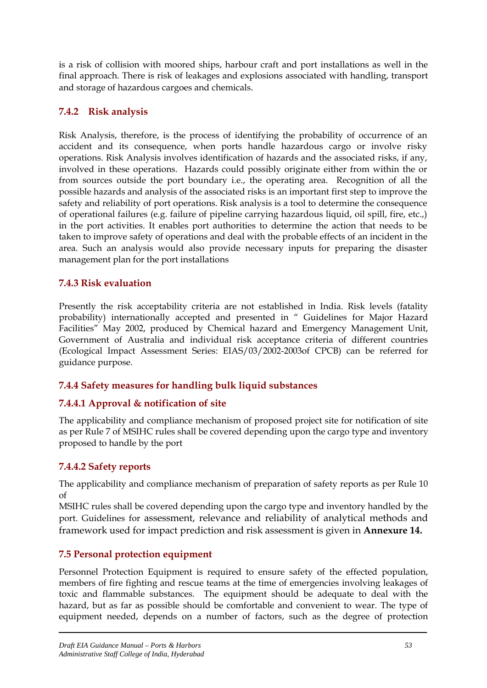is a risk of collision with moored ships, harbour craft and port installations as well in the final approach. There is risk of leakages and explosions associated with handling, transport and storage of hazardous cargoes and chemicals.

# **7.4.2 Risk analysis**

Risk Analysis, therefore, is the process of identifying the probability of occurrence of an accident and its consequence, when ports handle hazardous cargo or involve risky operations. Risk Analysis involves identification of hazards and the associated risks, if any, involved in these operations. Hazards could possibly originate either from within the or from sources outside the port boundary i.e., the operating area. Recognition of all the possible hazards and analysis of the associated risks is an important first step to improve the safety and reliability of port operations. Risk analysis is a tool to determine the consequence of operational failures (e.g. failure of pipeline carrying hazardous liquid, oil spill, fire, etc.,) in the port activities. It enables port authorities to determine the action that needs to be taken to improve safety of operations and deal with the probable effects of an incident in the area. Such an analysis would also provide necessary inputs for preparing the disaster management plan for the port installations

# **7.4.3 Risk evaluation**

Presently the risk acceptability criteria are not established in India. Risk levels (fatality probability) internationally accepted and presented in " Guidelines for Major Hazard Facilities" May 2002, produced by Chemical hazard and Emergency Management Unit, Government of Australia and individual risk acceptance criteria of different countries (Ecological Impact Assessment Series: EIAS/03/2002-2003of CPCB) can be referred for guidance purpose.

# **7.4.4 Safety measures for handling bulk liquid substances**

# **7.4.4.1 Approval & notification of site**

The applicability and compliance mechanism of proposed project site for notification of site as per Rule 7 of MSIHC rules shall be covered depending upon the cargo type and inventory proposed to handle by the port

# **7.4.4.2 Safety reports**

The applicability and compliance mechanism of preparation of safety reports as per Rule 10 of

MSIHC rules shall be covered depending upon the cargo type and inventory handled by the port. Guidelines for assessment, relevance and reliability of analytical methods and framework used for impact prediction and risk assessment is given in **Annexure 14.**

# **7.5 Personal protection equipment**

Personnel Protection Equipment is required to ensure safety of the effected population, members of fire fighting and rescue teams at the time of emergencies involving leakages of toxic and flammable substances. The equipment should be adequate to deal with the hazard, but as far as possible should be comfortable and convenient to wear. The type of equipment needed, depends on a number of factors, such as the degree of protection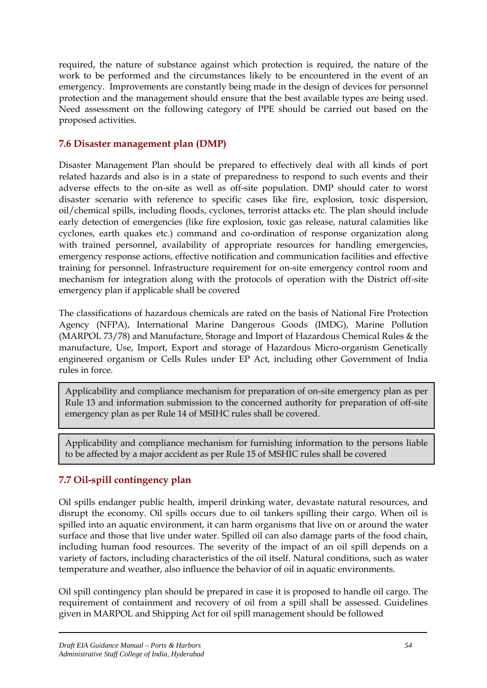required, the nature of substance against which protection is required, the nature of the work to be performed and the circumstances likely to be encountered in the event of an emergency. Improvements are constantly being made in the design of devices for personnel protection and the management should ensure that the best available types are being used. Need assessment on the following category of PPE should be carried out based on the proposed activities.

# **7.6 Disaster management plan (DMP)**

Disaster Management Plan should be prepared to effectively deal with all kinds of port related hazards and also is in a state of preparedness to respond to such events and their adverse effects to the on-site as well as off-site population. DMP should cater to worst disaster scenario with reference to specific cases like fire, explosion, toxic dispersion, oil/chemical spills, including floods, cyclones, terrorist attacks etc. The plan should include early detection of emergencies (like fire explosion, toxic gas release, natural calamities like cyclones, earth quakes etc.) command and co-ordination of response organization along with trained personnel, availability of appropriate resources for handling emergencies, emergency response actions, effective notification and communication facilities and effective training for personnel. Infrastructure requirement for on-site emergency control room and mechanism for integration along with the protocols of operation with the District off-site emergency plan if applicable shall be covered

The classifications of hazardous chemicals are rated on the basis of National Fire Protection Agency (NFPA), International Marine Dangerous Goods (IMDG), Marine Pollution (MARPOL 73/78) and Manufacture, Storage and Import of Hazardous Chemical Rules & the manufacture, Use, Import, Export and storage of Hazardous Micro-organism Genetically engineered organism or Cells Rules under EP Act, including other Government of India rules in force.

Applicability and compliance mechanism for preparation of on-site emergency plan as per Rule 13 and information submission to the concerned authority for preparation of off-site emergency plan as per Rule 14 of MSIHC rules shall be covered.

Applicability and compliance mechanism for furnishing information to the persons liable to be affected by a major accident as per Rule 15 of MSHIC rules shall be covered

# **7.7 Oil-spill contingency plan**

Oil spills endanger public health, imperil drinking water, devastate natural resources, and disrupt the economy. Oil spills occurs due to oil tankers spilling their cargo. When oil is spilled into an aquatic environment, it can harm organisms that live on or around the water surface and those that live under water. Spilled oil can also damage parts of the food chain, including human food resources. The severity of the impact of an oil spill depends on a variety of factors, including characteristics of the oil itself. Natural conditions, such as water temperature and weather, also influence the behavior of oil in aquatic environments.

Oil spill contingency plan should be prepared in case it is proposed to handle oil cargo. The requirement of containment and recovery of oil from a spill shall be assessed. Guidelines given in MARPOL and Shipping Act for oil spill management should be followed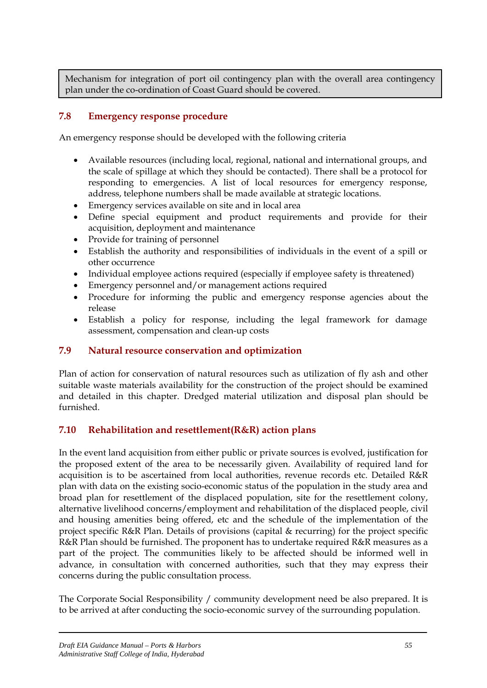Mechanism for integration of port oil contingency plan with the overall area contingency plan under the co-ordination of Coast Guard should be covered.

# **7.8 Emergency response procedure**

An emergency response should be developed with the following criteria

- Available resources (including local, regional, national and international groups, and the scale of spillage at which they should be contacted). There shall be a protocol for responding to emergencies. A list of local resources for emergency response, address, telephone numbers shall be made available at strategic locations.
- Emergency services available on site and in local area
- Define special equipment and product requirements and provide for their acquisition, deployment and maintenance
- Provide for training of personnel
- Establish the authority and responsibilities of individuals in the event of a spill or other occurrence
- Individual employee actions required (especially if employee safety is threatened)
- Emergency personnel and/or management actions required
- Procedure for informing the public and emergency response agencies about the release
- Establish a policy for response, including the legal framework for damage assessment, compensation and clean-up costs

# **7.9 Natural resource conservation and optimization**

Plan of action for conservation of natural resources such as utilization of fly ash and other suitable waste materials availability for the construction of the project should be examined and detailed in this chapter. Dredged material utilization and disposal plan should be furnished.

# **7.10 Rehabilitation and resettlement(R&R) action plans**

In the event land acquisition from either public or private sources is evolved, justification for the proposed extent of the area to be necessarily given. Availability of required land for acquisition is to be ascertained from local authorities, revenue records etc. Detailed R&R plan with data on the existing socio-economic status of the population in the study area and broad plan for resettlement of the displaced population, site for the resettlement colony, alternative livelihood concerns/employment and rehabilitation of the displaced people, civil and housing amenities being offered, etc and the schedule of the implementation of the project specific R&R Plan. Details of provisions (capital & recurring) for the project specific R&R Plan should be furnished. The proponent has to undertake required R&R measures as a part of the project. The communities likely to be affected should be informed well in advance, in consultation with concerned authorities, such that they may express their concerns during the public consultation process.

The Corporate Social Responsibility / community development need be also prepared. It is to be arrived at after conducting the socio-economic survey of the surrounding population.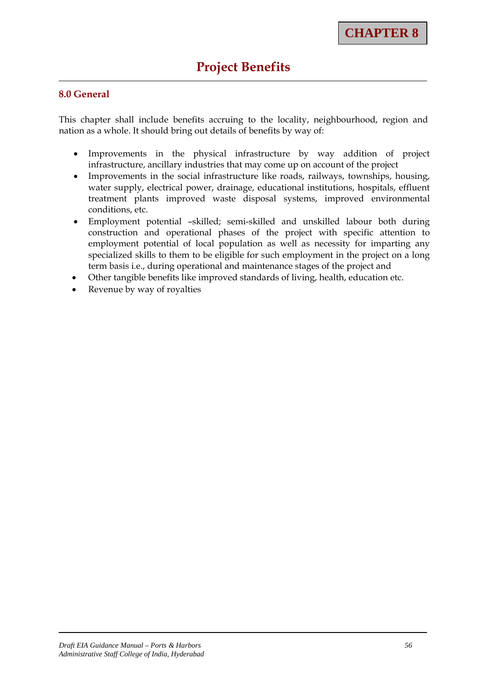# **Project Benefits**

# **8.0 General**

This chapter shall include benefits accruing to the locality, neighbourhood, region and nation as a whole. It should bring out details of benefits by way of:

- Improvements in the physical infrastructure by way addition of project infrastructure, ancillary industries that may come up on account of the project
- Improvements in the social infrastructure like roads, railways, townships, housing, water supply, electrical power, drainage, educational institutions, hospitals, effluent treatment plants improved waste disposal systems, improved environmental conditions, etc.
- Employment potential –skilled; semi-skilled and unskilled labour both during construction and operational phases of the project with specific attention to employment potential of local population as well as necessity for imparting any specialized skills to them to be eligible for such employment in the project on a long term basis i.e., during operational and maintenance stages of the project and
- Other tangible benefits like improved standards of living, health, education etc.
- Revenue by way of royalties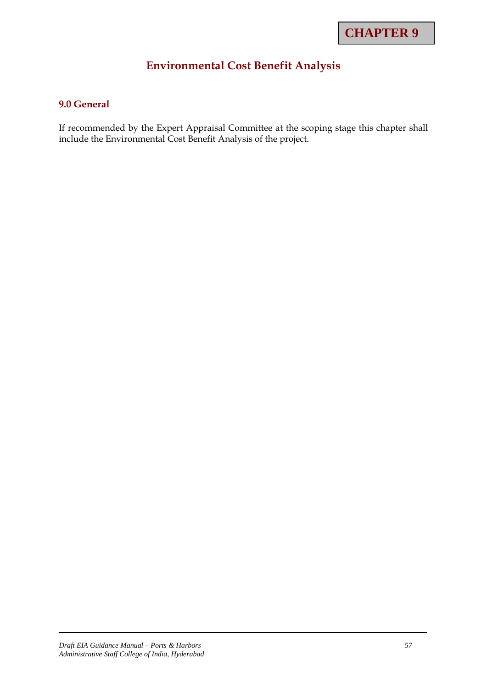# **Environmental Cost Benefit Analysis**

# **9.0 General**

If recommended by the Expert Appraisal Committee at the scoping stage this chapter shall include the Environmental Cost Benefit Analysis of the project.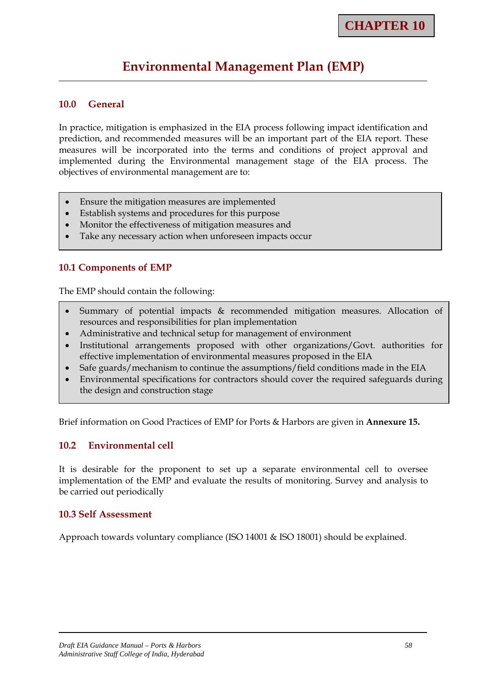# **Environmental Management Plan (EMP)**

#### **10.0 General**

In practice, mitigation is emphasized in the EIA process following impact identification and prediction, and recommended measures will be an important part of the EIA report. These measures will be incorporated into the terms and conditions of project approval and implemented during the Environmental management stage of the EIA process. The objectives of environmental management are to:

- Ensure the mitigation measures are implemented
- Establish systems and procedures for this purpose
- Monitor the effectiveness of mitigation measures and
- Take any necessary action when unforeseen impacts occur

## **10.1 Components of EMP**

The EMP should contain the following:

- Summary of potential impacts & recommended mitigation measures. Allocation of resources and responsibilities for plan implementation
- Administrative and technical setup for management of environment
- Institutional arrangements proposed with other organizations/Govt. authorities for effective implementation of environmental measures proposed in the EIA
- Safe guards/mechanism to continue the assumptions/field conditions made in the EIA
- Environmental specifications for contractors should cover the required safeguards during the design and construction stage

Brief information on Good Practices of EMP for Ports & Harbors are given in **Annexure 15.**

#### **10.2 Environmental cell**

It is desirable for the proponent to set up a separate environmental cell to oversee implementation of the EMP and evaluate the results of monitoring. Survey and analysis to be carried out periodically

#### **10.3 Self Assessment**

Approach towards voluntary compliance (ISO 14001 & ISO 18001) should be explained.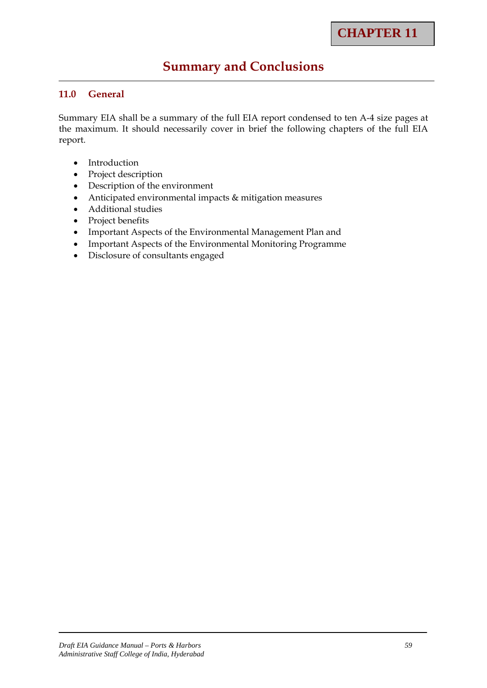# **Summary and Conclusions**

# **11.0 General**

Summary EIA shall be a summary of the full EIA report condensed to ten A-4 size pages at the maximum. It should necessarily cover in brief the following chapters of the full EIA report.

- Introduction
- Project description
- Description of the environment
- Anticipated environmental impacts & mitigation measures
- Additional studies
- Project benefits
- Important Aspects of the Environmental Management Plan and
- Important Aspects of the Environmental Monitoring Programme
- Disclosure of consultants engaged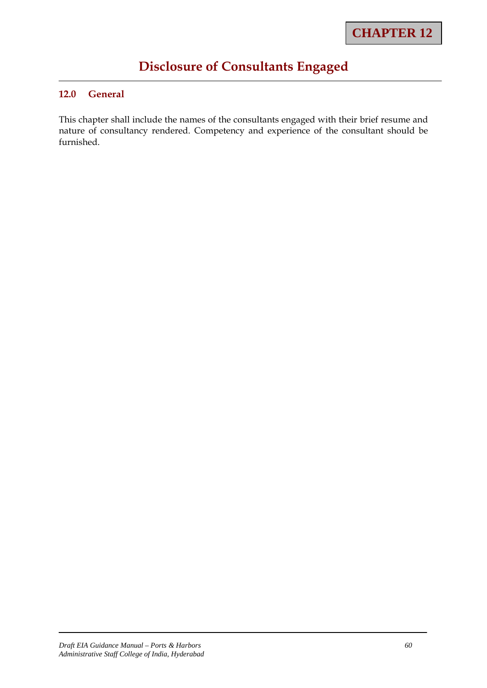# **Disclosure of Consultants Engaged**

# **12.0 General**

This chapter shall include the names of the consultants engaged with their brief resume and nature of consultancy rendered. Competency and experience of the consultant should be furnished.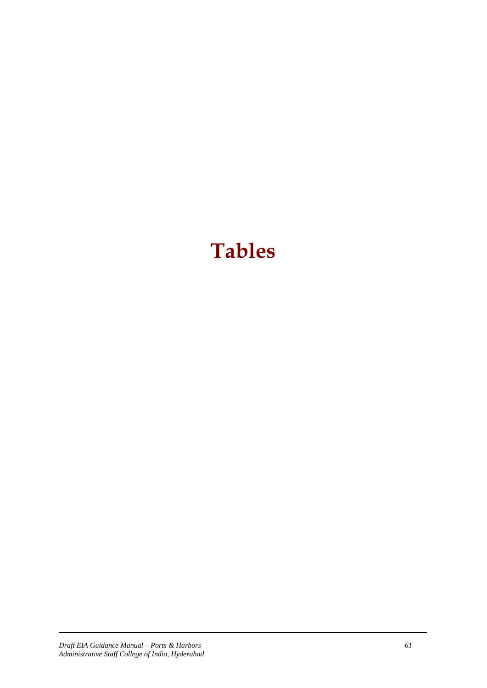# **Tables**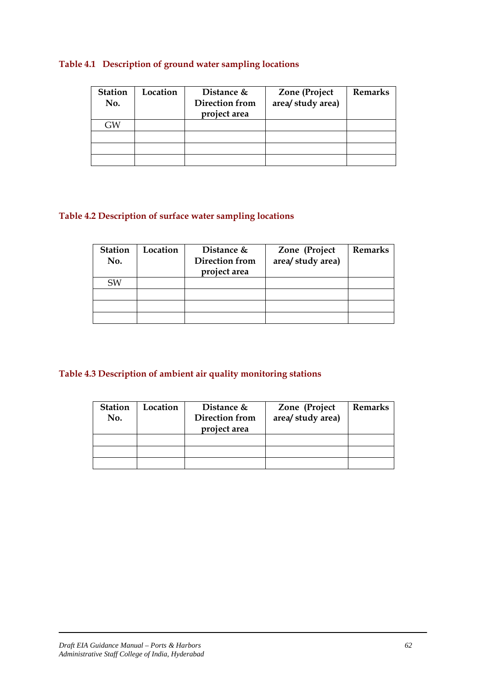# **Table 4.1 Description of ground water sampling locations**

| <b>Station</b><br>No. | Location | Distance &<br>Direction from<br>project area | <b>Zone</b> (Project<br>area/ study area) | <b>Remarks</b> |
|-----------------------|----------|----------------------------------------------|-------------------------------------------|----------------|
| GW                    |          |                                              |                                           |                |
|                       |          |                                              |                                           |                |
|                       |          |                                              |                                           |                |
|                       |          |                                              |                                           |                |

# **Table 4.2 Description of surface water sampling locations**

| <b>Station</b><br>No. | Location | Distance &<br><b>Direction from</b><br>project area | Zone (Project<br>area/ study area) | <b>Remarks</b> |
|-----------------------|----------|-----------------------------------------------------|------------------------------------|----------------|
| <b>SW</b>             |          |                                                     |                                    |                |
|                       |          |                                                     |                                    |                |
|                       |          |                                                     |                                    |                |
|                       |          |                                                     |                                    |                |

# **Table 4.3 Description of ambient air quality monitoring stations**

| <b>Station</b><br>No. | Location | Distance $&$<br>Direction from<br>project area | Zone (Project<br>area/ study area) | <b>Remarks</b> |
|-----------------------|----------|------------------------------------------------|------------------------------------|----------------|
|                       |          |                                                |                                    |                |
|                       |          |                                                |                                    |                |
|                       |          |                                                |                                    |                |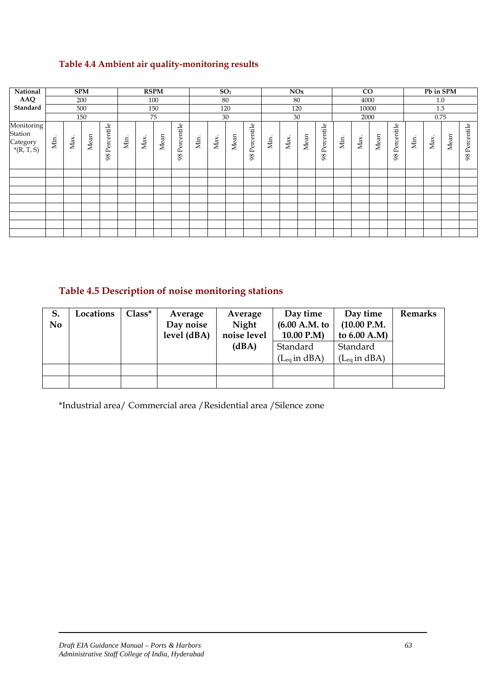# **Table 4.4 Ambient air quality-monitoring results**

| National<br><b>SPM</b>                            |      | <b>RSPM</b><br>SO <sub>2</sub> |      | NOx              |      |      | $\rm CO$ |                  |      |      | Pb in SPM |                  |      |      |      |                  |      |       |      |                  |      |      |      |               |
|---------------------------------------------------|------|--------------------------------|------|------------------|------|------|----------|------------------|------|------|-----------|------------------|------|------|------|------------------|------|-------|------|------------------|------|------|------|---------------|
| AAQ                                               |      |                                | 200  |                  |      |      | 100      |                  | 80   |      |           |                  | 80   |      |      | 4000             |      |       |      | 1.0              |      |      |      |               |
| Standard                                          |      |                                | 500  |                  |      |      | 150      |                  |      |      | 120       |                  |      | 120  |      |                  |      | 10000 |      |                  |      | 1.5  |      |               |
|                                                   |      |                                | 150  |                  |      |      | 75       |                  |      |      | 30        |                  |      | 30   |      |                  |      | 2000  |      |                  |      | 0.75 |      |               |
| Monitoring<br>Station<br>Category<br>$*(R, T, S)$ | Min. | Max.                           | Mean | Percentile<br>98 | Min. | Max. | Mean     | Percentile<br>98 | Min. | Max. | Mean      | Percentile<br>98 | Min. | Max. | Mean | Percentile<br>98 | Min. | Max.  | Mean | Percentile<br>98 | Min. | Max. | Mean | 98 Percentile |
|                                                   |      |                                |      |                  |      |      |          |                  |      |      |           |                  |      |      |      |                  |      |       |      |                  |      |      |      |               |
|                                                   |      |                                |      |                  |      |      |          |                  |      |      |           |                  |      |      |      |                  |      |       |      |                  |      |      |      |               |
|                                                   |      |                                |      |                  |      |      |          |                  |      |      |           |                  |      |      |      |                  |      |       |      |                  |      |      |      |               |
|                                                   |      |                                |      |                  |      |      |          |                  |      |      |           |                  |      |      |      |                  |      |       |      |                  |      |      |      |               |
|                                                   |      |                                |      |                  |      |      |          |                  |      |      |           |                  |      |      |      |                  |      |       |      |                  |      |      |      |               |
|                                                   |      |                                |      |                  |      |      |          |                  |      |      |           |                  |      |      |      |                  |      |       |      |                  |      |      |      |               |
|                                                   |      |                                |      |                  |      |      |          |                  |      |      |           |                  |      |      |      |                  |      |       |      |                  |      |      |      |               |
|                                                   |      |                                |      |                  |      |      |          |                  |      |      |           |                  |      |      |      |                  |      |       |      |                  |      |      |      |               |

# **Table 4.5 Description of noise monitoring stations**

| S.             | Locations | $Class^*$ | Average     | Average     | Day time          | Day time                   | <b>Remarks</b> |
|----------------|-----------|-----------|-------------|-------------|-------------------|----------------------------|----------------|
| N <sub>0</sub> |           |           | Day noise   | Night       | (6.00 A.M. to     | (10.00 P.M.                |                |
|                |           |           | level (dBA) | noise level | 10.00 P.M)        | to $6.00 A.M$ )            |                |
|                |           |           |             | (dBA)       | Standard          | Standard                   |                |
|                |           |           |             |             | $(L_{eq}$ in dBA) | $(L_{eq} \text{ in } dBA)$ |                |
|                |           |           |             |             |                   |                            |                |
|                |           |           |             |             |                   |                            |                |

\*Industrial area/ Commercial area /Residential area /Silence zone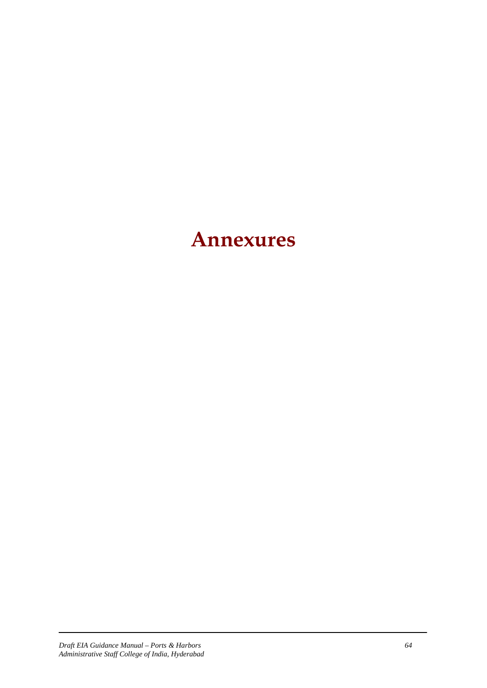# **Annexures**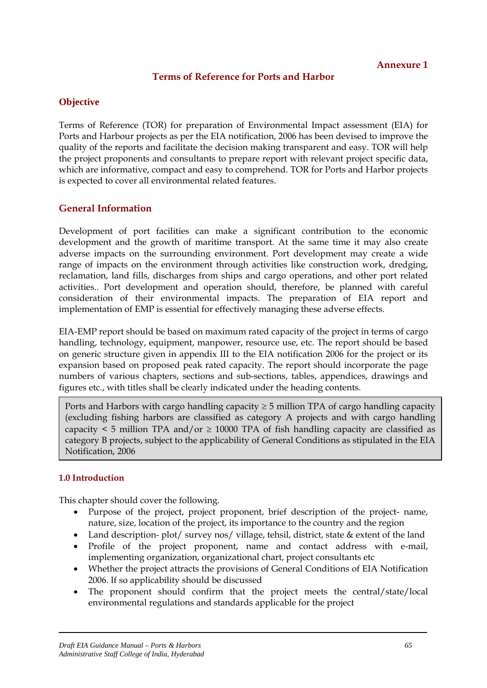# **Terms of Reference for Ports and Harbor**

# **Objective**

Terms of Reference (TOR) for preparation of Environmental Impact assessment (EIA) for Ports and Harbour projects as per the EIA notification, 2006 has been devised to improve the quality of the reports and facilitate the decision making transparent and easy. TOR will help the project proponents and consultants to prepare report with relevant project specific data, which are informative, compact and easy to comprehend. TOR for Ports and Harbor projects is expected to cover all environmental related features.

# **General Information**

Development of port facilities can make a significant contribution to the economic development and the growth of maritime transport. At the same time it may also create adverse impacts on the surrounding environment. Port development may create a wide range of impacts on the environment through activities like construction work, dredging, reclamation, land fills, discharges from ships and cargo operations, and other port related activities.. Port development and operation should, therefore, be planned with careful consideration of their environmental impacts. The preparation of EIA report and implementation of EMP is essential for effectively managing these adverse effects.

EIA-EMP report should be based on maximum rated capacity of the project in terms of cargo handling, technology, equipment, manpower, resource use, etc. The report should be based on generic structure given in appendix III to the EIA notification 2006 for the project or its expansion based on proposed peak rated capacity. The report should incorporate the page numbers of various chapters, sections and sub-sections, tables, appendices, drawings and figures etc., with titles shall be clearly indicated under the heading contents.

Ports and Harbors with cargo handling capacity  $\geq$  5 million TPA of cargo handling capacity (excluding fishing harbors are classified as category A projects and with cargo handling capacity  $\leq 5$  million TPA and/or  $\geq 10000$  TPA of fish handling capacity are classified as category B projects, subject to the applicability of General Conditions as stipulated in the EIA Notification, 2006

## **1.0 Introduction**

This chapter should cover the following.

- Purpose of the project, project proponent, brief description of the project- name, nature, size, location of the project, its importance to the country and the region
- Land description- plot/ survey nos/ village, tehsil, district, state & extent of the land
- Profile of the project proponent, name and contact address with e-mail, implementing organization, organizational chart, project consultants etc
- Whether the project attracts the provisions of General Conditions of EIA Notification 2006. If so applicability should be discussed
- The proponent should confirm that the project meets the central/state/local environmental regulations and standards applicable for the project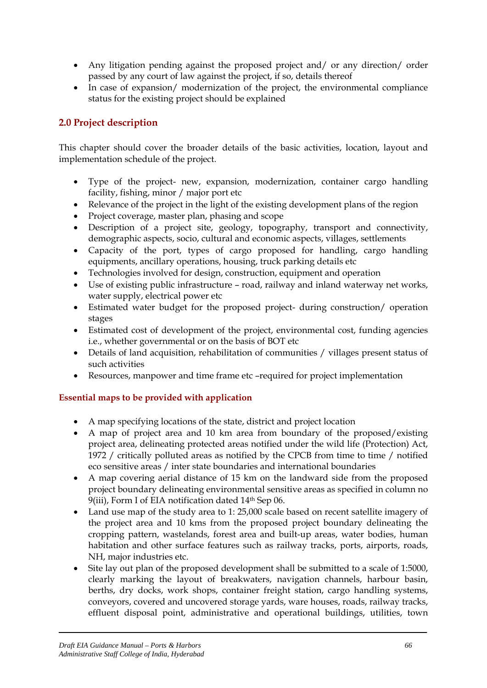- Any litigation pending against the proposed project and/ or any direction/ order passed by any court of law against the project, if so, details thereof
- In case of expansion/ modernization of the project, the environmental compliance status for the existing project should be explained

# **2.0 Project description**

This chapter should cover the broader details of the basic activities, location, layout and implementation schedule of the project.

- Type of the project- new, expansion, modernization, container cargo handling facility, fishing, minor / major port etc
- Relevance of the project in the light of the existing development plans of the region
- Project coverage, master plan, phasing and scope
- Description of a project site, geology, topography, transport and connectivity, demographic aspects, socio, cultural and economic aspects, villages, settlements
- Capacity of the port, types of cargo proposed for handling, cargo handling equipments, ancillary operations, housing, truck parking details etc
- Technologies involved for design, construction, equipment and operation
- Use of existing public infrastructure road, railway and inland waterway net works, water supply, electrical power etc
- Estimated water budget for the proposed project- during construction/ operation stages
- Estimated cost of development of the project, environmental cost, funding agencies i.e., whether governmental or on the basis of BOT etc
- Details of land acquisition, rehabilitation of communities / villages present status of such activities
- Resources, manpower and time frame etc –required for project implementation

# **Essential maps to be provided with application**

- A map specifying locations of the state, district and project location
- A map of project area and 10 km area from boundary of the proposed/existing project area, delineating protected areas notified under the wild life (Protection) Act, 1972 / critically polluted areas as notified by the CPCB from time to time / notified eco sensitive areas / inter state boundaries and international boundaries
- A map covering aerial distance of 15 km on the landward side from the proposed project boundary delineating environmental sensitive areas as specified in column no 9(iii), Form I of EIA notification dated 14<sup>th</sup> Sep 06.
- Land use map of the study area to 1: 25,000 scale based on recent satellite imagery of the project area and 10 kms from the proposed project boundary delineating the cropping pattern, wastelands, forest area and built-up areas, water bodies, human habitation and other surface features such as railway tracks, ports, airports, roads, NH, major industries etc.
- Site lay out plan of the proposed development shall be submitted to a scale of 1:5000, clearly marking the layout of breakwaters, navigation channels, harbour basin, berths, dry docks, work shops, container freight station, cargo handling systems, conveyors, covered and uncovered storage yards, ware houses, roads, railway tracks, effluent disposal point, administrative and operational buildings, utilities, town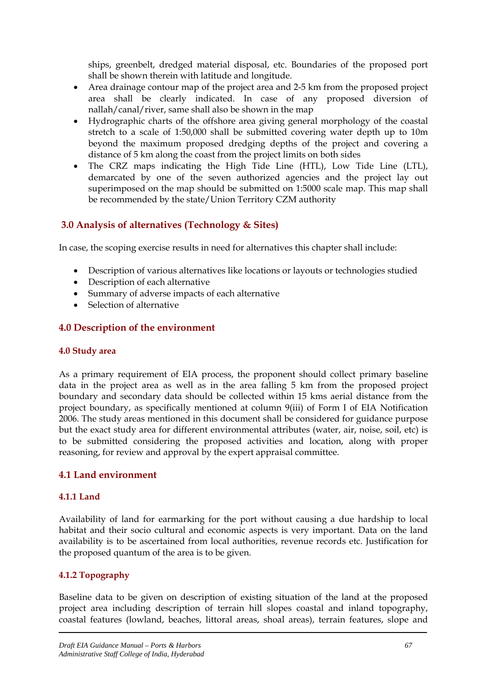ships, greenbelt, dredged material disposal, etc. Boundaries of the proposed port shall be shown therein with latitude and longitude.

- Area drainage contour map of the project area and 2-5 km from the proposed project area shall be clearly indicated. In case of any proposed diversion of nallah/canal/river, same shall also be shown in the map
- Hydrographic charts of the offshore area giving general morphology of the coastal stretch to a scale of 1:50,000 shall be submitted covering water depth up to 10m beyond the maximum proposed dredging depths of the project and covering a distance of 5 km along the coast from the project limits on both sides
- The CRZ maps indicating the High Tide Line (HTL), Low Tide Line (LTL), demarcated by one of the seven authorized agencies and the project lay out superimposed on the map should be submitted on 1:5000 scale map. This map shall be recommended by the state/Union Territory CZM authority

# **3.0 Analysis of alternatives (Technology & Sites)**

In case, the scoping exercise results in need for alternatives this chapter shall include:

- Description of various alternatives like locations or layouts or technologies studied
- Description of each alternative
- Summary of adverse impacts of each alternative
- Selection of alternative

# **4.0 Description of the environment**

## **4.0 Study area**

As a primary requirement of EIA process, the proponent should collect primary baseline data in the project area as well as in the area falling 5 km from the proposed project boundary and secondary data should be collected within 15 kms aerial distance from the project boundary, as specifically mentioned at column 9(iii) of Form I of EIA Notification 2006. The study areas mentioned in this document shall be considered for guidance purpose but the exact study area for different environmental attributes (water, air, noise, soil, etc) is to be submitted considering the proposed activities and location, along with proper reasoning, for review and approval by the expert appraisal committee.

# **4.1 Land environment**

# **4.1.1 Land**

Availability of land for earmarking for the port without causing a due hardship to local habitat and their socio cultural and economic aspects is very important. Data on the land availability is to be ascertained from local authorities, revenue records etc. Justification for the proposed quantum of the area is to be given.

# **4.1.2 Topography**

Baseline data to be given on description of existing situation of the land at the proposed project area including description of terrain hill slopes coastal and inland topography, coastal features (lowland, beaches, littoral areas, shoal areas), terrain features, slope and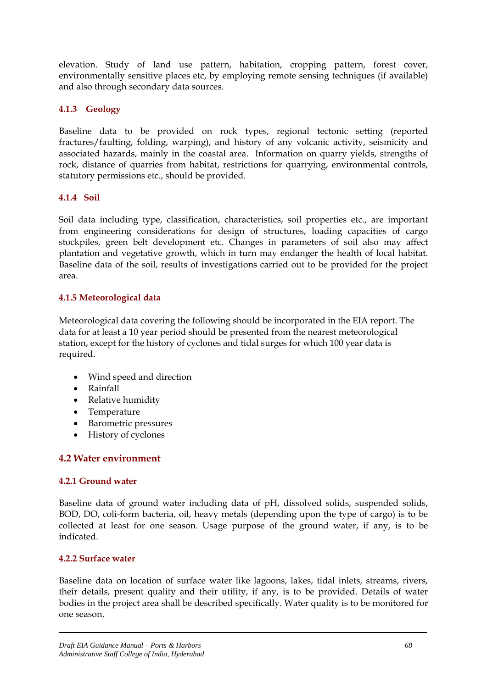elevation. Study of land use pattern, habitation, cropping pattern, forest cover, environmentally sensitive places etc, by employing remote sensing techniques (if available) and also through secondary data sources.

# **4.1.3 Geology**

Baseline data to be provided on rock types, regional tectonic setting (reported fractures/faulting, folding, warping), and history of any volcanic activity, seismicity and associated hazards, mainly in the coastal area. Information on quarry yields, strengths of rock, distance of quarries from habitat, restrictions for quarrying, environmental controls, statutory permissions etc., should be provided.

#### **4.1.4 Soil**

Soil data including type, classification, characteristics, soil properties etc., are important from engineering considerations for design of structures, loading capacities of cargo stockpiles, green belt development etc. Changes in parameters of soil also may affect plantation and vegetative growth, which in turn may endanger the health of local habitat. Baseline data of the soil, results of investigations carried out to be provided for the project area.

## **4.1.5 Meteorological data**

Meteorological data covering the following should be incorporated in the EIA report. The data for at least a 10 year period should be presented from the nearest meteorological station, except for the history of cyclones and tidal surges for which 100 year data is required.

- Wind speed and direction
- Rainfall
- Relative humidity
- Temperature
- Barometric pressures
- History of cyclones

## **4.2 Water environment**

## **4.2.1 Ground water**

Baseline data of ground water including data of pH, dissolved solids, suspended solids, BOD, DO, coli-form bacteria, oil, heavy metals (depending upon the type of cargo) is to be collected at least for one season. Usage purpose of the ground water, if any, is to be indicated.

## **4.2.2 Surface water**

Baseline data on location of surface water like lagoons, lakes, tidal inlets, streams, rivers, their details, present quality and their utility, if any, is to be provided. Details of water bodies in the project area shall be described specifically. Water quality is to be monitored for one season.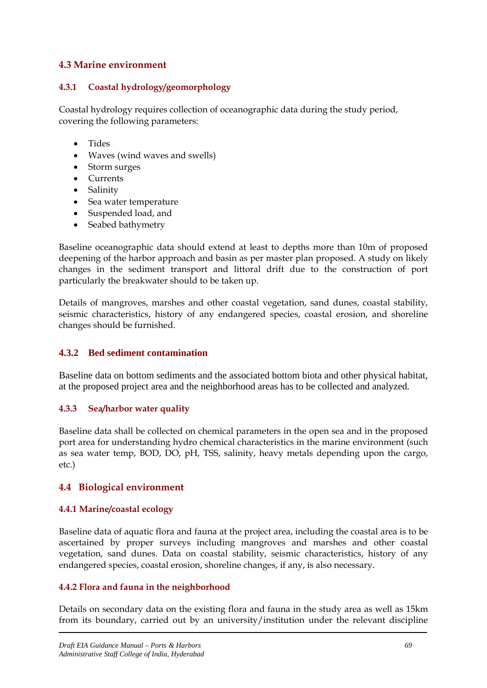# **4.3 Marine environment**

#### **4.3.1 Coastal hydrology/geomorphology**

Coastal hydrology requires collection of oceanographic data during the study period, covering the following parameters:

- Tides
- Waves (wind waves and swells)
- Storm surges
- Currents
- Salinity
- Sea water temperature
- Suspended load, and
- Seabed bathymetry

Baseline oceanographic data should extend at least to depths more than 10m of proposed deepening of the harbor approach and basin as per master plan proposed. A study on likely changes in the sediment transport and littoral drift due to the construction of port particularly the breakwater should to be taken up.

Details of mangroves, marshes and other coastal vegetation, sand dunes, coastal stability, seismic characteristics, history of any endangered species, coastal erosion, and shoreline changes should be furnished.

## **4.3.2 Bed sediment contamination**

Baseline data on bottom sediments and the associated bottom biota and other physical habitat, at the proposed project area and the neighborhood areas has to be collected and analyzed.

#### **4.3.3 Sea/harbor water quality**

Baseline data shall be collected on chemical parameters in the open sea and in the proposed port area for understanding hydro chemical characteristics in the marine environment (such as sea water temp, BOD, DO, pH, TSS, salinity, heavy metals depending upon the cargo, etc.)

## **4.4 Biological environment**

## **4.4.1 Marine/coastal ecology**

Baseline data of aquatic flora and fauna at the project area, including the coastal area is to be ascertained by proper surveys including mangroves and marshes and other coastal vegetation, sand dunes. Data on coastal stability, seismic characteristics, history of any endangered species, coastal erosion, shoreline changes, if any, is also necessary.

#### **4.4.2 Flora and fauna in the neighborhood**

Details on secondary data on the existing flora and fauna in the study area as well as 15km from its boundary, carried out by an university/institution under the relevant discipline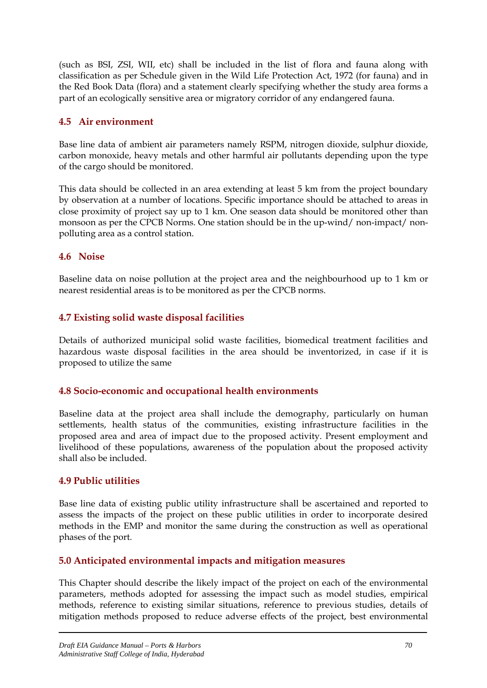(such as BSI, ZSI, WII, etc) shall be included in the list of flora and fauna along with classification as per Schedule given in the Wild Life Protection Act, 1972 (for fauna) and in the Red Book Data (flora) and a statement clearly specifying whether the study area forms a part of an ecologically sensitive area or migratory corridor of any endangered fauna.

# **4.5 Air environment**

Base line data of ambient air parameters namely RSPM, nitrogen dioxide, sulphur dioxide, carbon monoxide, heavy metals and other harmful air pollutants depending upon the type of the cargo should be monitored.

This data should be collected in an area extending at least 5 km from the project boundary by observation at a number of locations. Specific importance should be attached to areas in close proximity of project say up to 1 km. One season data should be monitored other than monsoon as per the CPCB Norms. One station should be in the up-wind/ non-impact/ nonpolluting area as a control station.

# **4.6 Noise**

Baseline data on noise pollution at the project area and the neighbourhood up to 1 km or nearest residential areas is to be monitored as per the CPCB norms.

# **4.7 Existing solid waste disposal facilities**

Details of authorized municipal solid waste facilities, biomedical treatment facilities and hazardous waste disposal facilities in the area should be inventorized, in case if it is proposed to utilize the same

# **4.8 Socio-economic and occupational health environments**

Baseline data at the project area shall include the demography, particularly on human settlements, health status of the communities, existing infrastructure facilities in the proposed area and area of impact due to the proposed activity. Present employment and livelihood of these populations, awareness of the population about the proposed activity shall also be included.

# **4.9 Public utilities**

Base line data of existing public utility infrastructure shall be ascertained and reported to assess the impacts of the project on these public utilities in order to incorporate desired methods in the EMP and monitor the same during the construction as well as operational phases of the port.

# **5.0 Anticipated environmental impacts and mitigation measures**

This Chapter should describe the likely impact of the project on each of the environmental parameters, methods adopted for assessing the impact such as model studies, empirical methods, reference to existing similar situations, reference to previous studies, details of mitigation methods proposed to reduce adverse effects of the project, best environmental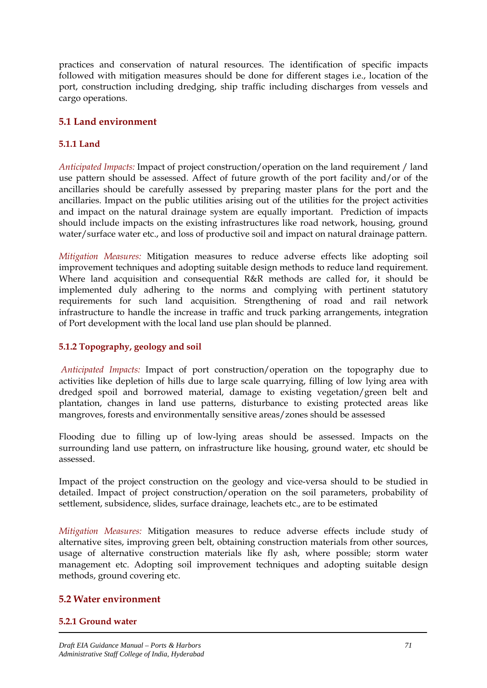practices and conservation of natural resources. The identification of specific impacts followed with mitigation measures should be done for different stages i.e., location of the port, construction including dredging, ship traffic including discharges from vessels and cargo operations.

# **5.1 Land environment**

## **5.1.1 Land**

*Anticipated Impacts:* Impact of project construction/operation on the land requirement / land use pattern should be assessed. Affect of future growth of the port facility and/or of the ancillaries should be carefully assessed by preparing master plans for the port and the ancillaries. Impact on the public utilities arising out of the utilities for the project activities and impact on the natural drainage system are equally important. Prediction of impacts should include impacts on the existing infrastructures like road network, housing, ground water/surface water etc., and loss of productive soil and impact on natural drainage pattern.

*Mitigation Measures:* Mitigation measures to reduce adverse effects like adopting soil improvement techniques and adopting suitable design methods to reduce land requirement. Where land acquisition and consequential R&R methods are called for, it should be implemented duly adhering to the norms and complying with pertinent statutory requirements for such land acquisition. Strengthening of road and rail network infrastructure to handle the increase in traffic and truck parking arrangements, integration of Port development with the local land use plan should be planned.

#### **5.1.2 Topography, geology and soil**

 *Anticipated Impacts:* Impact of port construction/operation on the topography due to activities like depletion of hills due to large scale quarrying, filling of low lying area with dredged spoil and borrowed material, damage to existing vegetation/green belt and plantation, changes in land use patterns, disturbance to existing protected areas like mangroves, forests and environmentally sensitive areas/zones should be assessed

Flooding due to filling up of low-lying areas should be assessed. Impacts on the surrounding land use pattern, on infrastructure like housing, ground water, etc should be assessed.

Impact of the project construction on the geology and vice-versa should to be studied in detailed. Impact of project construction/operation on the soil parameters, probability of settlement, subsidence, slides, surface drainage, leachets etc., are to be estimated

*Mitigation Measures:* Mitigation measures to reduce adverse effects include study of alternative sites, improving green belt, obtaining construction materials from other sources, usage of alternative construction materials like fly ash, where possible; storm water management etc. Adopting soil improvement techniques and adopting suitable design methods, ground covering etc.

## **5.2 Water environment**

#### **5.2.1 Ground water**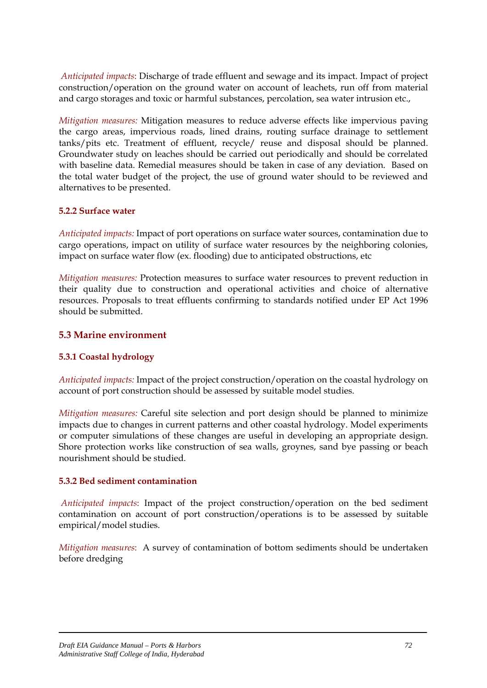*Anticipated impacts*: Discharge of trade effluent and sewage and its impact. Impact of project construction/operation on the ground water on account of leachets, run off from material and cargo storages and toxic or harmful substances, percolation, sea water intrusion etc.,

*Mitigation measures:* Mitigation measures to reduce adverse effects like impervious paving the cargo areas, impervious roads, lined drains, routing surface drainage to settlement tanks/pits etc. Treatment of effluent, recycle/ reuse and disposal should be planned. Groundwater study on leaches should be carried out periodically and should be correlated with baseline data. Remedial measures should be taken in case of any deviation. Based on the total water budget of the project, the use of ground water should to be reviewed and alternatives to be presented.

#### **5.2.2 Surface water**

*Anticipated impacts:* Impact of port operations on surface water sources, contamination due to cargo operations, impact on utility of surface water resources by the neighboring colonies, impact on surface water flow (ex. flooding) due to anticipated obstructions, etc

*Mitigation measures:* Protection measures to surface water resources to prevent reduction in their quality due to construction and operational activities and choice of alternative resources. Proposals to treat effluents confirming to standards notified under EP Act 1996 should be submitted.

#### **5.3 Marine environment**

#### **5.3.1 Coastal hydrology**

*Anticipated impacts:* Impact of the project construction/operation on the coastal hydrology on account of port construction should be assessed by suitable model studies.

*Mitigation measures:* Careful site selection and port design should be planned to minimize impacts due to changes in current patterns and other coastal hydrology. Model experiments or computer simulations of these changes are useful in developing an appropriate design. Shore protection works like construction of sea walls, groynes, sand bye passing or beach nourishment should be studied.

#### **5.3.2 Bed sediment contamination**

 *Anticipated impacts*: Impact of the project construction/operation on the bed sediment contamination on account of port construction/operations is to be assessed by suitable empirical/model studies.

*Mitigation measures*: A survey of contamination of bottom sediments should be undertaken before dredging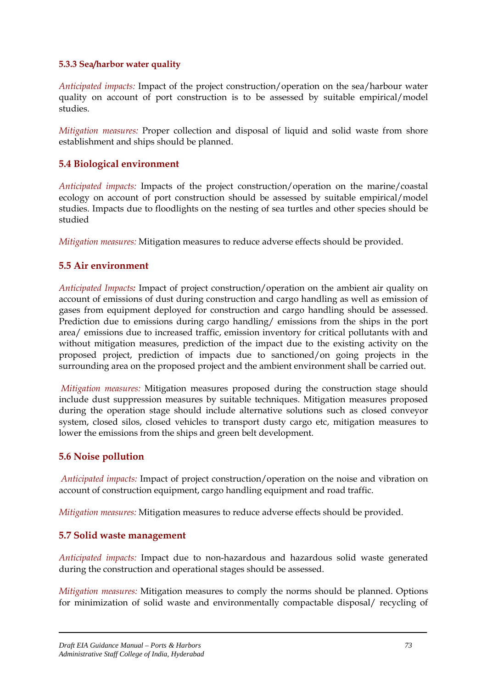#### **5.3.3 Sea/harbor water quality**

*Anticipated impacts:* Impact of the project construction/operation on the sea/harbour water quality on account of port construction is to be assessed by suitable empirical/model studies.

*Mitigation measures:* Proper collection and disposal of liquid and solid waste from shore establishment and ships should be planned.

## **5.4 Biological environment**

*Anticipated impacts:* Impacts of the project construction/operation on the marine/coastal ecology on account of port construction should be assessed by suitable empirical/model studies. Impacts due to floodlights on the nesting of sea turtles and other species should be studied

*Mitigation measures:* Mitigation measures to reduce adverse effects should be provided.

## **5.5 Air environment**

*Anticipated Impacts:* Impact of project construction/operation on the ambient air quality on account of emissions of dust during construction and cargo handling as well as emission of gases from equipment deployed for construction and cargo handling should be assessed. Prediction due to emissions during cargo handling/ emissions from the ships in the port area/ emissions due to increased traffic, emission inventory for critical pollutants with and without mitigation measures, prediction of the impact due to the existing activity on the proposed project, prediction of impacts due to sanctioned/on going projects in the surrounding area on the proposed project and the ambient environment shall be carried out.

 *Mitigation measures:* Mitigation measures proposed during the construction stage should include dust suppression measures by suitable techniques. Mitigation measures proposed during the operation stage should include alternative solutions such as closed conveyor system, closed silos, closed vehicles to transport dusty cargo etc, mitigation measures to lower the emissions from the ships and green belt development.

## **5.6 Noise pollution**

 *Anticipated impacts:* Impact of project construction/operation on the noise and vibration on account of construction equipment, cargo handling equipment and road traffic.

*Mitigation measures:* Mitigation measures to reduce adverse effects should be provided.

#### **5.7 Solid waste management**

*Anticipated impacts:* Impact due to non-hazardous and hazardous solid waste generated during the construction and operational stages should be assessed.

*Mitigation measures:* Mitigation measures to comply the norms should be planned. Options for minimization of solid waste and environmentally compactable disposal/ recycling of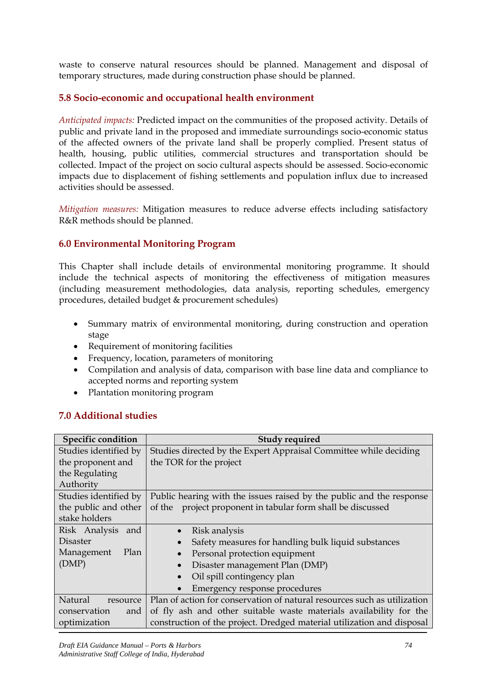waste to conserve natural resources should be planned. Management and disposal of temporary structures, made during construction phase should be planned.

## **5.8 Socio-economic and occupational health environment**

*Anticipated impacts:* Predicted impact on the communities of the proposed activity. Details of public and private land in the proposed and immediate surroundings socio-economic status of the affected owners of the private land shall be properly complied. Present status of health, housing, public utilities, commercial structures and transportation should be collected. Impact of the project on socio cultural aspects should be assessed. Socio-economic impacts due to displacement of fishing settlements and population influx due to increased activities should be assessed.

*Mitigation measures:* Mitigation measures to reduce adverse effects including satisfactory R&R methods should be planned.

## **6.0 Environmental Monitoring Program**

This Chapter shall include details of environmental monitoring programme. It should include the technical aspects of monitoring the effectiveness of mitigation measures (including measurement methodologies, data analysis, reporting schedules, emergency procedures, detailed budget & procurement schedules)

- Summary matrix of environmental monitoring, during construction and operation stage
- Requirement of monitoring facilities
- Frequency, location, parameters of monitoring
- Compilation and analysis of data, comparison with base line data and compliance to accepted norms and reporting system
- Plantation monitoring program

## **7.0 Additional studies**

| <b>Specific condition</b> | <b>Study required</b>                                                    |
|---------------------------|--------------------------------------------------------------------------|
| Studies identified by     | Studies directed by the Expert Appraisal Committee while deciding        |
| the proponent and         | the TOR for the project                                                  |
| the Regulating            |                                                                          |
| Authority                 |                                                                          |
| Studies identified by     | Public hearing with the issues raised by the public and the response     |
| the public and other      | project proponent in tabular form shall be discussed<br>of the           |
| stake holders             |                                                                          |
| Risk Analysis<br>and      | Risk analysis                                                            |
| Disaster                  | Safety measures for handling bulk liquid substances                      |
| Management<br>Plan        | Personal protection equipment                                            |
| (DMP)                     | Disaster management Plan (DMP)                                           |
|                           | Oil spill contingency plan                                               |
|                           | Emergency response procedures                                            |
| Natural<br>resource       | Plan of action for conservation of natural resources such as utilization |
| conservation<br>and       | of fly ash and other suitable waste materials availability for the       |
| optimization              | construction of the project. Dredged material utilization and disposal   |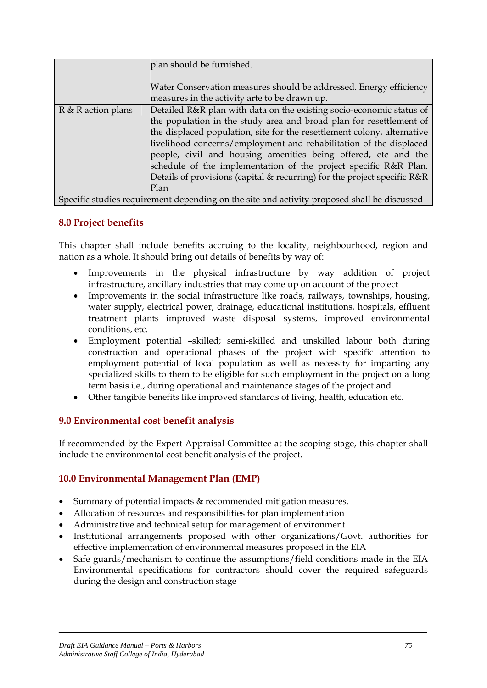|                    | plan should be furnished.                                                                                           |  |  |
|--------------------|---------------------------------------------------------------------------------------------------------------------|--|--|
|                    | Water Conservation measures should be addressed. Energy efficiency<br>measures in the activity arte to be drawn up. |  |  |
| R & R action plans | Detailed R&R plan with data on the existing socio-economic status of                                                |  |  |
|                    | the population in the study area and broad plan for resettlement of                                                 |  |  |
|                    | the displaced population, site for the resettlement colony, alternative                                             |  |  |
|                    | livelihood concerns/employment and rehabilitation of the displaced                                                  |  |  |
|                    | people, civil and housing amenities being offered, etc and the                                                      |  |  |
|                    | schedule of the implementation of the project specific R&R Plan.                                                    |  |  |
|                    | Details of provisions (capital & recurring) for the project specific R&R                                            |  |  |
|                    | Plan                                                                                                                |  |  |
|                    | Specific studies requirement depending on the site and activity proposed shall be discussed                         |  |  |

#### **8.0 Project benefits**

This chapter shall include benefits accruing to the locality, neighbourhood, region and nation as a whole. It should bring out details of benefits by way of:

- Improvements in the physical infrastructure by way addition of project infrastructure, ancillary industries that may come up on account of the project
- Improvements in the social infrastructure like roads, railways, townships, housing, water supply, electrical power, drainage, educational institutions, hospitals, effluent treatment plants improved waste disposal systems, improved environmental conditions, etc.
- Employment potential –skilled; semi-skilled and unskilled labour both during construction and operational phases of the project with specific attention to employment potential of local population as well as necessity for imparting any specialized skills to them to be eligible for such employment in the project on a long term basis i.e., during operational and maintenance stages of the project and
- Other tangible benefits like improved standards of living, health, education etc.

#### **9.0 Environmental cost benefit analysis**

If recommended by the Expert Appraisal Committee at the scoping stage, this chapter shall include the environmental cost benefit analysis of the project.

## **10.0 Environmental Management Plan (EMP)**

- Summary of potential impacts & recommended mitigation measures.
- Allocation of resources and responsibilities for plan implementation
- Administrative and technical setup for management of environment
- Institutional arrangements proposed with other organizations/Govt. authorities for effective implementation of environmental measures proposed in the EIA
- Safe guards/mechanism to continue the assumptions/field conditions made in the EIA Environmental specifications for contractors should cover the required safeguards during the design and construction stage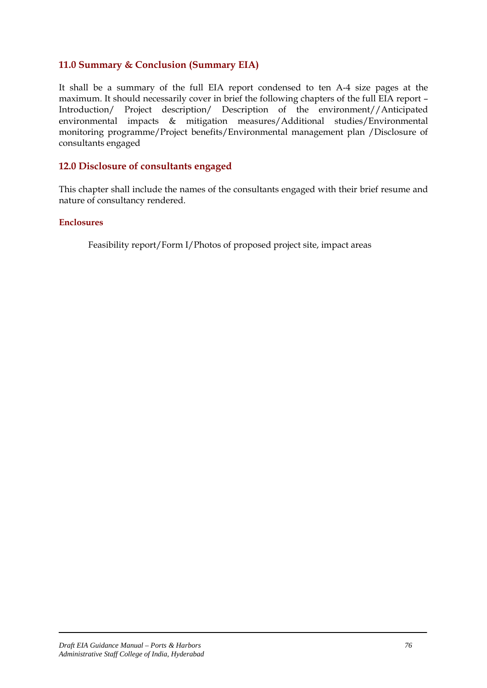## **11.0 Summary & Conclusion (Summary EIA)**

It shall be a summary of the full EIA report condensed to ten A-4 size pages at the maximum. It should necessarily cover in brief the following chapters of the full EIA report – Introduction/ Project description/ Description of the environment//Anticipated environmental impacts & mitigation measures/Additional studies/Environmental monitoring programme/Project benefits/Environmental management plan /Disclosure of consultants engaged

#### **12.0 Disclosure of consultants engaged**

This chapter shall include the names of the consultants engaged with their brief resume and nature of consultancy rendered.

#### **Enclosures**

Feasibility report/Form I/Photos of proposed project site, impact areas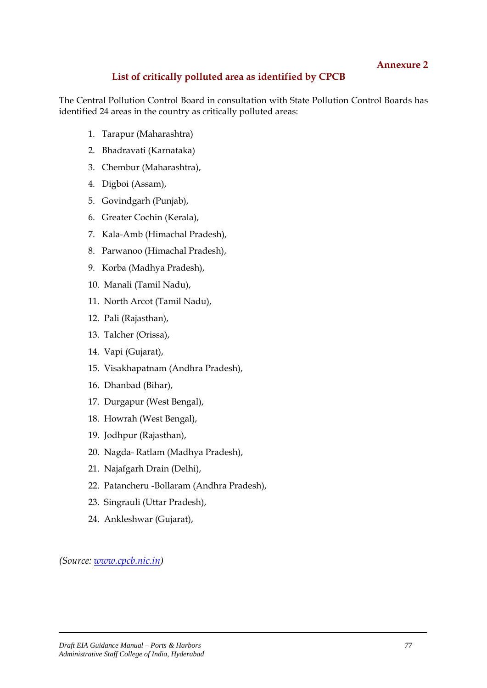## **List of critically polluted area as identified by CPCB**

The Central Pollution Control Board in consultation with State Pollution Control Boards has identified 24 areas in the country as critically polluted areas:

- 1. Tarapur (Maharashtra)
- 2. Bhadravati (Karnataka)
- 3. Chembur (Maharashtra),
- 4. Digboi (Assam),
- 5. Govindgarh (Punjab),
- 6. Greater Cochin (Kerala),
- 7. Kala-Amb (Himachal Pradesh),
- 8. Parwanoo (Himachal Pradesh),
- 9. Korba (Madhya Pradesh),
- 10. Manali (Tamil Nadu),
- 11. North Arcot (Tamil Nadu),
- 12. Pali (Rajasthan),
- 13. Talcher (Orissa),
- 14. Vapi (Gujarat),
- 15. Visakhapatnam (Andhra Pradesh),
- 16. Dhanbad (Bihar),
- 17. Durgapur (West Bengal),
- 18. Howrah (West Bengal),
- 19. Jodhpur (Rajasthan),
- 20. Nagda- Ratlam (Madhya Pradesh),
- 21. Najafgarh Drain (Delhi),
- 22. Patancheru -Bollaram (Andhra Pradesh),
- 23. Singrauli (Uttar Pradesh),
- 24. Ankleshwar (Gujarat),

*(Source: [www.cpcb.nic.in](http://www.cpcb.nic.in/))*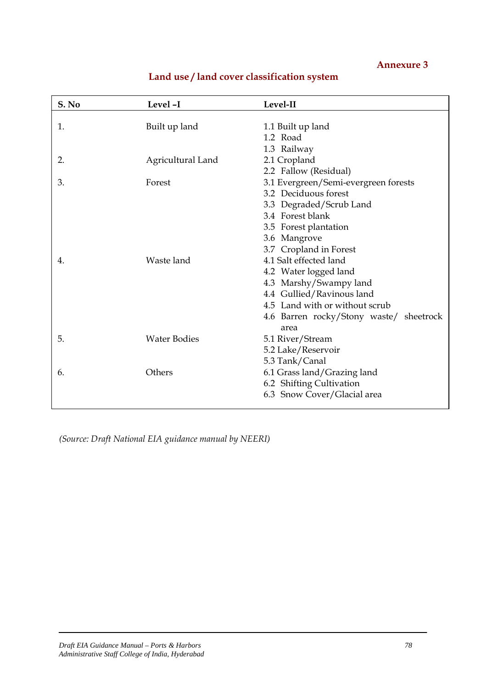| S. No | Level-I             | Level-II                                |
|-------|---------------------|-----------------------------------------|
|       |                     |                                         |
| 1.    | Built up land       | 1.1 Built up land                       |
|       |                     | 1.2 Road                                |
|       |                     | 1.3 Railway                             |
| 2.    | Agricultural Land   | 2.1 Cropland                            |
|       |                     | 2.2 Fallow (Residual)                   |
| 3.    | Forest              | 3.1 Evergreen/Semi-evergreen forests    |
|       |                     | 3.2 Deciduous forest                    |
|       |                     | 3.3 Degraded/Scrub Land                 |
|       |                     | 3.4 Forest blank                        |
|       |                     | 3.5 Forest plantation                   |
|       |                     | 3.6 Mangrove                            |
|       |                     | 3.7 Cropland in Forest                  |
| 4.    | Waste land          | 4.1 Salt effected land                  |
|       |                     | 4.2 Water logged land                   |
|       |                     | 4.3 Marshy/Swampy land                  |
|       |                     | 4.4 Gullied/Ravinous land               |
|       |                     | 4.5 Land with or without scrub          |
|       |                     | 4.6 Barren rocky/Stony waste/ sheetrock |
|       |                     | area                                    |
| 5.    | <b>Water Bodies</b> | 5.1 River/Stream                        |
|       |                     | 5.2 Lake/Reservoir                      |
|       |                     | 5.3 Tank/Canal                          |
| 6.    | Others              | 6.1 Grass land/Grazing land             |
|       |                     | 6.2 Shifting Cultivation                |
|       |                     | 6.3 Snow Cover/Glacial area             |
|       |                     |                                         |

## **Land use / land cover classification system**

*(Source: Draft National EIA guidance manual by NEERI)*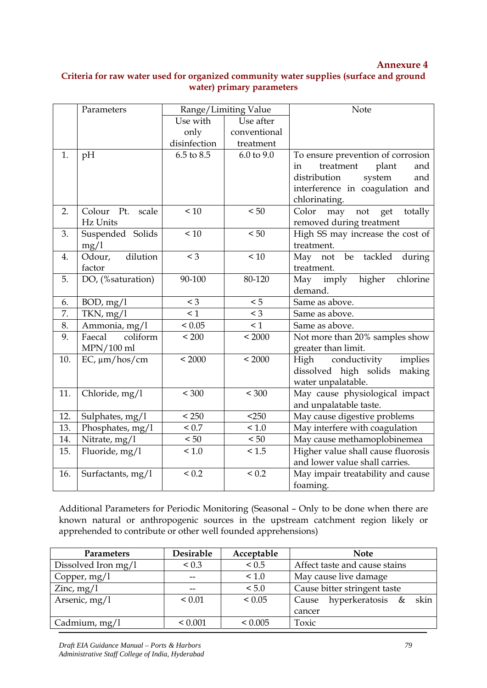### **Criteria for raw water used for organized community water supplies (surface and ground water) primary parameters**

|     | Parameters                  |                | Range/Limiting Value | Note                               |
|-----|-----------------------------|----------------|----------------------|------------------------------------|
|     |                             | Use with       | Use after            |                                    |
|     |                             | only           | conventional         |                                    |
|     |                             | disinfection   | treatment            |                                    |
| 1.  | pH                          | $6.5$ to $8.5$ | 6.0 to 9.0           | To ensure prevention of corrosion  |
|     |                             |                |                      | treatment<br>plant<br>and<br>in    |
|     |                             |                |                      | distribution<br>system<br>and      |
|     |                             |                |                      | interference in coagulation and    |
|     |                             |                |                      | chlorinating.                      |
| 2.  | Colour Pt.<br>scale         | < 10           | < 50                 | may not get<br>Color<br>totally    |
|     | Hz Units                    |                |                      | removed during treatment           |
| 3.  | Suspended Solids            | < 10           | < 50                 | High SS may increase the cost of   |
|     | mg/1                        |                |                      | treatment.                         |
| 4.  | dilution<br>Odour,          | $\leq 3$       | < 10                 | May not be<br>tackled<br>during    |
|     | factor                      |                |                      | treatment.                         |
| 5.  | DO, (%saturation)           | 90-100         | 80-120               | higher<br>May<br>imply<br>chlorine |
|     |                             |                |                      | demand.                            |
| 6.  | BOD, mg/1                   | $<$ 3          | < 5                  | Same as above.                     |
| 7.  | TKN, mg/1                   | $\leq 1$       | $<$ 3                | Same as above.                     |
| 8.  | Ammonia, mg/l               | ${}< 0.05$     | $\leq 1$             | Same as above.                     |
| 9.  | Faecal<br>coliform          | < 200          | < 2000               | Not more than 20% samples show     |
|     | $MPN/100$ ml                |                |                      | greater than limit.                |
| 10. | $EC, \mu m / \text{hos/cm}$ | < 2000         | < 2000               | High conductivity<br>implies       |
|     |                             |                |                      | dissolved high solids<br>making    |
|     |                             |                |                      | water unpalatable.                 |
| 11. | Chloride, mg/l              | < 300          | < 300                | May cause physiological impact     |
|     |                             |                |                      | and unpalatable taste.             |
| 12. | Sulphates, mg/l             | < 250          | $<$ 250              | May cause digestive problems       |
| 13. | Phosphates, mg/l            | ${}_{0.7}$     | 1.0                  | May interfere with coagulation     |
| 14. | Nitrate, mg/l               | $< 50$         | $< 50\,$             | May cause methamoplobinemea        |
| 15. | Fluoride, mg/l              | < 1.0          | < 1.5                | Higher value shall cause fluorosis |
|     |                             |                |                      | and lower value shall carries.     |
| 16. | Surfactants, mg/l           | ${}_{0.2}$     | ${}_{0.2}$           | May impair treatability and cause  |
|     |                             |                |                      | foaming.                           |

Additional Parameters for Periodic Monitoring (Seasonal – Only to be done when there are known natural or anthropogenic sources in the upstream catchment region likely or apprehended to contribute or other well founded apprehensions)

| <b>Parameters</b>   | Desirable  | Acceptable   | <b>Note</b>                       |
|---------------------|------------|--------------|-----------------------------------|
| Dissolved Iron mg/1 | ${}_{0.3}$ | ${}_{0.5}$   | Affect taste and cause stains     |
| Copper, $mg/l$      |            | < 1.0        | May cause live damage             |
| Zinc, $mg/l$        |            | < 5.0        | Cause bitter stringent taste      |
| Arsenic, $mg/l$     | ${}< 0.01$ | ${}_{0.05}$  | hyperkeratosis &<br>skin<br>Cause |
|                     |            |              | cancer                            |
| Cadmium, $mg/l$     | < 0.001    | ${}_{0.005}$ | Toxic                             |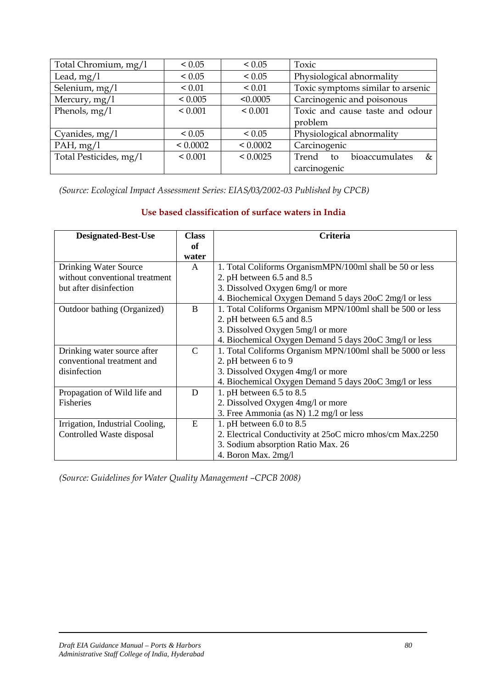| Total Chromium, mg/l   | ${}< 0.05$   | ${}_{0.05}$  | Toxic                              |
|------------------------|--------------|--------------|------------------------------------|
| Lead, $mg/1$           | ${}_{0.05}$  | ${}< 0.05$   | Physiological abnormality          |
| Selenium, mg/l         | ${}_{0.01}$  | ${}_{0.01}$  | Toxic symptoms similar to arsenic  |
| Mercury, mg/l          | < 0.005      | < 0.0005     | Carcinogenic and poisonous         |
| Phenols, $mg/l$        | < 0.001      | ${}< 0.001$  | Toxic and cause taste and odour    |
|                        |              |              | problem                            |
| Cyanides, mg/l         | ${}_{0.05}$  | ${}_{0.05}$  | Physiological abnormality          |
| PAH, mg/l              | ${}< 0.0002$ | ${}< 0.0002$ | Carcinogenic                       |
| Total Pesticides, mg/l | ${}< 0.001$  | < 0.0025     | bioaccumulates<br>Trend to<br>$\&$ |
|                        |              |              | carcinogenic                       |

*(Source: Ecological Impact Assessment Series: EIAS/03/2002-03 Published by CPCB)* 

## **Use based classification of surface waters in India**

| <b>Designated-Best-Use</b>      | <b>Class</b> | <b>Criteria</b>                                             |  |
|---------------------------------|--------------|-------------------------------------------------------------|--|
|                                 | оf           |                                                             |  |
|                                 | water        |                                                             |  |
| Drinking Water Source           | A            | 1. Total Coliforms OrganismMPN/100ml shall be 50 or less    |  |
| without conventional treatment  |              | 2. pH between 6.5 and 8.5                                   |  |
| but after disinfection          |              | 3. Dissolved Oxygen 6mg/l or more                           |  |
|                                 |              | 4. Biochemical Oxygen Demand 5 days 20oC 2mg/l or less      |  |
| Outdoor bathing (Organized)     | B            | 1. Total Coliforms Organism MPN/100ml shall be 500 or less  |  |
|                                 |              | 2. pH between 6.5 and 8.5                                   |  |
|                                 |              | 3. Dissolved Oxygen 5mg/l or more                           |  |
|                                 |              | 4. Biochemical Oxygen Demand 5 days 20oC 3mg/l or less      |  |
| Drinking water source after     | C            | 1. Total Coliforms Organism MPN/100ml shall be 5000 or less |  |
| conventional treatment and      |              | 2. pH between 6 to 9                                        |  |
| disinfection                    |              | 3. Dissolved Oxygen 4mg/l or more                           |  |
|                                 |              | 4. Biochemical Oxygen Demand 5 days 20oC 3mg/l or less      |  |
| Propagation of Wild life and    | D            | 1. pH between $6.5$ to $8.5$                                |  |
| <b>Fisheries</b>                |              | 2. Dissolved Oxygen 4mg/l or more                           |  |
|                                 |              | 3. Free Ammonia (as N) 1.2 mg/l or less                     |  |
| Irrigation, Industrial Cooling, | E            | 1. pH between $6.0$ to $8.5$                                |  |
| Controlled Waste disposal       |              | 2. Electrical Conductivity at 25oC micro mhos/cm Max.2250   |  |
|                                 |              | 3. Sodium absorption Ratio Max. 26                          |  |
|                                 |              | 4. Boron Max. 2mg/l                                         |  |

*(Source: Guidelines for Water Quality Management –CPCB 2008)*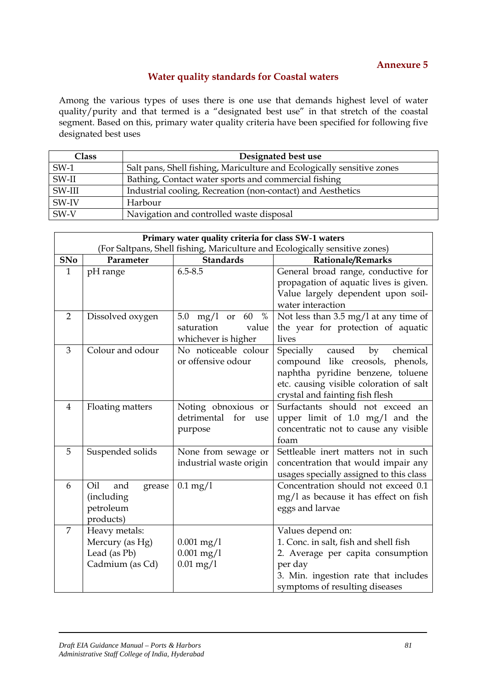## **Water quality standards for Coastal waters**

Among the various types of uses there is one use that demands highest level of water quality/purity and that termed is a "designated best use" in that stretch of the coastal segment. Based on this, primary water quality criteria have been specified for following five designated best uses

| <b>Class</b> | Designated best use                                                    |
|--------------|------------------------------------------------------------------------|
| $SW-1$       | Salt pans, Shell fishing, Mariculture and Ecologically sensitive zones |
| $SW-II$      | Bathing, Contact water sports and commercial fishing                   |
| SW-III       | Industrial cooling, Recreation (non-contact) and Aesthetics            |
| $SW-IV$      | Harbour                                                                |
| SW-V         | Navigation and controlled waste disposal                               |

|                | Primary water quality criteria for class SW-1 waters                        |                           |                                                 |  |  |
|----------------|-----------------------------------------------------------------------------|---------------------------|-------------------------------------------------|--|--|
|                | (For Saltpans, Shell fishing, Mariculture and Ecologically sensitive zones) |                           |                                                 |  |  |
| <b>SNo</b>     | Parameter                                                                   | <b>Standards</b>          | <b>Rationale/Remarks</b>                        |  |  |
| $\mathbf{1}$   | pH range                                                                    | $6.5 - 8.5$               | General broad range, conductive for             |  |  |
|                |                                                                             |                           | propagation of aquatic lives is given.          |  |  |
|                |                                                                             |                           | Value largely dependent upon soil-              |  |  |
|                |                                                                             |                           | water interaction                               |  |  |
| 2              | Dissolved oxygen                                                            | 5.0 mg/l or $60$<br>$\%$  | Not less than $3.5 \text{ mg}/1$ at any time of |  |  |
|                |                                                                             | saturation<br>value       | the year for protection of aquatic              |  |  |
|                |                                                                             | whichever is higher       | lives                                           |  |  |
| 3              | Colour and odour                                                            | No noticeable colour      | Specially caused<br>by<br>chemical              |  |  |
|                |                                                                             | or offensive odour        | compound like creosols, phenols,                |  |  |
|                |                                                                             |                           | naphtha pyridine benzene, toluene               |  |  |
|                |                                                                             |                           | etc. causing visible coloration of salt         |  |  |
|                |                                                                             |                           | crystal and fainting fish flesh                 |  |  |
| 4              | Floating matters                                                            | Noting obnoxious or       | Surfactants should not exceed an                |  |  |
|                |                                                                             | detrimental<br>for<br>use | upper limit of $1.0 \text{ mg/l}$ and the       |  |  |
|                |                                                                             | purpose                   | concentratic not to cause any visible           |  |  |
|                |                                                                             |                           | foam                                            |  |  |
| 5              | Suspended solids                                                            | None from sewage or       | Settleable inert matters not in such            |  |  |
|                |                                                                             | industrial waste origin   | concentration that would impair any             |  |  |
|                |                                                                             |                           | usages specially assigned to this class         |  |  |
| 6              | Oil<br>and<br>grease                                                        | $0.1 \,\mathrm{mg}/1$     | Concentration should not exceed 0.1             |  |  |
|                | (including                                                                  |                           | mg/l as because it has effect on fish           |  |  |
|                | petroleum                                                                   |                           | eggs and larvae                                 |  |  |
|                | products)                                                                   |                           |                                                 |  |  |
| $\overline{7}$ | Heavy metals:                                                               |                           | Values depend on:                               |  |  |
|                | Mercury (as Hg)                                                             | $0.001$ mg/1              | 1. Conc. in salt, fish and shell fish           |  |  |
|                | Lead (as Pb)                                                                | $0.001$ mg/ $1$           | 2. Average per capita consumption               |  |  |
|                | Cadmium (as Cd)                                                             | $0.01$ mg/l               | per day                                         |  |  |
|                |                                                                             |                           | 3. Min. ingestion rate that includes            |  |  |
|                |                                                                             |                           | symptoms of resulting diseases                  |  |  |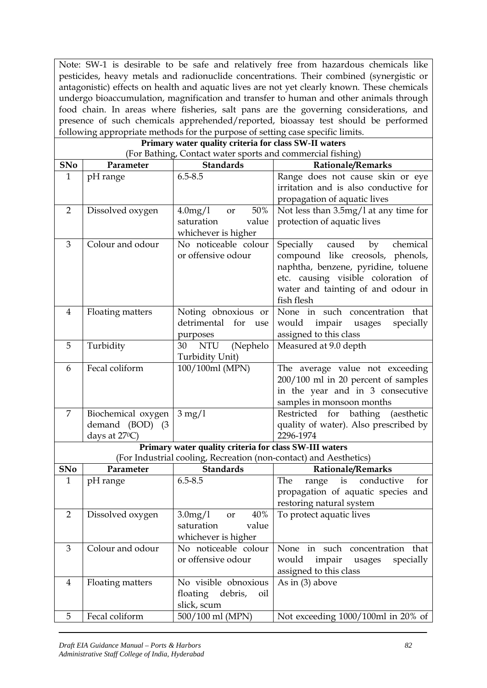Note: SW-1 is desirable to be safe and relatively free from hazardous chemicals like pesticides, heavy metals and radionuclide concentrations. Their combined (synergistic or antagonistic) effects on health and aquatic lives are not yet clearly known. These chemicals undergo bioaccumulation, magnification and transfer to human and other animals through food chain. In areas where fisheries, salt pans are the governing considerations, and presence of such chemicals apprehended/reported, bioassay test should be performed following appropriate methods for the purpose of setting case specific limits.

|                | Primary water quality criteria for class SW-II waters |                                                                   |                                        |  |  |  |
|----------------|-------------------------------------------------------|-------------------------------------------------------------------|----------------------------------------|--|--|--|
|                |                                                       | (For Bathing, Contact water sports and commercial fishing)        |                                        |  |  |  |
| <b>SNo</b>     | Parameter                                             | <b>Standards</b>                                                  | Rationale/Remarks                      |  |  |  |
| $\mathbf{1}$   | pH range                                              | $6.5 - 8.5$                                                       | Range does not cause skin or eye       |  |  |  |
|                |                                                       |                                                                   | irritation and is also conductive for  |  |  |  |
|                |                                                       |                                                                   | propagation of aquatic lives           |  |  |  |
| 2              | Dissolved oxygen                                      | 50%<br>$4.0 \text{mg}/1$<br>or                                    | Not less than 3.5mg/1 at any time for  |  |  |  |
|                |                                                       | saturation<br>value                                               | protection of aquatic lives            |  |  |  |
|                |                                                       | whichever is higher                                               |                                        |  |  |  |
| 3              | Colour and odour                                      | No noticeable colour                                              | Specially<br>caused<br>chemical<br>by  |  |  |  |
|                |                                                       | or offensive odour                                                | compound like creosols, phenols,       |  |  |  |
|                |                                                       |                                                                   | naphtha, benzene, pyridine, toluene    |  |  |  |
|                |                                                       |                                                                   | etc. causing visible coloration of     |  |  |  |
|                |                                                       |                                                                   | water and tainting of and odour in     |  |  |  |
|                |                                                       |                                                                   | fish flesh                             |  |  |  |
| $\overline{4}$ | Floating matters                                      | Noting obnoxious or                                               | None in such concentration that        |  |  |  |
|                |                                                       | detrimental for<br>use                                            | would<br>impair<br>specially<br>usages |  |  |  |
|                |                                                       | purposes                                                          | assigned to this class                 |  |  |  |
| 5              | Turbidity                                             | (Nephelo<br>30<br><b>NTU</b>                                      | Measured at 9.0 depth                  |  |  |  |
|                |                                                       | Turbidity Unit)                                                   |                                        |  |  |  |
| 6              | Fecal coliform                                        | 100/100ml (MPN)                                                   | The average value not exceeding        |  |  |  |
|                |                                                       |                                                                   | 200/100 ml in 20 percent of samples    |  |  |  |
|                |                                                       |                                                                   | in the year and in 3 consecutive       |  |  |  |
|                |                                                       |                                                                   | samples in monsoon months              |  |  |  |
| 7              | Biochemical oxygen                                    | $3 \text{ mg}/1$                                                  | Restricted for bathing<br>(aesthetic   |  |  |  |
|                | demand (BOD) (3                                       |                                                                   | quality of water). Also prescribed by  |  |  |  |
|                | days at $27^{\circ}$ C)                               |                                                                   | 2296-1974                              |  |  |  |
|                |                                                       | Primary water quality criteria for class SW-III waters            |                                        |  |  |  |
|                |                                                       | (For Industrial cooling, Recreation (non-contact) and Aesthetics) |                                        |  |  |  |
| <b>SNo</b>     | Parameter                                             | <b>Standards</b>                                                  | Rationale/Remarks                      |  |  |  |
| $\mathbf{1}$   | pH range                                              | $6.5 - 8.5$                                                       | is conductive<br>The<br>range<br>for   |  |  |  |
|                |                                                       |                                                                   | propagation of aquatic species and     |  |  |  |
|                |                                                       |                                                                   | restoring natural system               |  |  |  |
| $\overline{2}$ | Dissolved oxygen                                      | $3.0$ mg/ $1$<br>40%<br>or                                        | To protect aquatic lives               |  |  |  |
|                |                                                       | saturation<br>value                                               |                                        |  |  |  |
|                |                                                       | whichever is higher                                               |                                        |  |  |  |
| 3              | Colour and odour                                      | No noticeable colour                                              | None in such concentration that        |  |  |  |
|                |                                                       | or offensive odour                                                | would<br>specially<br>impair<br>usages |  |  |  |
|                |                                                       |                                                                   | assigned to this class                 |  |  |  |
| 4              | Floating matters                                      | No visible obnoxious                                              | As in $(3)$ above                      |  |  |  |
|                |                                                       | floating<br>debris,<br>oil                                        |                                        |  |  |  |
|                |                                                       | slick, scum                                                       |                                        |  |  |  |
| 5              | Fecal coliform                                        | 500/100 ml (MPN)                                                  | Not exceeding 1000/100ml in 20% of     |  |  |  |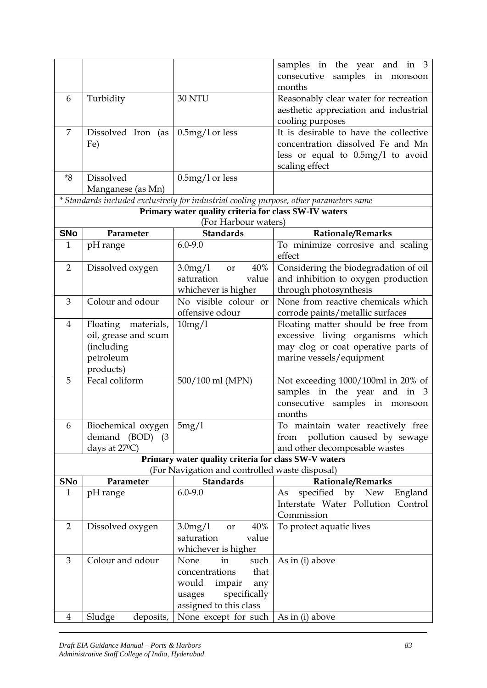|                 |                                                    |                                                       | samples in the year and in 3                                                           |
|-----------------|----------------------------------------------------|-------------------------------------------------------|----------------------------------------------------------------------------------------|
|                 |                                                    |                                                       | samples in monsoon<br>consecutive                                                      |
|                 |                                                    |                                                       | months                                                                                 |
| 6               | Turbidity                                          | 30 NTU                                                | Reasonably clear water for recreation                                                  |
|                 |                                                    |                                                       | aesthetic appreciation and industrial<br>cooling purposes                              |
| 7               | Dissolved Iron (as $\vert 0.5 \text{mg}/1$ or less |                                                       | It is desirable to have the collective                                                 |
|                 | Fe)                                                |                                                       | concentration dissolved Fe and Mn                                                      |
|                 |                                                    |                                                       | less or equal to $0.5mg/1$ to avoid                                                    |
|                 |                                                    |                                                       | scaling effect                                                                         |
| $*8$            | Dissolved                                          | $0.5mg/l$ or less                                     |                                                                                        |
|                 | Manganese (as Mn)                                  |                                                       |                                                                                        |
|                 |                                                    |                                                       | * Standards included exclusively for industrial cooling purpose, other parameters same |
|                 |                                                    | Primary water quality criteria for class SW-IV waters |                                                                                        |
|                 |                                                    | (For Harbour waters)<br><b>Standards</b>              |                                                                                        |
| <b>SNo</b><br>1 | Parameter                                          | $6.0 - 9.0$                                           | Rationale/Remarks<br>To minimize corrosive and scaling                                 |
|                 | pH range                                           |                                                       | effect                                                                                 |
| $\overline{2}$  | Dissolved oxygen                                   | 40%<br>$3.0$ mg/ $1$<br>or                            | Considering the biodegradation of oil                                                  |
|                 |                                                    | saturation<br>value                                   | and inhibition to oxygen production                                                    |
|                 |                                                    | whichever is higher                                   | through photosynthesis                                                                 |
| 3               | Colour and odour                                   | No visible colour or                                  | None from reactive chemicals which                                                     |
|                 |                                                    | offensive odour                                       | corrode paints/metallic surfaces                                                       |
| 4               | Floating materials,                                | 10mg/1                                                | Floating matter should be free from                                                    |
|                 | oil, grease and scum                               |                                                       | excessive living organisms which                                                       |
|                 | (including                                         |                                                       | may clog or coat operative parts of                                                    |
|                 | petroleum                                          |                                                       | marine vessels/equipment                                                               |
|                 | products)                                          |                                                       |                                                                                        |
| 5               | Fecal coliform                                     | 500/100 ml (MPN)                                      | Not exceeding 1000/100ml in 20% of                                                     |
|                 |                                                    |                                                       | samples in the year and in 3                                                           |
|                 |                                                    |                                                       | samples in monsoon<br>consecutive                                                      |
|                 |                                                    |                                                       | months                                                                                 |
| 6               | Biochemical oxygen                                 | 5mg/1                                                 | To maintain water reactively free                                                      |
|                 | demand (BOD) (3<br>days at $27^{\circ}$ C)         |                                                       | pollution caused by sewage<br>from<br>and other decomposable wastes                    |
|                 |                                                    | Primary water quality criteria for class SW-V waters  |                                                                                        |
|                 |                                                    | (For Navigation and controlled waste disposal)        |                                                                                        |
| <b>SNo</b>      | Parameter                                          | <b>Standards</b>                                      | <b>Rationale/Remarks</b>                                                               |
| $\mathbf{1}$    | pH range                                           | $6.0 - 9.0$                                           | specified by New England<br>As                                                         |
|                 |                                                    |                                                       | Interstate Water Pollution Control                                                     |
|                 |                                                    |                                                       | Commission                                                                             |
| $\overline{2}$  | Dissolved oxygen                                   | $3.0$ mg/ $1$<br>40%<br>or                            | To protect aquatic lives                                                               |
|                 |                                                    | saturation<br>value                                   |                                                                                        |
|                 |                                                    | whichever is higher                                   |                                                                                        |
| 3               | Colour and odour                                   | None<br>in<br>such                                    | As in (i) above                                                                        |
|                 |                                                    | concentrations<br>that                                |                                                                                        |
|                 |                                                    | would<br>impair<br>any                                |                                                                                        |
|                 |                                                    | specifically<br>usages                                |                                                                                        |
|                 |                                                    | assigned to this class                                |                                                                                        |
| $\overline{4}$  | Sludge<br>deposits,                                | None except for such                                  | As in (i) above                                                                        |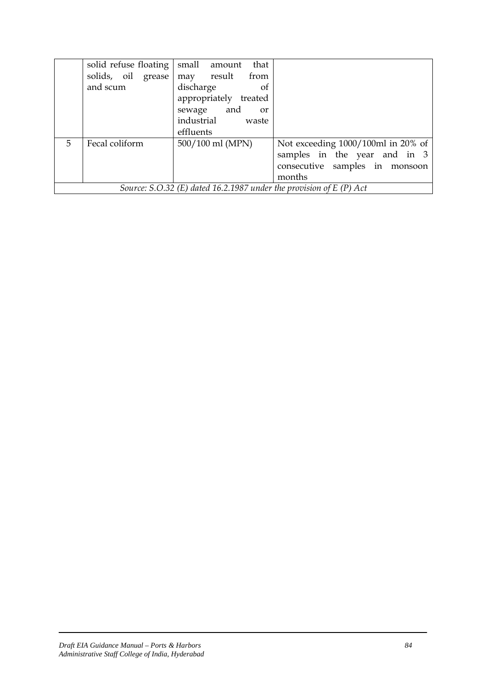|    | solid refuse floating                                                | small amount<br>that  |                                    |  |
|----|----------------------------------------------------------------------|-----------------------|------------------------------------|--|
|    | solids, oil grease                                                   | may result<br>from    |                                    |  |
|    | and scum                                                             | discharge<br>- of     |                                    |  |
|    |                                                                      | appropriately treated |                                    |  |
|    |                                                                      | sewage and<br>or      |                                    |  |
|    |                                                                      | industrial<br>waste   |                                    |  |
|    |                                                                      | effluents             |                                    |  |
| 5. | Fecal coliform                                                       | 500/100 ml (MPN)      | Not exceeding 1000/100ml in 20% of |  |
|    |                                                                      |                       | samples in the year and in 3       |  |
|    |                                                                      |                       | consecutive samples in monsoon     |  |
|    |                                                                      |                       | months                             |  |
|    | Source: S.O.32 (E) dated 16.2.1987 under the provision of $E(P)$ Act |                       |                                    |  |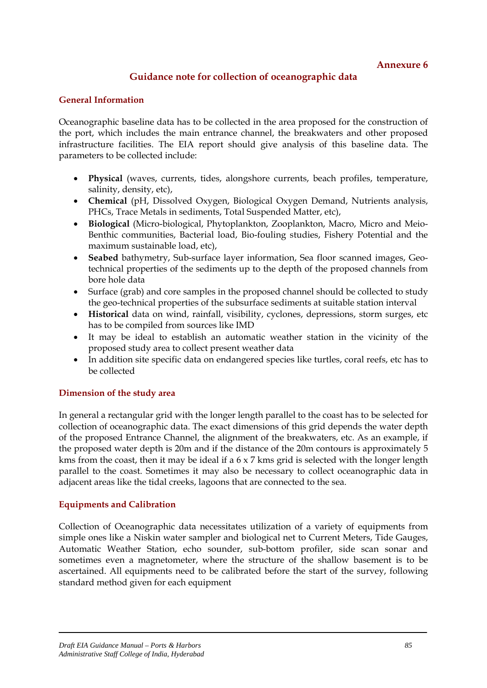## **Guidance note for collection of oceanographic data**

#### **General Information**

Oceanographic baseline data has to be collected in the area proposed for the construction of the port, which includes the main entrance channel, the breakwaters and other proposed infrastructure facilities. The EIA report should give analysis of this baseline data. The parameters to be collected include:

- **Physical** (waves, currents, tides, alongshore currents, beach profiles, temperature, salinity, density, etc),
- **Chemical** (pH, Dissolved Oxygen, Biological Oxygen Demand, Nutrients analysis, PHCs, Trace Metals in sediments, Total Suspended Matter, etc),
- **Biological** (Micro-biological, Phytoplankton, Zooplankton, Macro, Micro and Meio-Benthic communities, Bacterial load, Bio-fouling studies, Fishery Potential and the maximum sustainable load, etc),
- **Seabed** bathymetry, Sub-surface layer information, Sea floor scanned images, Geotechnical properties of the sediments up to the depth of the proposed channels from bore hole data
- Surface (grab) and core samples in the proposed channel should be collected to study the geo-technical properties of the subsurface sediments at suitable station interval
- **Historical** data on wind, rainfall, visibility, cyclones, depressions, storm surges, etc has to be compiled from sources like IMD
- It may be ideal to establish an automatic weather station in the vicinity of the proposed study area to collect present weather data
- In addition site specific data on endangered species like turtles, coral reefs, etc has to be collected

#### **Dimension of the study area**

In general a rectangular grid with the longer length parallel to the coast has to be selected for collection of oceanographic data. The exact dimensions of this grid depends the water depth of the proposed Entrance Channel, the alignment of the breakwaters, etc. As an example, if the proposed water depth is 20m and if the distance of the 20m contours is approximately 5 kms from the coast, then it may be ideal if a 6 x 7 kms grid is selected with the longer length parallel to the coast. Sometimes it may also be necessary to collect oceanographic data in adjacent areas like the tidal creeks, lagoons that are connected to the sea.

#### **Equipments and Calibration**

Collection of Oceanographic data necessitates utilization of a variety of equipments from simple ones like a Niskin water sampler and biological net to Current Meters, Tide Gauges, Automatic Weather Station, echo sounder, sub-bottom profiler, side scan sonar and sometimes even a magnetometer, where the structure of the shallow basement is to be ascertained. All equipments need to be calibrated before the start of the survey, following standard method given for each equipment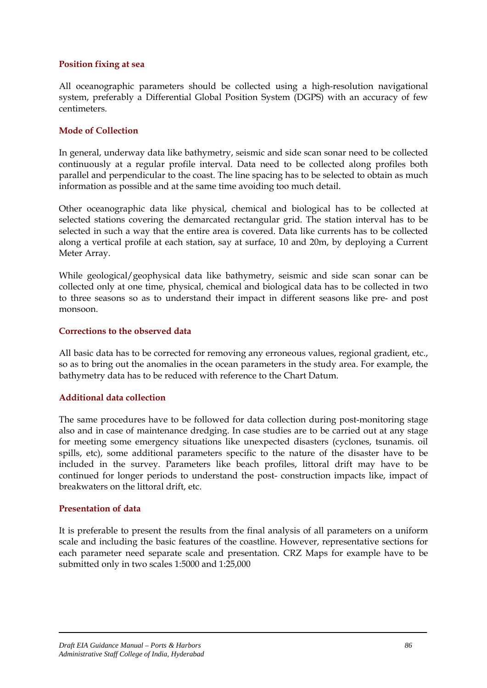#### **Position fixing at sea**

All oceanographic parameters should be collected using a high-resolution navigational system, preferably a Differential Global Position System (DGPS) with an accuracy of few centimeters.

#### **Mode of Collection**

In general, underway data like bathymetry, seismic and side scan sonar need to be collected continuously at a regular profile interval. Data need to be collected along profiles both parallel and perpendicular to the coast. The line spacing has to be selected to obtain as much information as possible and at the same time avoiding too much detail.

Other oceanographic data like physical, chemical and biological has to be collected at selected stations covering the demarcated rectangular grid. The station interval has to be selected in such a way that the entire area is covered. Data like currents has to be collected along a vertical profile at each station, say at surface, 10 and 20m, by deploying a Current Meter Array.

While geological/geophysical data like bathymetry, seismic and side scan sonar can be collected only at one time, physical, chemical and biological data has to be collected in two to three seasons so as to understand their impact in different seasons like pre- and post monsoon.

#### **Corrections to the observed data**

All basic data has to be corrected for removing any erroneous values, regional gradient, etc., so as to bring out the anomalies in the ocean parameters in the study area. For example, the bathymetry data has to be reduced with reference to the Chart Datum.

#### **Additional data collection**

The same procedures have to be followed for data collection during post-monitoring stage also and in case of maintenance dredging. In case studies are to be carried out at any stage for meeting some emergency situations like unexpected disasters (cyclones, tsunamis. oil spills, etc), some additional parameters specific to the nature of the disaster have to be included in the survey. Parameters like beach profiles, littoral drift may have to be continued for longer periods to understand the post- construction impacts like, impact of breakwaters on the littoral drift, etc.

#### **Presentation of data**

It is preferable to present the results from the final analysis of all parameters on a uniform scale and including the basic features of the coastline. However, representative sections for each parameter need separate scale and presentation. CRZ Maps for example have to be submitted only in two scales 1:5000 and 1:25,000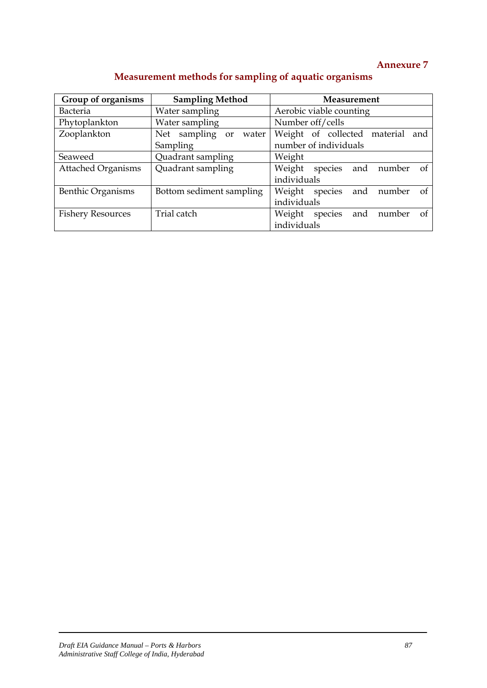| Group of organisms        | <b>Sampling Method</b>      | Measurement                              |  |  |
|---------------------------|-----------------------------|------------------------------------------|--|--|
| <b>Bacteria</b>           | Water sampling              | Aerobic viable counting                  |  |  |
| Phytoplankton             | Water sampling              | Number off/cells                         |  |  |
| Zooplankton               | Net sampling<br>water<br>or | Weight of collected material<br>and      |  |  |
|                           | Sampling                    | number of individuals                    |  |  |
| Seaweed                   | Quadrant sampling           | Weight                                   |  |  |
| <b>Attached Organisms</b> | Quadrant sampling           | Weight<br>species<br>and<br>number<br>of |  |  |
|                           |                             | individuals                              |  |  |
| Benthic Organisms         | Bottom sediment sampling    | Weight<br>species<br>and<br>number<br>of |  |  |
|                           |                             | individuals                              |  |  |
| <b>Fishery Resources</b>  | Trial catch                 | species<br>Weight<br>and<br>number<br>of |  |  |
|                           |                             | individuals                              |  |  |

# **Measurement methods for sampling of aquatic organisms**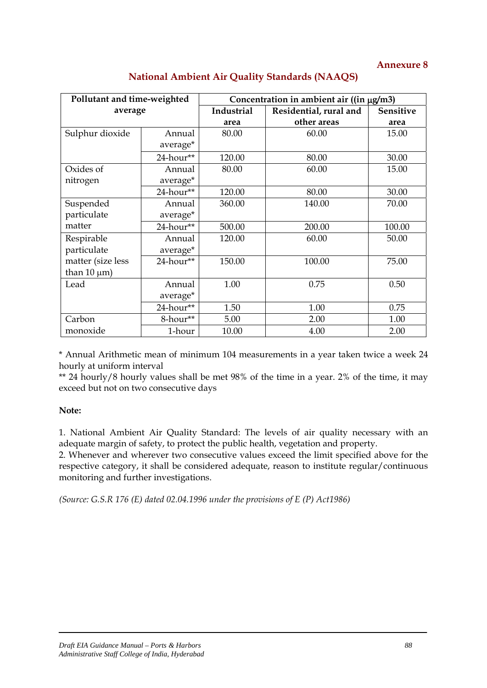| Pollutant and time-weighted |           | Concentration in ambient air ((in µg/m3) |                        |                  |  |
|-----------------------------|-----------|------------------------------------------|------------------------|------------------|--|
| average                     |           | Industrial                               | Residential, rural and | <b>Sensitive</b> |  |
|                             |           | area                                     | other areas            | area             |  |
| Sulphur dioxide             | Annual    | 80.00                                    | 60.00                  | 15.00            |  |
|                             | average*  |                                          |                        |                  |  |
|                             | 24-hour** | 120.00                                   | 80.00                  | 30.00            |  |
| Oxides of                   | Annual    | 80.00                                    | 60.00                  | 15.00            |  |
| nitrogen                    | average*  |                                          |                        |                  |  |
|                             | 24-hour** | 120.00                                   | 80.00                  | 30.00            |  |
| Suspended                   | Annual    | 360.00                                   | 140.00                 | 70.00            |  |
| particulate                 | average*  |                                          |                        |                  |  |
| matter                      | 24-hour** | 500.00                                   | 200.00                 | 100.00           |  |
| Respirable                  | Annual    | 120.00                                   | 60.00                  | 50.00            |  |
| particulate                 | average*  |                                          |                        |                  |  |
| matter (size less           | 24-hour** | 150.00                                   | 100.00                 | 75.00            |  |
| than $10 \mu m$ )           |           |                                          |                        |                  |  |
| Lead                        | Annual    | 1.00                                     | 0.75                   | 0.50             |  |
|                             | average*  |                                          |                        |                  |  |
|                             | 24-hour** | 1.50                                     | 1.00                   | 0.75             |  |
| Carbon                      | 8-hour**  | 5.00                                     | 2.00                   | 1.00             |  |
| monoxide                    | 1-hour    | 10.00                                    | 4.00                   | 2.00             |  |

## **National Ambient Air Quality Standards (NAAQS)**

\* Annual Arithmetic mean of minimum 104 measurements in a year taken twice a week 24 hourly at uniform interval

\*\* 24 hourly/8 hourly values shall be met 98% of the time in a year. 2% of the time, it may exceed but not on two consecutive days

#### **Note:**

1. National Ambient Air Quality Standard: The levels of air quality necessary with an adequate margin of safety, to protect the public health, vegetation and property.

2. Whenever and wherever two consecutive values exceed the limit specified above for the respective category, it shall be considered adequate, reason to institute regular/continuous monitoring and further investigations.

*(Source: G.S.R 176 (E) dated 02.04.1996 under the provisions of E (P) Act1986)*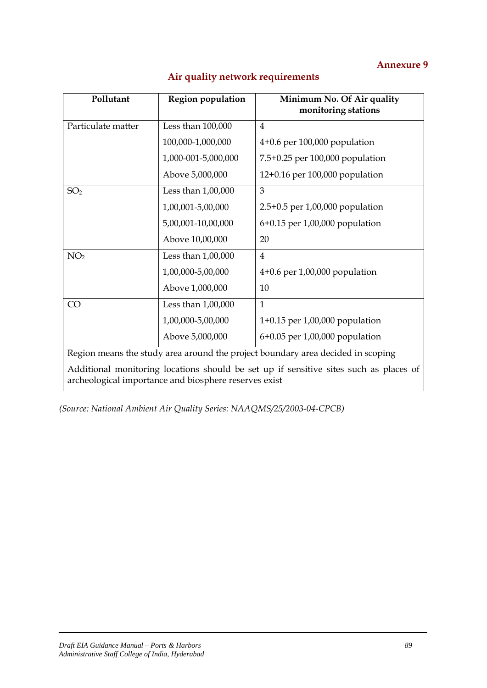| Pollutant          | <b>Region population</b>                              | Minimum No. Of Air quality<br>monitoring stations                                     |
|--------------------|-------------------------------------------------------|---------------------------------------------------------------------------------------|
| Particulate matter | Less than 100,000                                     | 4                                                                                     |
|                    | 100,000-1,000,000                                     | $4+0.6$ per 100,000 population                                                        |
|                    | 1,000-001-5,000,000                                   | 7.5+0.25 per 100,000 population                                                       |
|                    | Above 5,000,000                                       | 12+0.16 per 100,000 population                                                        |
| SO <sub>2</sub>    | Less than $1,00,000$                                  | 3                                                                                     |
|                    | 1,00,001-5,00,000                                     | $2.5+0.5$ per $1,00,000$ population                                                   |
|                    | 5,00,001-10,00,000                                    | 6+0.15 per 1,00,000 population                                                        |
|                    | Above 10,00,000                                       | 20                                                                                    |
| NO <sub>2</sub>    | Less than $1,00,000$                                  | $\overline{4}$                                                                        |
|                    | 1,00,000-5,00,000                                     | $4+0.6$ per $1,00,000$ population                                                     |
|                    | Above 1,000,000                                       | 10                                                                                    |
| CO                 | Less than $1,00,000$                                  | 1                                                                                     |
|                    | 1,00,000-5,00,000                                     | $1+0.15$ per $1,00,000$ population                                                    |
|                    | Above 5,000,000                                       | 6+0.05 per 1,00,000 population                                                        |
|                    |                                                       | Region means the study area around the project boundary area decided in scoping       |
|                    | archeological importance and biosphere reserves exist | Additional monitoring locations should be set up if sensitive sites such as places of |

## **Air quality network requirements**

*(Source: National Ambient Air Quality Series: NAAQMS/25/2003-04-CPCB)*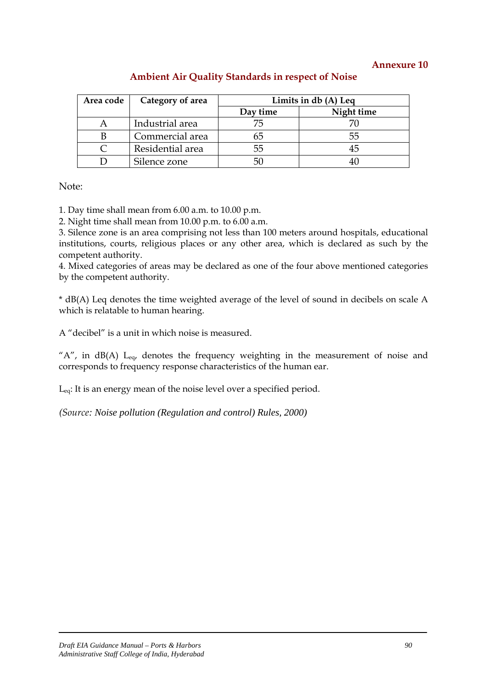| Area code | Category of area | Limits in db (A) Leq |            |
|-----------|------------------|----------------------|------------|
|           |                  | Day time             | Night time |
|           | Industrial area  | 75                   |            |
|           | Commercial area  |                      | 55         |
|           | Residential area | 55                   | 45         |
|           | Silence zone     | 50                   |            |

## **Ambient Air Quality Standards in respect of Noise**

Note:

1. Day time shall mean from 6.00 a.m. to 10.00 p.m.

2. Night time shall mean from 10.00 p.m. to 6.00 a.m.

3. Silence zone is an area comprising not less than 100 meters around hospitals, educational institutions, courts, religious places or any other area, which is declared as such by the competent authority.

4. Mixed categories of areas may be declared as one of the four above mentioned categories by the competent authority.

\* dB(A) Leq denotes the time weighted average of the level of sound in decibels on scale A which is relatable to human hearing.

A "decibel" is a unit in which noise is measured.

" $A$ ", in dB(A) L<sub>eq</sub>, denotes the frequency weighting in the measurement of noise and corresponds to frequency response characteristics of the human ear.

Leq: It is an energy mean of the noise level over a specified period.

*(Source: Noise pollution (Regulation and control) Rules, 2000)*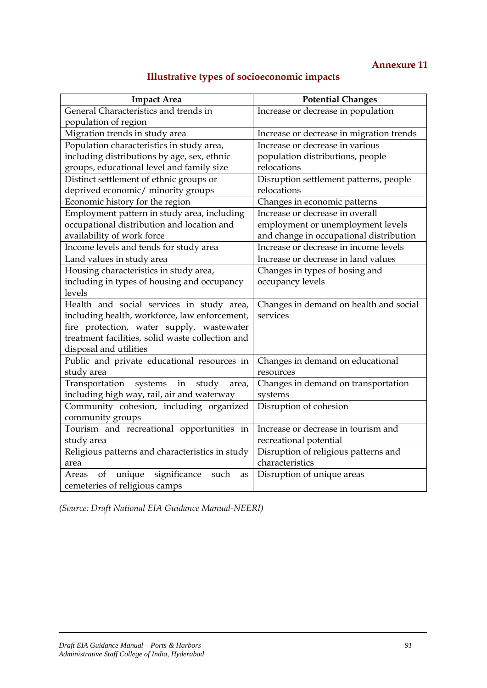# **Illustrative types of socioeconomic impacts**

| <b>Impact Area</b>                                | <b>Potential Changes</b>                 |  |
|---------------------------------------------------|------------------------------------------|--|
| General Characteristics and trends in             | Increase or decrease in population       |  |
| population of region                              |                                          |  |
| Migration trends in study area                    | Increase or decrease in migration trends |  |
| Population characteristics in study area,         | Increase or decrease in various          |  |
| including distributions by age, sex, ethnic       | population distributions, people         |  |
| groups, educational level and family size         | relocations                              |  |
| Distinct settlement of ethnic groups or           | Disruption settlement patterns, people   |  |
| deprived economic/ minority groups                | relocations                              |  |
| Economic history for the region                   | Changes in economic patterns             |  |
| Employment pattern in study area, including       | Increase or decrease in overall          |  |
| occupational distribution and location and        | employment or unemployment levels        |  |
| availability of work force                        | and change in occupational distribution  |  |
| Income levels and tends for study area            | Increase or decrease in income levels    |  |
| Land values in study area                         | Increase or decrease in land values      |  |
| Housing characteristics in study area,            | Changes in types of hosing and           |  |
| including in types of housing and occupancy       | occupancy levels                         |  |
| levels                                            |                                          |  |
| Health and social services in study area,         | Changes in demand on health and social   |  |
| including health, workforce, law enforcement,     | services                                 |  |
| fire protection, water supply, wastewater         |                                          |  |
| treatment facilities, solid waste collection and  |                                          |  |
| disposal and utilities                            |                                          |  |
| Public and private educational resources in       | Changes in demand on educational         |  |
| study area                                        | resources                                |  |
| Transportation<br>systems<br>in<br>study<br>area, | Changes in demand on transportation      |  |
| including high way, rail, air and waterway        | systems                                  |  |
| Community cohesion, including organized           | Disruption of cohesion                   |  |
| community groups                                  |                                          |  |
| Tourism and recreational opportunities in         | Increase or decrease in tourism and      |  |
| study area                                        | recreational potential                   |  |
| Religious patterns and characteristics in study   | Disruption of religious patterns and     |  |
| area                                              | characteristics                          |  |
| unique significance<br>of<br>such<br>Areas<br>as  | Disruption of unique areas               |  |
| cemeteries of religious camps                     |                                          |  |

*(Source: Draft National EIA Guidance Manual-NEERI)*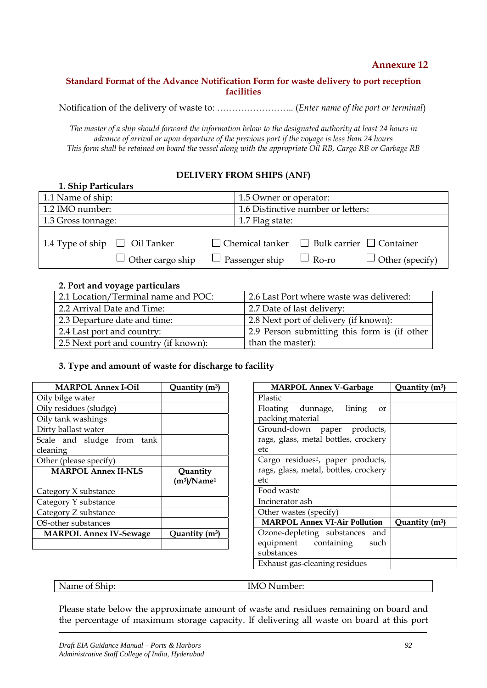#### **Standard Format of the Advance Notification Form for waste delivery to port reception facilities**

Notification of the delivery of waste to: …………………….. (*Enter name of the port or terminal*)

*The master of a ship should forward the information below to the designated authority at least 24 hours in advance of arrival or upon departure of the previous port if the voyage is less than 24 hours This form shall be retained on board the vessel along with the appropriate Oil RB, Cargo RB or Garbage RB*

#### **DELIVERY FROM SHIPS (ANF)**

| 1. Ship Particulars                |                         |                                    |                                                             |                        |
|------------------------------------|-------------------------|------------------------------------|-------------------------------------------------------------|------------------------|
| 1.1 Name of ship:                  |                         | 1.5 Owner or operator:             |                                                             |                        |
| 1.2 IMO number:                    |                         | 1.6 Distinctive number or letters: |                                                             |                        |
| 1.3 Gross tonnage:                 |                         | 1.7 Flag state:                    |                                                             |                        |
| 1.4 Type of ship $\Box$ Oil Tanker | $\Box$ Other cargo ship | $\Box$ Passenger ship $\Box$ Ro-ro | $\Box$ Chemical tanker $\Box$ Bulk carrier $\Box$ Container | $\Box$ Other (specify) |

#### **2. Port and voyage particulars**

| 2.1 Location/Terminal name and POC:   | 2.6 Last Port where waste was delivered:     |
|---------------------------------------|----------------------------------------------|
| 2.2 Arrival Date and Time:            | 2.7 Date of last delivery:                   |
| 2.3 Departure date and time:          | 2.8 Next port of delivery (if known):        |
| 2.4 Last port and country:            | 2.9 Person submitting this form is (if other |
| 2.5 Next port and country (if known): | than the master):                            |

#### **3. Type and amount of waste for discharge to facility**

| <b>MARPOL Annex I-Oil</b>     | Quantity (m <sup>3</sup> )             |
|-------------------------------|----------------------------------------|
| Oily bilge water              |                                        |
| Oily residues (sludge)        |                                        |
| Oily tank washings            |                                        |
| Dirty ballast water           |                                        |
| Scale and sludge from<br>tank |                                        |
| cleaning                      |                                        |
| Other (please specify)        |                                        |
|                               |                                        |
| <b>MARPOL Annex II-NLS</b>    | Quantity<br>$(m^3)/N$ ame <sup>1</sup> |
| Category X substance          |                                        |
| Category Y substance          |                                        |
| Category Z substance          |                                        |
| OS-other substances           |                                        |
| <b>MARPOL Annex IV-Sewage</b> | Quantity (m <sup>3</sup> )             |

| <b>MARPOL Annex V-Garbage</b>                 | Quantity (m <sup>3</sup> ) |
|-----------------------------------------------|----------------------------|
| Plastic                                       |                            |
| Floating dunnage, lining<br>or                |                            |
| packing material                              |                            |
| Ground-down paper products,                   |                            |
| rags, glass, metal bottles, crockery          |                            |
| etc                                           |                            |
| Cargo residues <sup>2</sup> , paper products, |                            |
| rags, glass, metal, bottles, crockery         |                            |
| etc                                           |                            |
| Food waste                                    |                            |
| Incinerator ash                               |                            |
| Other wastes (specify)                        |                            |
| <b>MARPOL Annex VI-Air Pollution</b>          | Quantity $(m^3)$           |
| Ozone-depleting substances and                |                            |
| equipment containing<br>such                  |                            |
| substances                                    |                            |
| Exhaust gas-cleaning residues                 |                            |

| --<br>$\mathbf{A}$<br>.<br>$-1$<br>'Name<br>- 71 H L<br>.<br><b>.</b><br>$\sim$ $\sim$ $\sim$ $\sim$ $\sim$ | 'N.<br>Number:<br><br>______ |
|-------------------------------------------------------------------------------------------------------------|------------------------------|
|-------------------------------------------------------------------------------------------------------------|------------------------------|

Please state below the approximate amount of waste and residues remaining on board and the percentage of maximum storage capacity. If delivering all waste on board at this port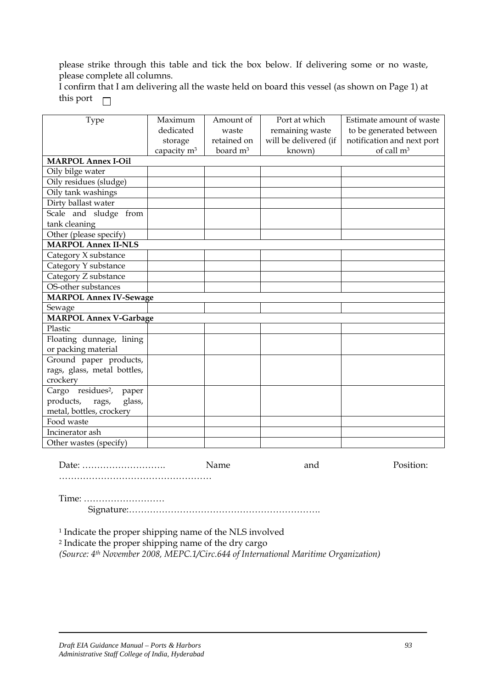please strike through this table and tick the box below. If delivering some or no waste, please complete all columns.

I confirm that I am delivering all the waste held on board this vessel (as shown on Page 1) at this port  $\Box$ 

| Type                                   | Maximum                 | Amount of            | Port at which         | Estimate amount of waste   |
|----------------------------------------|-------------------------|----------------------|-----------------------|----------------------------|
|                                        | dedicated               | waste                | remaining waste       | to be generated between    |
|                                        | storage                 | retained on          | will be delivered (if | notification and next port |
|                                        | capacity m <sup>3</sup> | board m <sup>3</sup> | known)                | of call m <sup>3</sup>     |
| <b>MARPOL Annex I-Oil</b>              |                         |                      |                       |                            |
| Oily bilge water                       |                         |                      |                       |                            |
| Oily residues (sludge)                 |                         |                      |                       |                            |
| Oily tank washings                     |                         |                      |                       |                            |
| Dirty ballast water                    |                         |                      |                       |                            |
| Scale and sludge from                  |                         |                      |                       |                            |
| tank cleaning                          |                         |                      |                       |                            |
| Other (please specify)                 |                         |                      |                       |                            |
| <b>MARPOL Annex II-NLS</b>             |                         |                      |                       |                            |
| Category X substance                   |                         |                      |                       |                            |
| Category Y substance                   |                         |                      |                       |                            |
| Category Z substance                   |                         |                      |                       |                            |
| OS-other substances                    |                         |                      |                       |                            |
| <b>MARPOL Annex IV-Sewage</b>          |                         |                      |                       |                            |
| Sewage                                 |                         |                      |                       |                            |
| <b>MARPOL Annex V-Garbage</b>          |                         |                      |                       |                            |
| Plastic                                |                         |                      |                       |                            |
| Floating dunnage, lining               |                         |                      |                       |                            |
| or packing material                    |                         |                      |                       |                            |
| Ground paper products,                 |                         |                      |                       |                            |
| rags, glass, metal bottles,            |                         |                      |                       |                            |
| crockery                               |                         |                      |                       |                            |
| Cargo residues <sup>2</sup> ,<br>paper |                         |                      |                       |                            |
| products,<br>glass,<br>rags,           |                         |                      |                       |                            |
| metal, bottles, crockery               |                         |                      |                       |                            |
| Food waste                             |                         |                      |                       |                            |
| Incinerator ash                        |                         |                      |                       |                            |
| Other wastes (specify)                 |                         |                      |                       |                            |

Date: ………………………. Name and Position:

Time: ………………………

……………………………………………

Signature:……………………………………………………….

1 Indicate the proper shipping name of the NLS involved

2 Indicate the proper shipping name of the dry cargo

*(Source: 4th November 2008, MEPC.1/Circ.644 of International Maritime Organization)*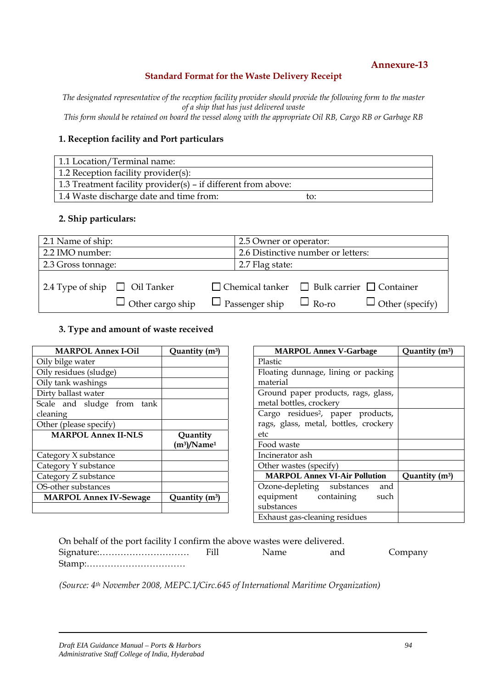#### **Standard Format for the Waste Delivery Receipt**

*The designated representative of the reception facility provider should provide the following form to the master of a ship that has just delivered waste* 

*This form should be retained on board the vessel along with the appropriate Oil RB, Cargo RB or Garbage RB*

#### **1. Reception facility and Port particulars**

| 1.1 Location/Terminal name:                                   |     |
|---------------------------------------------------------------|-----|
| 1.2 Reception facility provider(s):                           |     |
| 1.3 Treatment facility provider(s) – if different from above: |     |
| 1.4 Waste discharge date and time from:                       | to: |

#### **2. Ship particulars:**

| 2.1 Name of ship:                  |                         | 2.5 Owner or operator:             |                       |                                                             |                        |
|------------------------------------|-------------------------|------------------------------------|-----------------------|-------------------------------------------------------------|------------------------|
| 2.2 IMO number:                    |                         | 2.6 Distinctive number or letters: |                       |                                                             |                        |
| 2.3 Gross tonnage:                 |                         |                                    | 2.7 Flag state:       |                                                             |                        |
|                                    |                         |                                    |                       |                                                             |                        |
| 2.4 Type of ship $\Box$ Oil Tanker |                         |                                    |                       | $\Box$ Chemical tanker $\Box$ Bulk carrier $\Box$ Container |                        |
|                                    | $\Box$ Other cargo ship |                                    | $\Box$ Passenger ship | $\Box$ Ro-ro                                                | $\Box$ Other (specify) |

#### **3. Type and amount of waste received**

| <b>MARPOL Annex I-Oil</b>     | Quantity (m <sup>3</sup> )             |
|-------------------------------|----------------------------------------|
| Oily bilge water              |                                        |
| Oily residues (sludge)        |                                        |
| Oily tank washings            |                                        |
| Dirty ballast water           |                                        |
| Scale and sludge from<br>tank |                                        |
| cleaning                      |                                        |
| Other (please specify)        |                                        |
|                               |                                        |
| <b>MARPOL Annex II-NLS</b>    | Quantity<br>$(m^3)/N$ ame <sup>1</sup> |
| Category X substance          |                                        |
| Category Y substance          |                                        |
| Category Z substance          |                                        |
| OS-other substances           |                                        |
| <b>MARPOL Annex IV-Sewage</b> | Quantity (m <sup>3</sup> )             |

| <b>MARPOL Annex V-Garbage</b>                 | Quantity (m <sup>3</sup> ) |
|-----------------------------------------------|----------------------------|
| Plastic                                       |                            |
| Floating dunnage, lining or packing           |                            |
| material                                      |                            |
| Ground paper products, rags, glass,           |                            |
| metal bottles, crockery                       |                            |
| Cargo residues <sup>2</sup> , paper products, |                            |
| rags, glass, metal, bottles, crockery         |                            |
| etc                                           |                            |
| Food waste                                    |                            |
| Incinerator ash                               |                            |
| Other wastes (specify)                        |                            |
| <b>MARPOL Annex VI-Air Pollution</b>          | Quantity $(m^3)$           |
| Ozone-depleting substances<br>and             |                            |
| equipment containing such                     |                            |
| substances                                    |                            |
| Exhaust gas-cleaning residues                 |                            |

| On behalf of the port facility I confirm the above wastes were delivered.      |       |     |         |
|--------------------------------------------------------------------------------|-------|-----|---------|
|                                                                                | Name. | and | Company |
| $Stamp: \ldots \ldots \ldots \ldots \ldots \ldots \ldots \ldots \ldots \ldots$ |       |     |         |

*(Source: 4th November 2008, MEPC.1/Circ.645 of International Maritime Organization)*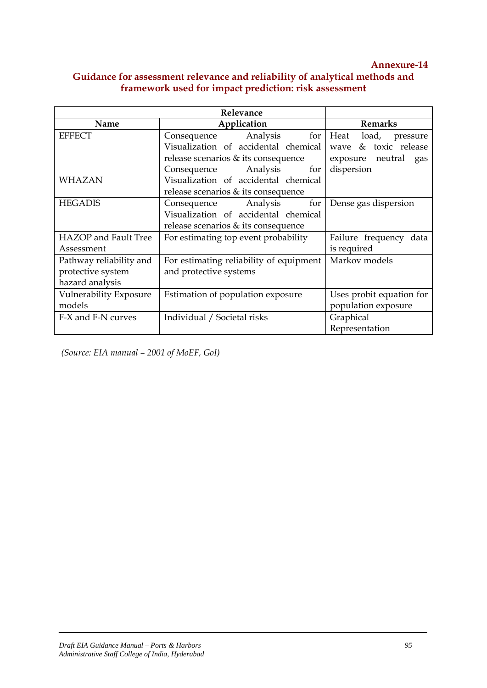## **Guidance for assessment relevance and reliability of analytical methods and framework used for impact prediction: risk assessment**

|                             | Relevance                               |                           |  |
|-----------------------------|-----------------------------------------|---------------------------|--|
| Name                        | Application                             | <b>Remarks</b>            |  |
| <b>EFFECT</b>               | Analysis<br>for<br>Consequence          | Heat<br>load,<br>pressure |  |
|                             | Visualization of accidental chemical    | wave & toxic release      |  |
|                             | release scenarios & its consequence     | exposure neutral gas      |  |
|                             | Consequence Analysis<br>for             | dispersion                |  |
| <b>WHAZAN</b>               | Visualization of accidental chemical    |                           |  |
|                             | release scenarios $\&$ its consequence  |                           |  |
| <b>HEGADIS</b>              | Analysis<br>for<br>Consequence          | Dense gas dispersion      |  |
|                             | Visualization of accidental chemical    |                           |  |
|                             | release scenarios $\&$ its consequence  |                           |  |
| <b>HAZOP</b> and Fault Tree | For estimating top event probability    | Failure frequency data    |  |
| Assessment                  |                                         | is required               |  |
| Pathway reliability and     | For estimating reliability of equipment | Markov models             |  |
| protective system           | and protective systems                  |                           |  |
| hazard analysis             |                                         |                           |  |
| Vulnerability Exposure      | Estimation of population exposure       | Uses probit equation for  |  |
| models                      |                                         | population exposure       |  |
| F-X and F-N curves          | Individual / Societal risks             | Graphical                 |  |
|                             |                                         | Representation            |  |

*(Source: EIA manual – 2001 of MoEF, GoI)*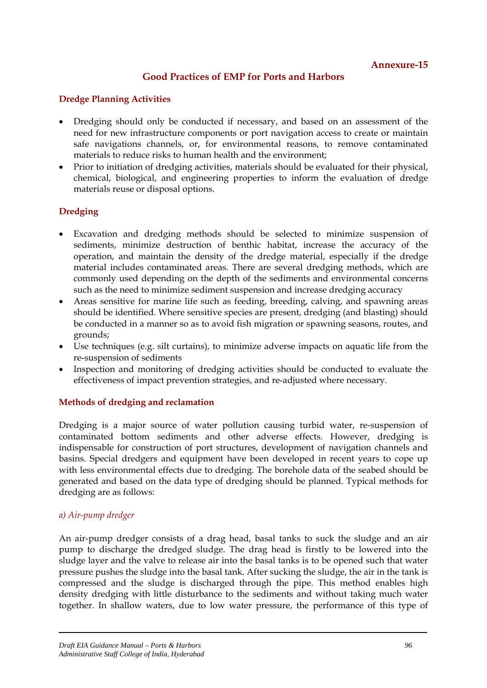## **Good Practices of EMP for Ports and Harbors**

#### **Dredge Planning Activities**

- Dredging should only be conducted if necessary, and based on an assessment of the need for new infrastructure components or port navigation access to create or maintain safe navigations channels, or, for environmental reasons, to remove contaminated materials to reduce risks to human health and the environment;
- Prior to initiation of dredging activities, materials should be evaluated for their physical, chemical, biological, and engineering properties to inform the evaluation of dredge materials reuse or disposal options.

#### **Dredging**

- Excavation and dredging methods should be selected to minimize suspension of sediments, minimize destruction of benthic habitat, increase the accuracy of the operation, and maintain the density of the dredge material, especially if the dredge material includes contaminated areas. There are several dredging methods, which are commonly used depending on the depth of the sediments and environmental concerns such as the need to minimize sediment suspension and increase dredging accuracy
- Areas sensitive for marine life such as feeding, breeding, calving, and spawning areas should be identified. Where sensitive species are present, dredging (and blasting) should be conducted in a manner so as to avoid fish migration or spawning seasons, routes, and grounds;
- Use techniques (e.g. silt curtains), to minimize adverse impacts on aquatic life from the re-suspension of sediments
- Inspection and monitoring of dredging activities should be conducted to evaluate the effectiveness of impact prevention strategies, and re-adjusted where necessary.

#### **Methods of dredging and reclamation**

Dredging is a major source of water pollution causing turbid water, re-suspension of contaminated bottom sediments and other adverse effects. However, dredging is indispensable for construction of port structures, development of navigation channels and basins. Special dredgers and equipment have been developed in recent years to cope up with less environmental effects due to dredging. The borehole data of the seabed should be generated and based on the data type of dredging should be planned. Typical methods for dredging are as follows:

#### *a) Air-pump dredger*

An air-pump dredger consists of a drag head, basal tanks to suck the sludge and an air pump to discharge the dredged sludge. The drag head is firstly to be lowered into the sludge layer and the valve to release air into the basal tanks is to be opened such that water pressure pushes the sludge into the basal tank. After sucking the sludge, the air in the tank is compressed and the sludge is discharged through the pipe. This method enables high density dredging with little disturbance to the sediments and without taking much water together. In shallow waters, due to low water pressure, the performance of this type of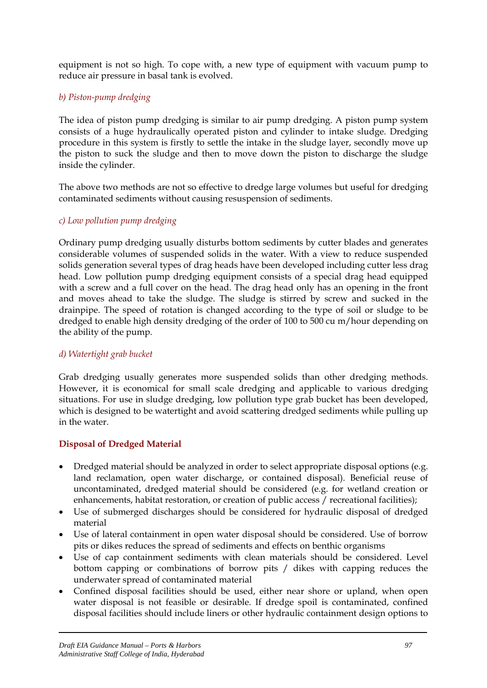equipment is not so high. To cope with, a new type of equipment with vacuum pump to reduce air pressure in basal tank is evolved.

## *b) Piston-pump dredging*

The idea of piston pump dredging is similar to air pump dredging. A piston pump system consists of a huge hydraulically operated piston and cylinder to intake sludge. Dredging procedure in this system is firstly to settle the intake in the sludge layer, secondly move up the piston to suck the sludge and then to move down the piston to discharge the sludge inside the cylinder.

The above two methods are not so effective to dredge large volumes but useful for dredging contaminated sediments without causing resuspension of sediments.

#### *c) Low pollution pump dredging*

Ordinary pump dredging usually disturbs bottom sediments by cutter blades and generates considerable volumes of suspended solids in the water. With a view to reduce suspended solids generation several types of drag heads have been developed including cutter less drag head. Low pollution pump dredging equipment consists of a special drag head equipped with a screw and a full cover on the head. The drag head only has an opening in the front and moves ahead to take the sludge. The sludge is stirred by screw and sucked in the drainpipe. The speed of rotation is changed according to the type of soil or sludge to be dredged to enable high density dredging of the order of 100 to 500 cu m/hour depending on the ability of the pump.

#### *d) Watertight grab bucket*

Grab dredging usually generates more suspended solids than other dredging methods. However, it is economical for small scale dredging and applicable to various dredging situations. For use in sludge dredging, low pollution type grab bucket has been developed, which is designed to be watertight and avoid scattering dredged sediments while pulling up in the water.

#### **Disposal of Dredged Material**

- Dredged material should be analyzed in order to select appropriate disposal options (e.g. land reclamation, open water discharge, or contained disposal). Beneficial reuse of uncontaminated, dredged material should be considered (e.g. for wetland creation or enhancements, habitat restoration, or creation of public access / recreational facilities);
- Use of submerged discharges should be considered for hydraulic disposal of dredged material
- Use of lateral containment in open water disposal should be considered. Use of borrow pits or dikes reduces the spread of sediments and effects on benthic organisms
- Use of cap containment sediments with clean materials should be considered. Level bottom capping or combinations of borrow pits / dikes with capping reduces the underwater spread of contaminated material
- Confined disposal facilities should be used, either near shore or upland, when open water disposal is not feasible or desirable. If dredge spoil is contaminated, confined disposal facilities should include liners or other hydraulic containment design options to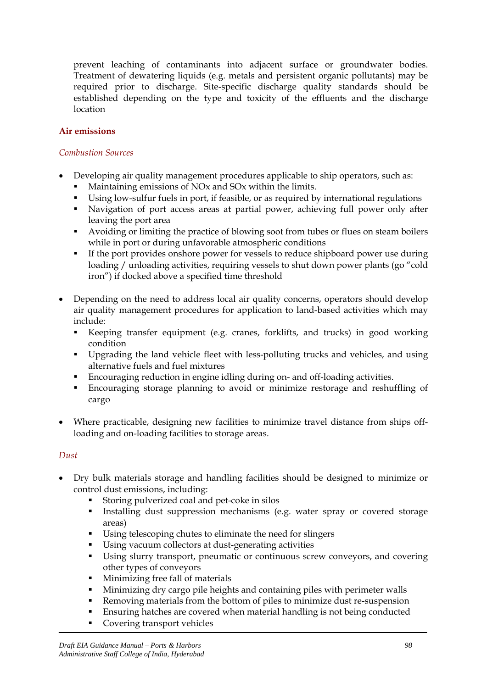prevent leaching of contaminants into adjacent surface or groundwater bodies. Treatment of dewatering liquids (e.g. metals and persistent organic pollutants) may be required prior to discharge. Site-specific discharge quality standards should be established depending on the type and toxicity of the effluents and the discharge location

#### **Air emissions**

#### *Combustion Sources*

- Developing air quality management procedures applicable to ship operators, such as:
	- Maintaining emissions of NOx and SOx within the limits.
	- Using low-sulfur fuels in port, if feasible, or as required by international regulations
	- Navigation of port access areas at partial power, achieving full power only after leaving the port area
	- Avoiding or limiting the practice of blowing soot from tubes or flues on steam boilers while in port or during unfavorable atmospheric conditions
	- If the port provides onshore power for vessels to reduce shipboard power use during loading / unloading activities, requiring vessels to shut down power plants (go "cold iron") if docked above a specified time threshold
- Depending on the need to address local air quality concerns, operators should develop air quality management procedures for application to land-based activities which may include:
	- Keeping transfer equipment (e.g. cranes, forklifts, and trucks) in good working condition
	- Upgrading the land vehicle fleet with less-polluting trucks and vehicles, and using alternative fuels and fuel mixtures
	- Encouraging reduction in engine idling during on- and off-loading activities.
	- Encouraging storage planning to avoid or minimize restorage and reshuffling of cargo
- Where practicable, designing new facilities to minimize travel distance from ships offloading and on-loading facilities to storage areas.

#### *Dust*

- Dry bulk materials storage and handling facilities should be designed to minimize or control dust emissions, including:
	- Storing pulverized coal and pet-coke in silos
	- Installing dust suppression mechanisms (e.g. water spray or covered storage areas)
	- Using telescoping chutes to eliminate the need for slingers
	- Using vacuum collectors at dust-generating activities
	- Using slurry transport, pneumatic or continuous screw conveyors, and covering other types of conveyors
	- Minimizing free fall of materials
	- Minimizing dry cargo pile heights and containing piles with perimeter walls
	- Removing materials from the bottom of piles to minimize dust re-suspension
	- Ensuring hatches are covered when material handling is not being conducted
	- Covering transport vehicles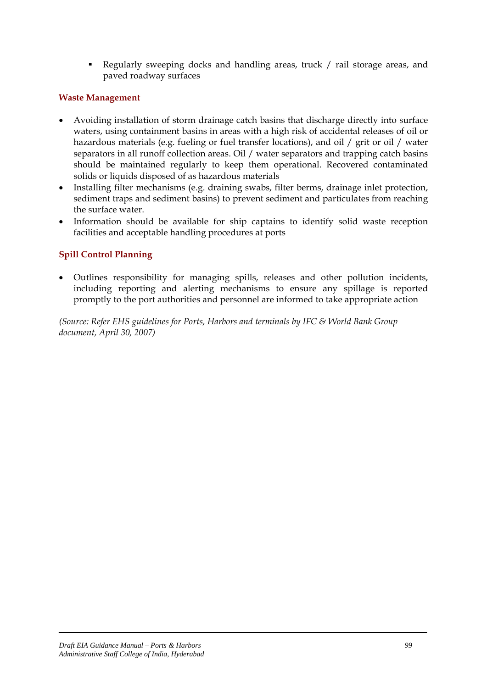Regularly sweeping docks and handling areas, truck / rail storage areas, and paved roadway surfaces

### **Waste Management**

- Avoiding installation of storm drainage catch basins that discharge directly into surface waters, using containment basins in areas with a high risk of accidental releases of oil or hazardous materials (e.g. fueling or fuel transfer locations), and oil / grit or oil / water separators in all runoff collection areas. Oil / water separators and trapping catch basins should be maintained regularly to keep them operational. Recovered contaminated solids or liquids disposed of as hazardous materials
- Installing filter mechanisms (e.g. draining swabs, filter berms, drainage inlet protection, sediment traps and sediment basins) to prevent sediment and particulates from reaching the surface water.
- Information should be available for ship captains to identify solid waste reception facilities and acceptable handling procedures at ports

## **Spill Control Planning**

• Outlines responsibility for managing spills, releases and other pollution incidents, including reporting and alerting mechanisms to ensure any spillage is reported promptly to the port authorities and personnel are informed to take appropriate action

*(Source: Refer EHS guidelines for Ports, Harbors and terminals by IFC & World Bank Group document, April 30, 2007)*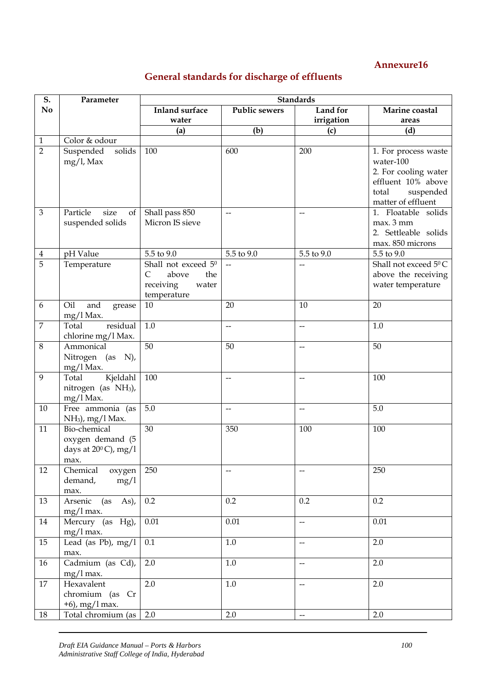# **General standards for discharge of effluents**

| S.             | Parameter                                                                 | <b>Standards</b>                                                              |                          |                          |                                                                                                                             |  |
|----------------|---------------------------------------------------------------------------|-------------------------------------------------------------------------------|--------------------------|--------------------------|-----------------------------------------------------------------------------------------------------------------------------|--|
| No             |                                                                           | <b>Inland surface</b>                                                         | <b>Public sewers</b>     | Land for                 | Marine coastal                                                                                                              |  |
|                |                                                                           | water                                                                         |                          | irrigation               | areas                                                                                                                       |  |
|                |                                                                           | (a)                                                                           | (b)                      | (c)                      | (d)                                                                                                                         |  |
| $\mathbf{1}$   | Color & odour                                                             |                                                                               |                          |                          |                                                                                                                             |  |
| $\overline{2}$ | Suspended<br>solids<br>$mg/l$ , Max                                       | 100                                                                           | 600                      | 200                      | 1. For process waste<br>water-100<br>2. For cooling water<br>effluent 10% above<br>suspended<br>total<br>matter of effluent |  |
| $\mathfrak{Z}$ | size<br>Particle<br>of<br>suspended solids                                | Shall pass 850<br>Micron IS sieve                                             | $\overline{a}$           | $\overline{\phantom{a}}$ | 1. Floatable solids<br>max. 3 mm<br>2. Settleable solids<br>max. 850 microns                                                |  |
| $\overline{4}$ | pH Value                                                                  | 5.5 to 9.0                                                                    | 5.5 to 9.0               | 5.5 to 9.0               | 5.5 to 9.0                                                                                                                  |  |
| 5              | Temperature                                                               | Shall not exceed 50<br>above<br>C<br>the<br>receiving<br>water<br>temperature | $\overline{a}$           | $\overline{\phantom{0}}$ | Shall not exceed 5 <sup>0</sup> C<br>above the receiving<br>water temperature                                               |  |
| 6              | Oil<br>and<br>grease<br>mg/l Max.                                         | 10                                                                            | 20                       | 10                       | 20                                                                                                                          |  |
| $\overline{7}$ | residual<br>Total<br>chlorine mg/l Max.                                   | 1.0                                                                           | $\overline{a}$           | $\overline{\phantom{a}}$ | 1.0                                                                                                                         |  |
| $\,8\,$        | Ammonical<br>Nitrogen (as N),<br>mg/l Max.                                | 50                                                                            | 50                       | $\overline{\phantom{a}}$ | 50                                                                                                                          |  |
| 9              | Kjeldahl<br>Total<br>nitrogen (as NH <sub>3</sub> ),<br>mg/l Max.         | 100                                                                           | $\overline{\phantom{a}}$ | $\overline{\phantom{m}}$ | 100                                                                                                                         |  |
| 10             | Free ammonia (as<br>$NH3$ , mg/l Max.                                     | 5.0                                                                           | $\overline{\phantom{a}}$ | $\overline{\phantom{a}}$ | 5.0                                                                                                                         |  |
| 11             | Bio-chemical<br>oxygen demand (5<br>days at $20^{\circ}$ C), mg/l<br>max. | 30                                                                            | 350                      | 100                      | 100                                                                                                                         |  |
| 12             | Chemical<br>oxygen<br>demand,<br>mg/1<br>max.                             | 250                                                                           | $-$                      | --                       | 250                                                                                                                         |  |
| 13             | Arsenic (as As),<br>$mg/l$ max.                                           | 0.2                                                                           | 0.2                      | 0.2                      | 0.2                                                                                                                         |  |
| 14             | Mercury (as Hg),<br>$mg/l$ max.                                           | $0.01\,$                                                                      | 0.01                     | $\overline{a}$           | 0.01                                                                                                                        |  |
| 15             | Lead (as Pb), mg/l<br>max.                                                | 0.1                                                                           | $1.0\,$                  | $\overline{\phantom{a}}$ | 2.0                                                                                                                         |  |
| 16             | Cadmium (as Cd),<br>$mg/l$ max.                                           | $2.0\,$                                                                       | 1.0                      | $-$                      | 2.0                                                                                                                         |  |
| 17             | Hexavalent<br>chromium (as Cr<br>$+6$ ), mg/l max.                        | 2.0                                                                           | $1.0\,$                  | --                       | 2.0                                                                                                                         |  |
| 18             | Total chromium (as                                                        | 2.0                                                                           | 2.0                      | $\overline{a}$           | 2.0                                                                                                                         |  |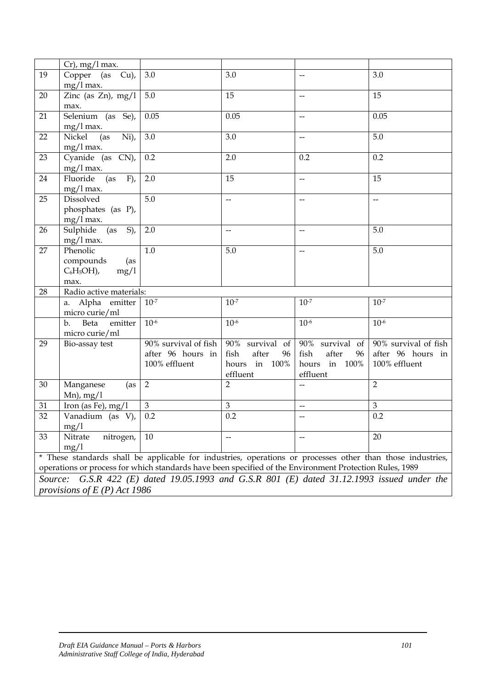|         | $Cr$ , mg/l max.                                                                                        |                      |                          |                          |                                                                                                            |
|---------|---------------------------------------------------------------------------------------------------------|----------------------|--------------------------|--------------------------|------------------------------------------------------------------------------------------------------------|
| 19      | Copper (as Cu),                                                                                         | 3.0                  | 3.0                      | $\overline{\phantom{0}}$ | 3.0                                                                                                        |
|         | $mg/l$ max.                                                                                             |                      |                          |                          |                                                                                                            |
| 20      | Zinc (as Zn), $mg/1$                                                                                    | 5.0                  | 15                       | $\overline{\phantom{a}}$ | 15                                                                                                         |
|         |                                                                                                         |                      |                          |                          |                                                                                                            |
|         | max.                                                                                                    |                      |                          |                          |                                                                                                            |
| 21      | Selenium (as Se),                                                                                       | 0.05                 | 0.05                     | --                       | 0.05                                                                                                       |
|         | $mg/l$ max.                                                                                             |                      |                          |                          |                                                                                                            |
| 22      | $\bar{N}$ i),<br>Nickel<br>(as                                                                          | 3.0                  | 3.0                      | $-$                      | 5.0                                                                                                        |
|         | $mg/l$ max.                                                                                             |                      |                          |                          |                                                                                                            |
| 23      | $\overline{\text{Cyanide}}$ (as $\text{CN}$ ),                                                          | 0.2                  | 2.0                      | 0.2                      | 0.2                                                                                                        |
|         | $mg/l$ max.                                                                                             |                      |                          |                          |                                                                                                            |
| 24      | Fluoride<br>(as<br>$F)$ ,                                                                               | 2.0                  | 15                       | --                       | 15                                                                                                         |
|         | $mg/l$ max.                                                                                             |                      |                          |                          |                                                                                                            |
| 25      | Dissolved                                                                                               | 5.0                  | $-$                      | $\overline{\phantom{0}}$ | $\overline{\phantom{0}}$                                                                                   |
|         | phosphates (as P),                                                                                      |                      |                          |                          |                                                                                                            |
|         |                                                                                                         |                      |                          |                          |                                                                                                            |
|         | $mg/l$ max.                                                                                             |                      |                          |                          |                                                                                                            |
| 26      | $S)$ ,<br>(as<br>Sulphide                                                                               | 2.0                  | $\overline{\phantom{m}}$ | $\overline{\phantom{a}}$ | 5.0                                                                                                        |
|         | $mg/l$ max.                                                                                             |                      |                          |                          |                                                                                                            |
| 27      | Phenolic                                                                                                | 1.0                  | 5.0                      | $-$                      | 5.0                                                                                                        |
|         | compounds<br>(as                                                                                        |                      |                          |                          |                                                                                                            |
|         | $C_6H_5OH$ ),<br>mg/1                                                                                   |                      |                          |                          |                                                                                                            |
|         | max.                                                                                                    |                      |                          |                          |                                                                                                            |
| 28      | Radio active materials:                                                                                 |                      |                          |                          |                                                                                                            |
|         | a. Alpha emitter                                                                                        | $10^{-7}$            | $10^{-7}$                | $10^{-7}$                | $10^{-7}$                                                                                                  |
|         | micro curie/ml                                                                                          |                      |                          |                          |                                                                                                            |
|         | Beta<br>b.<br>emitter                                                                                   | $10^{-6}$            | $10^{-6}$                | $10^{-6}$                | $10^{-6}$                                                                                                  |
|         | micro curie/ml                                                                                          |                      |                          |                          |                                                                                                            |
|         |                                                                                                         | 90% survival of fish |                          |                          |                                                                                                            |
| 29      | Bio-assay test                                                                                          |                      | 90% survival of          | 90% survival of          | 90% survival of fish                                                                                       |
|         |                                                                                                         | after 96 hours in    | fish<br>after<br>96      | after<br>fish<br>96      | after 96 hours in                                                                                          |
|         |                                                                                                         | 100% effluent        | in 100%<br>hours         | in 100%<br>hours         | 100% effluent                                                                                              |
|         |                                                                                                         |                      | effluent                 | effluent                 |                                                                                                            |
| 30      | Manganese<br>(as                                                                                        | $\overline{2}$       | $\overline{2}$           |                          | $\overline{2}$                                                                                             |
|         | $Mn$ , mg/l                                                                                             |                      |                          |                          |                                                                                                            |
| 31      | Iron (as Fe), $mg/1$                                                                                    | $\mathfrak{Z}$       | $\mathfrak 3$            | $\overline{\phantom{0}}$ | 3                                                                                                          |
| 32      | Vanadium (as V),                                                                                        | 0.2                  | 0.2                      | $-$                      | 0.2                                                                                                        |
|         | mg/1                                                                                                    |                      |                          |                          |                                                                                                            |
| 33      | Nitrate<br>nitrogen,                                                                                    | 10                   | $-$                      |                          | 20                                                                                                         |
|         | mg/1                                                                                                    |                      |                          |                          |                                                                                                            |
|         |                                                                                                         |                      |                          |                          |                                                                                                            |
|         |                                                                                                         |                      |                          |                          | * These standards shall be applicable for industries, operations or processes other than those industries, |
|         | operations or process for which standards have been specified of the Environment Protection Rules, 1989 |                      |                          |                          |                                                                                                            |
| Source: |                                                                                                         |                      |                          |                          | G.S.R 422 (E) dated 19.05.1993 and G.S.R 801 (E) dated 31.12.1993 issued under the                         |
|         | provisions of $E(P)$ Act 1986                                                                           |                      |                          |                          |                                                                                                            |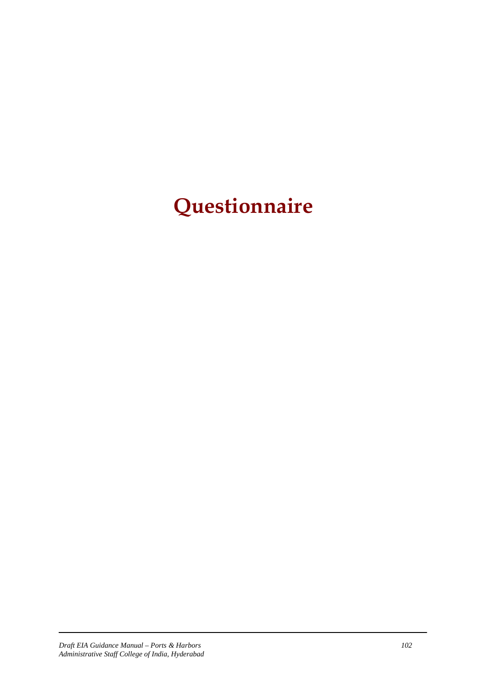# **Questionnaire**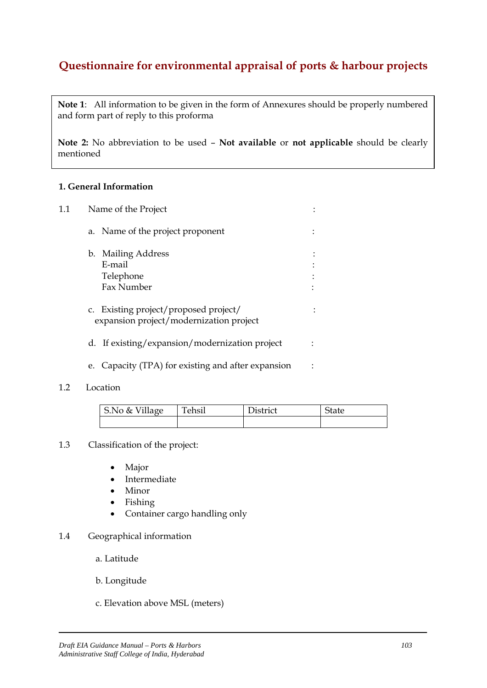# **Questionnaire for environmental appraisal of ports & harbour projects**

**Note 1**: All information to be given in the form of Annexures should be properly numbered and form part of reply to this proforma

**Note 2:** No abbreviation to be used – **Not available** or **not applicable** should be clearly mentioned

#### **1. General Information**

| 1.1 | Name of the Project                                                              |  |
|-----|----------------------------------------------------------------------------------|--|
|     | a. Name of the project proponent                                                 |  |
|     | b. Mailing Address<br>E-mail<br>Telephone<br>Fax Number                          |  |
|     | c. Existing project/proposed project/<br>expansion project/modernization project |  |
|     | d. If existing/expansion/modernization project                                   |  |
|     | Capacity (TPA) for existing and after expansion<br>e.                            |  |

#### 1.2 Location

| S.No & Village | Tehsil | District | State |
|----------------|--------|----------|-------|
|                |        |          |       |

#### 1.3 Classification of the project:

- Major
- Intermediate
- Minor
- Fishing
- Container cargo handling only
- 1.4 Geographical information
	- a. Latitude
	- b. Longitude
	- c. Elevation above MSL (meters)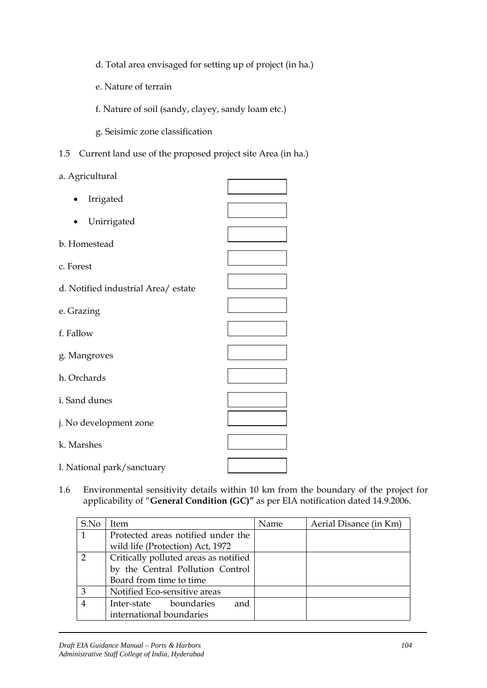d. Total area envisaged for setting up of project (in ha.)

e. Nature of terrain

f. Nature of soil (sandy, clayey, sandy loam etc.)

g. Seisimic zone classification

1.5 Current land use of the proposed project site Area (in ha.)

a. Agricultural

1.6 Environmental sensitivity details within 10 km from the boundary of the project for applicability of "**General Condition (GC)"** as per EIA notification dated 14.9.2006.

| S.No           | Item                                  | Name | Aerial Disance (in Km) |
|----------------|---------------------------------------|------|------------------------|
| $\mathbf{1}$   | Protected areas notified under the    |      |                        |
|                | wild life (Protection) Act, 1972      |      |                        |
| $\mathcal{D}$  | Critically polluted areas as notified |      |                        |
|                | by the Central Pollution Control      |      |                        |
|                | Board from time to time               |      |                        |
| 3              | Notified Eco-sensitive areas          |      |                        |
| $\overline{4}$ | boundaries<br>Inter-state<br>and      |      |                        |
|                | international boundaries              |      |                        |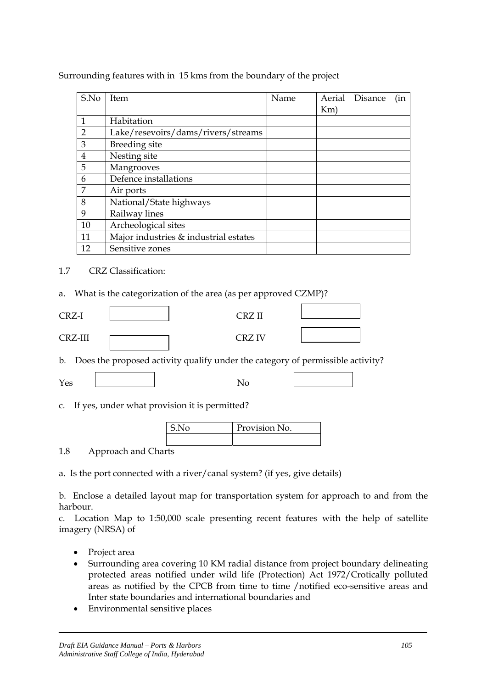| S.No           | Item                                  | Name |     | Aerial Disance | (in |
|----------------|---------------------------------------|------|-----|----------------|-----|
|                |                                       |      | Km) |                |     |
| $\mathbf{1}$   | Habitation                            |      |     |                |     |
| $\overline{2}$ | Lake/resevoirs/dams/rivers/streams    |      |     |                |     |
| 3              | Breeding site                         |      |     |                |     |
| $\overline{4}$ | Nesting site                          |      |     |                |     |
| 5              | Mangrooves                            |      |     |                |     |
| 6              | Defence installations                 |      |     |                |     |
| 7              | Air ports                             |      |     |                |     |
| 8              | National/State highways               |      |     |                |     |
| 9              | Railway lines                         |      |     |                |     |
| 10             | Archeological sites                   |      |     |                |     |
| 11             | Major industries & industrial estates |      |     |                |     |
| 12             | Sensitive zones                       |      |     |                |     |

Surrounding features with in 15 kms from the boundary of the project

#### 1.7 CRZ Classification:

a. What is the categorization of the area (as per approved CZMP)?

| CRZ-I   | CRZ II        |  |
|---------|---------------|--|
| CRZ-III | <b>CRZ IV</b> |  |

b. Does the proposed activity qualify under the category of permissible activity?

| ╮.<br>∸ |  |
|---------|--|
|---------|--|

c. If yes, under what provision it is permitted?

| 5.50 | Provision No. |
|------|---------------|
|      |               |

1.8 Approach and Charts

a. Is the port connected with a river/canal system? (if yes, give details)

b. Enclose a detailed layout map for transportation system for approach to and from the harbour.

c. Location Map to 1:50,000 scale presenting recent features with the help of satellite imagery (NRSA) of

- Project area
- Surrounding area covering 10 KM radial distance from project boundary delineating protected areas notified under wild life (Protection) Act 1972/Crotically polluted areas as notified by the CPCB from time to time /notified eco-sensitive areas and Inter state boundaries and international boundaries and
- Environmental sensitive places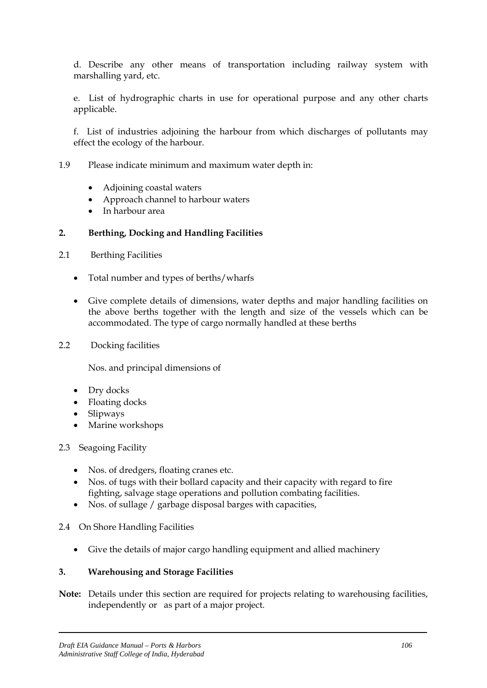d. Describe any other means of transportation including railway system with marshalling yard, etc.

e. List of hydrographic charts in use for operational purpose and any other charts applicable.

f. List of industries adjoining the harbour from which discharges of pollutants may effect the ecology of the harbour.

#### 1.9 Please indicate minimum and maximum water depth in:

- Adjoining coastal waters
- Approach channel to harbour waters
- In harbour area

#### **2. Berthing, Docking and Handling Facilities**

- 2.1 Berthing Facilities
	- Total number and types of berths/wharfs
	- Give complete details of dimensions, water depths and major handling facilities on the above berths together with the length and size of the vessels which can be accommodated. The type of cargo normally handled at these berths

#### 2.2 Docking facilities

Nos. and principal dimensions of

- Dry docks
- Floating docks
- Slipways
- Marine workshops
- 2.3 Seagoing Facility
	- Nos. of dredgers, floating cranes etc.
	- Nos. of tugs with their bollard capacity and their capacity with regard to fire fighting, salvage stage operations and pollution combating facilities.
	- Nos. of sullage / garbage disposal barges with capacities,
- 2.4 On Shore Handling Facilities
	- Give the details of major cargo handling equipment and allied machinery

#### **3. Warehousing and Storage Facilities**

**Note:** Details under this section are required for projects relating to warehousing facilities, independently or as part of a major project.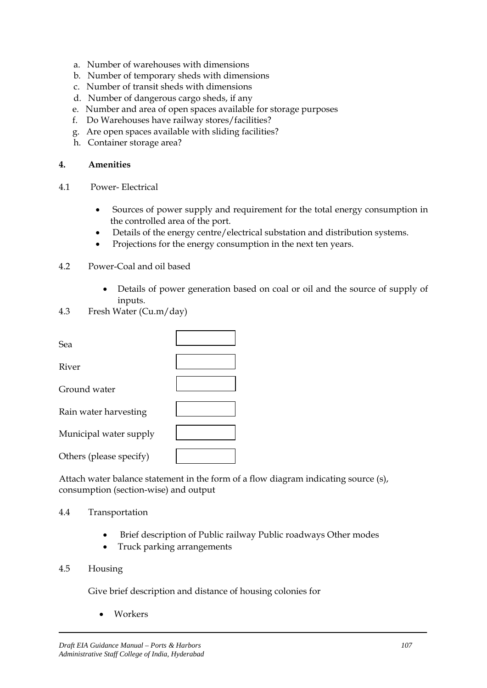- a. Number of warehouses with dimensions
- b. Number of temporary sheds with dimensions
- c. Number of transit sheds with dimensions
- d. Number of dangerous cargo sheds, if any
- e. Number and area of open spaces available for storage purposes
- f. Do Warehouses have railway stores/facilities?
- g. Are open spaces available with sliding facilities?
- h. Container storage area?

#### **4. Amenities**

- 4.1 Power- Electrical
	- Sources of power supply and requirement for the total energy consumption in the controlled area of the port.
	- Details of the energy centre/electrical substation and distribution systems.
	- Projections for the energy consumption in the next ten years.

#### 4.2 Power-Coal and oil based

- Details of power generation based on coal or oil and the source of supply of inputs.
- 4.3 Fresh Water (Cu.m/day)

| Sea                     |  |
|-------------------------|--|
| River                   |  |
| Ground water            |  |
| Rain water harvesting   |  |
| Municipal water supply  |  |
| Others (please specify) |  |

Attach water balance statement in the form of a flow diagram indicating source (s), consumption (section-wise) and output

#### 4.4 Transportation

- Brief description of Public railway Public roadways Other modes
- Truck parking arrangements

#### 4.5 Housing

Give brief description and distance of housing colonies for

• Workers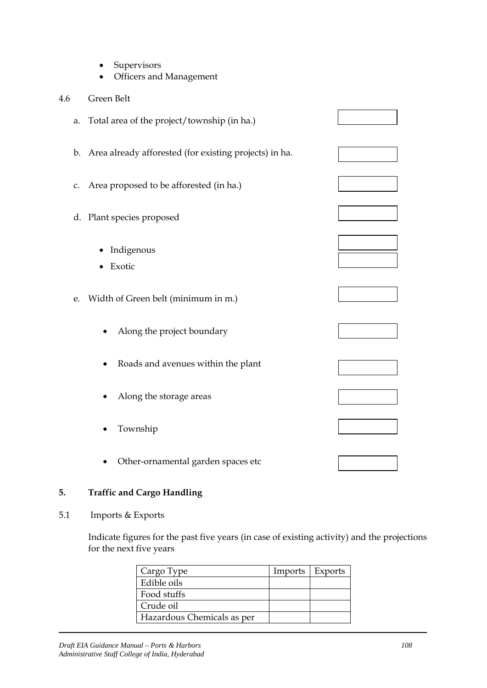- Supervisors
- Officers and Management

# 4.6 Green Belt

| a. | Total area of the project/township (in ha.)               |  |
|----|-----------------------------------------------------------|--|
|    | b. Area already afforested (for existing projects) in ha. |  |
|    | c. Area proposed to be afforested (in ha.)                |  |
|    | d. Plant species proposed                                 |  |
|    | Indigenous<br>Exotic                                      |  |
| e. | Width of Green belt (minimum in m.)                       |  |
|    | Along the project boundary                                |  |
|    | Roads and avenues within the plant                        |  |
|    | Along the storage areas                                   |  |
|    | Township                                                  |  |
|    | Other-ornamental garden spaces etc                        |  |

# **5. Traffic and Cargo Handling**

# 5.1 Imports & Exports

Indicate figures for the past five years (in case of existing activity) and the projections for the next five years

| Cargo Type                 | Imports   Exports |  |
|----------------------------|-------------------|--|
| Edible oils                |                   |  |
| Food stuffs                |                   |  |
| Crude oil                  |                   |  |
| Hazardous Chemicals as per |                   |  |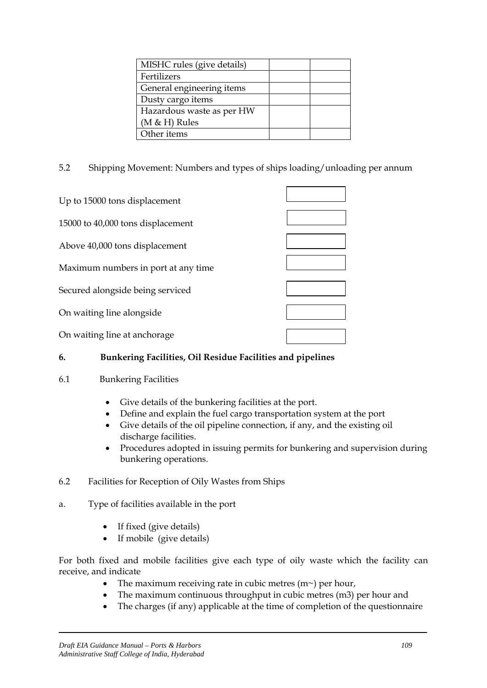| MISHC rules (give details) |  |
|----------------------------|--|
| Fertilizers                |  |
| General engineering items  |  |
| Dusty cargo items          |  |
| Hazardous waste as per HW  |  |
| $(M & H)$ Rules            |  |
| Other items                |  |

5.2 Shipping Movement: Numbers and types of ships loading/unloading per annum

| Up to 15000 tons displacement       |  |
|-------------------------------------|--|
|                                     |  |
| 15000 to 40,000 tons displacement   |  |
|                                     |  |
| Above 40,000 tons displacement      |  |
|                                     |  |
| Maximum numbers in port at any time |  |
|                                     |  |
| Secured alongside being serviced    |  |
|                                     |  |
| On waiting line alongside           |  |
|                                     |  |
| On waiting line at anchorage        |  |

# **6. Bunkering Facilities, Oil Residue Facilities and pipelines**

- 6.1 Bunkering Facilities
	- Give details of the bunkering facilities at the port.
	- Define and explain the fuel cargo transportation system at the port
	- Give details of the oil pipeline connection, if any, and the existing oil discharge facilities.
	- Procedures adopted in issuing permits for bunkering and supervision during bunkering operations.

# 6.2 Facilities for Reception of Oily Wastes from Ships

- a. Type of facilities available in the port
	- If fixed (give details)
	- If mobile (give details)

For both fixed and mobile facilities give each type of oily waste which the facility can receive, and indicate

- The maximum receiving rate in cubic metres  $(m<sub>></sub>)$  per hour,
- The maximum continuous throughput in cubic metres (m3) per hour and
- The charges (if any) applicable at the time of completion of the questionnaire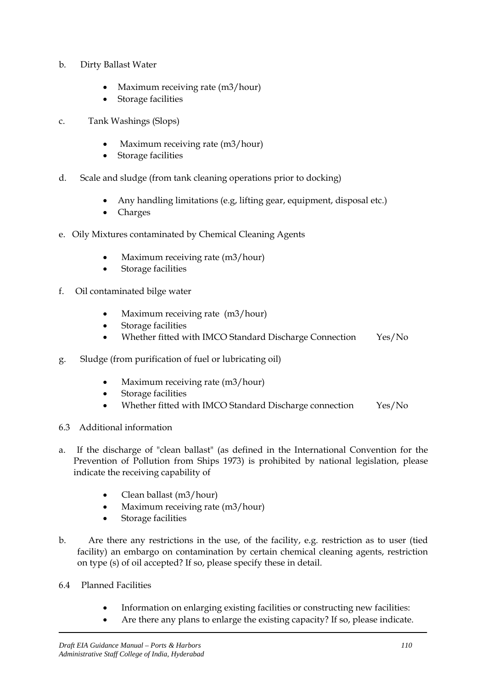- b. Dirty Ballast Water
	- Maximum receiving rate (m3/hour)
	- Storage facilities
- c. Tank Washings (Slops)
	- Maximum receiving rate (m3/hour)
	- Storage facilities
- d. Scale and sludge (from tank cleaning operations prior to docking)
	- Any handling limitations (e.g, lifting gear, equipment, disposal etc.)
	- Charges
- e. Oily Mixtures contaminated by Chemical Cleaning Agents
	- Maximum receiving rate (m3/hour)
	- Storage facilities
- f. Oil contaminated bilge water
	- Maximum receiving rate (m3/hour)
	- Storage facilities
	- Whether fitted with IMCO Standard Discharge Connection Yes/No
- g. Sludge (from purification of fuel or lubricating oil)
	- Maximum receiving rate (m3/hour)
	- Storage facilities
	- Whether fitted with IMCO Standard Discharge connection Yes/No
- 6.3 Additional information
- a. If the discharge of "clean ballast" (as defined in the International Convention for the Prevention of Pollution from Ships 1973) is prohibited by national legislation, please indicate the receiving capability of
	- Clean ballast (m3/hour)
	- Maximum receiving rate (m3/hour)
	- Storage facilities
- b. Are there any restrictions in the use, of the facility, e.g. restriction as to user (tied facility) an embargo on contamination by certain chemical cleaning agents, restriction on type (s) of oil accepted? If so, please specify these in detail.
- 6.4 Planned Facilities
	- Information on enlarging existing facilities or constructing new facilities:
	- Are there any plans to enlarge the existing capacity? If so, please indicate.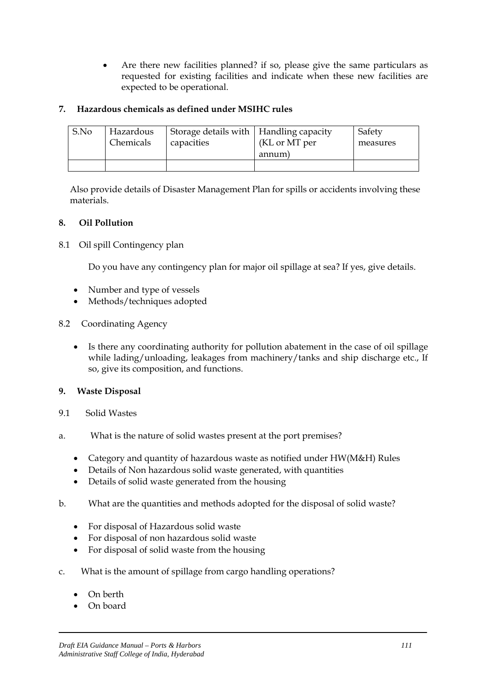• Are there new facilities planned? if so, please give the same particulars as requested for existing facilities and indicate when these new facilities are expected to be operational.

# **7. Hazardous chemicals as defined under MSIHC rules**

| S.No | Hazardous | Storage details with $\vert$ Handling capacity | (KL or MT per | Safety   |
|------|-----------|------------------------------------------------|---------------|----------|
|      | Chemicals | capacities                                     | annum)        | measures |
|      |           |                                                |               |          |

Also provide details of Disaster Management Plan for spills or accidents involving these materials.

### **8. Oil Pollution**

8.1 Oil spill Contingency plan

Do you have any contingency plan for major oil spillage at sea? If yes, give details.

- Number and type of vessels
- Methods/techniques adopted
- 8.2 Coordinating Agency
	- Is there any coordinating authority for pollution abatement in the case of oil spillage while lading/unloading, leakages from machinery/tanks and ship discharge etc., If so, give its composition, and functions.

#### **9. Waste Disposal**

- 9.1 Solid Wastes
- a. What is the nature of solid wastes present at the port premises?
	- Category and quantity of hazardous waste as notified under HW(M&H) Rules
	- Details of Non hazardous solid waste generated, with quantities
	- Details of solid waste generated from the housing
- b. What are the quantities and methods adopted for the disposal of solid waste?
	- For disposal of Hazardous solid waste
	- For disposal of non hazardous solid waste
	- For disposal of solid waste from the housing
- c. What is the amount of spillage from cargo handling operations?
	- On berth
	- On board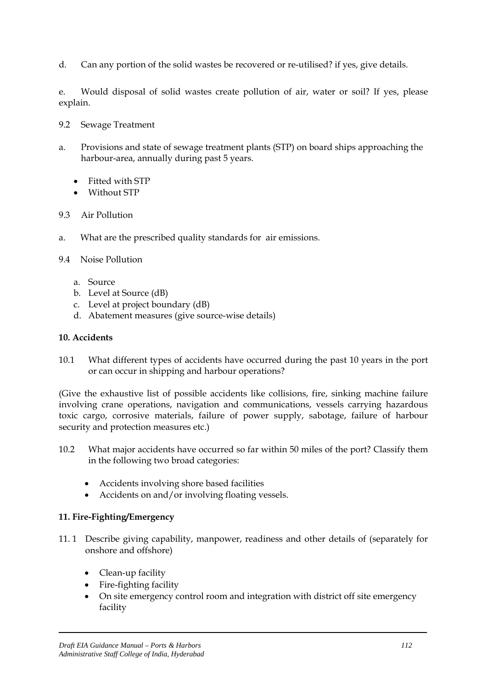d. Can any portion of the solid wastes be recovered or re-utilised? if yes, give details.

e. Would disposal of solid wastes create pollution of air, water or soil? If yes, please explain.

- 9.2 Sewage Treatment
- a. Provisions and state of sewage treatment plants (STP) on board ships approaching the harbour-area, annually during past 5 years.
	- Fitted with STP
	- Without STP
- 9.3 Air Pollution
- a. What are the prescribed quality standards for air emissions.
- 9.4 Noise Pollution
	- a. Source
	- b. Level at Source (dB)
	- c. Level at project boundary (dB)
	- d. Abatement measures (give source-wise details)

#### **10. Accidents**

10.1 What different types of accidents have occurred during the past 10 years in the port or can occur in shipping and harbour operations?

(Give the exhaustive list of possible accidents like collisions, fire, sinking machine failure involving crane operations, navigation and communications, vessels carrying hazardous toxic cargo, corrosive materials, failure of power supply, sabotage, failure of harbour security and protection measures etc.)

- 10.2 What major accidents have occurred so far within 50 miles of the port? Classify them in the following two broad categories:
	- Accidents involving shore based facilities
	- Accidents on and/or involving floating vessels.

#### **11. Fire-Fighting/Emergency**

- 11. 1 Describe giving capability, manpower, readiness and other details of (separately for onshore and offshore)
	- Clean-up facility
	- Fire-fighting facility
	- On site emergency control room and integration with district off site emergency facility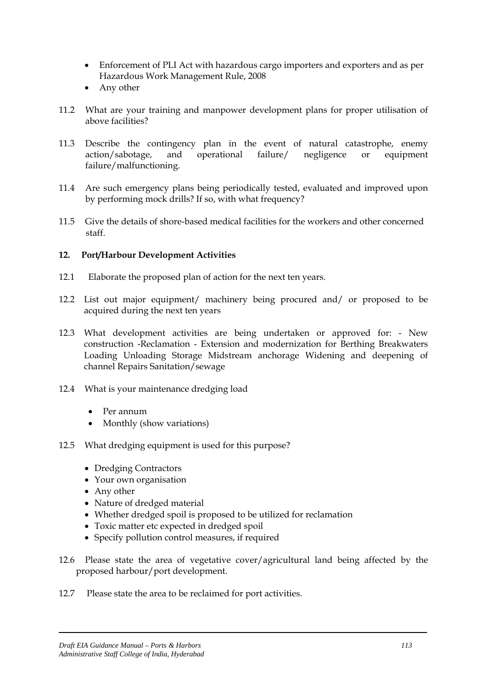- Enforcement of PLI Act with hazardous cargo importers and exporters and as per Hazardous Work Management Rule, 2008
- Any other
- 11.2 What are your training and manpower development plans for proper utilisation of above facilities?
- 11.3 Describe the contingency plan in the event of natural catastrophe, enemy action/sabotage, and operational failure/ negligence or equipment failure/malfunctioning.
- 11.4 Are such emergency plans being periodically tested, evaluated and improved upon by performing mock drills? If so, with what frequency?
- 11.5 Give the details of shore-based medical facilities for the workers and other concerned staff.

# **12. Port/Harbour Development Activities**

- 12.1 Elaborate the proposed plan of action for the next ten years.
- 12.2 List out major equipment/ machinery being procured and/ or proposed to be acquired during the next ten years
- 12.3 What development activities are being undertaken or approved for: New construction -Reclamation - Extension and modernization for Berthing Breakwaters Loading Unloading Storage Midstream anchorage Widening and deepening of channel Repairs Sanitation/sewage
- 12.4 What is your maintenance dredging load
	- Per annum
	- Monthly (show variations)
- 12.5 What dredging equipment is used for this purpose?
	- Dredging Contractors
	- Your own organisation
	- Any other
	- Nature of dredged material
	- Whether dredged spoil is proposed to be utilized for reclamation
	- Toxic matter etc expected in dredged spoil
	- Specify pollution control measures, if required
- 12.6 Please state the area of vegetative cover/agricultural land being affected by the proposed harbour/port development.
- 12.7 Please state the area to be reclaimed for port activities.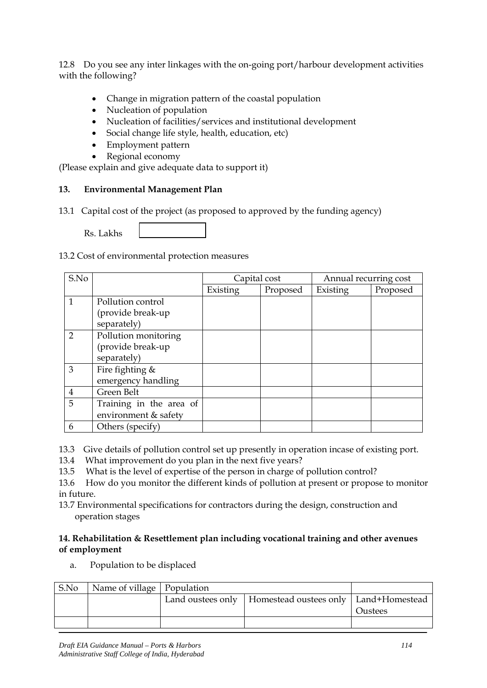12.8 Do you see any inter linkages with the on-going port/harbour development activities with the following?

- Change in migration pattern of the coastal population
- Nucleation of population
- Nucleation of facilities/services and institutional development
- Social change life style, health, education, etc)
- Employment pattern
- Regional economy

(Please explain and give adequate data to support it)

### **13. Environmental Management Plan**

13.1 Capital cost of the project (as proposed to approved by the funding agency)

Rs. Lakhs

13.2 Cost of environmental protection measures

| S.No           |                         | Capital cost |          | Annual recurring cost |          |  |
|----------------|-------------------------|--------------|----------|-----------------------|----------|--|
|                |                         | Existing     | Proposed | Existing              | Proposed |  |
| 1              | Pollution control       |              |          |                       |          |  |
|                | (provide break-up       |              |          |                       |          |  |
|                | separately)             |              |          |                       |          |  |
| $\overline{2}$ | Pollution monitoring    |              |          |                       |          |  |
|                | (provide break-up       |              |          |                       |          |  |
|                | separately)             |              |          |                       |          |  |
| 3              | Fire fighting &         |              |          |                       |          |  |
|                | emergency handling      |              |          |                       |          |  |
| 4              | Green Belt              |              |          |                       |          |  |
| 5              | Training in the area of |              |          |                       |          |  |
|                | environment & safety    |              |          |                       |          |  |
| 6              | Others (specify)        |              |          |                       |          |  |

13.3 Give details of pollution control set up presently in operation incase of existing port.

- 13.4 What improvement do you plan in the next five years?
- 13.5 What is the level of expertise of the person in charge of pollution control?

13.6 How do you monitor the different kinds of pollution at present or propose to monitor in future.

13.7 Environmental specifications for contractors during the design, construction and operation stages

### **14. Rehabilitation & Resettlement plan including vocational training and other avenues of employment**

a. Population to be displaced

| S.No | Name of village   Population |  |                                                             |         |
|------|------------------------------|--|-------------------------------------------------------------|---------|
|      |                              |  | Land oustees only   Homestead oustees only   Land+Homestead |         |
|      |                              |  |                                                             | Oustees |
|      |                              |  |                                                             |         |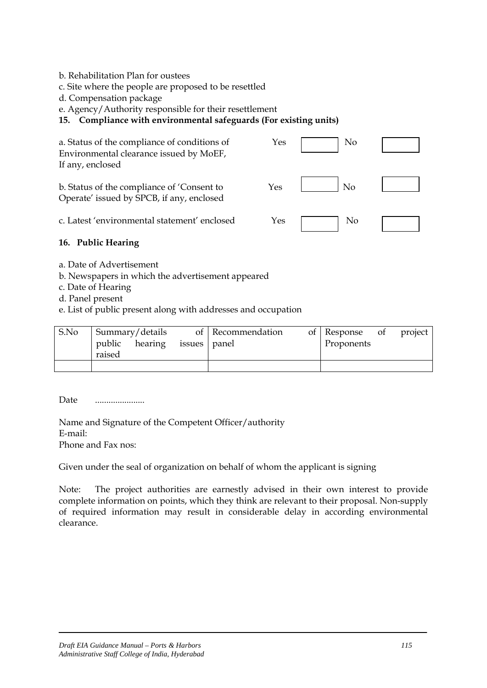b. Rehabilitation Plan for oustees

c. Site where the people are proposed to be resettled

d. Compensation package

e. Agency/Authority responsible for their resettlement

# **15. Compliance with environmental safeguards (For existing units)**

| a. Status of the compliance of conditions of<br>Environmental clearance issued by MoEF,<br>If any, enclosed | Yes | No             |  |
|-------------------------------------------------------------------------------------------------------------|-----|----------------|--|
| b. Status of the compliance of 'Consent to<br>Operate' issued by SPCB, if any, enclosed                     | Yes | No             |  |
| c. Latest 'environmental statement' enclosed                                                                | Yes | N <sub>o</sub> |  |

### **16. Public Hearing**

- a. Date of Advertisement
- b. Newspapers in which the advertisement appeared
- c. Date of Hearing
- d. Panel present

e. List of public present along with addresses and occupation

| S.No | Summary/details<br>public hearing issues panel<br>raised |  | of Recommendation | of Response of<br>Proponents | project |
|------|----------------------------------------------------------|--|-------------------|------------------------------|---------|
|      |                                                          |  |                   |                              |         |

Date ........................

Name and Signature of the Competent Officer/authority E-mail: Phone and Fax nos:

Given under the seal of organization on behalf of whom the applicant is signing

Note: The project authorities are earnestly advised in their own interest to provide complete information on points, which they think are relevant to their proposal. Non-supply of required information may result in considerable delay in according environmental clearance.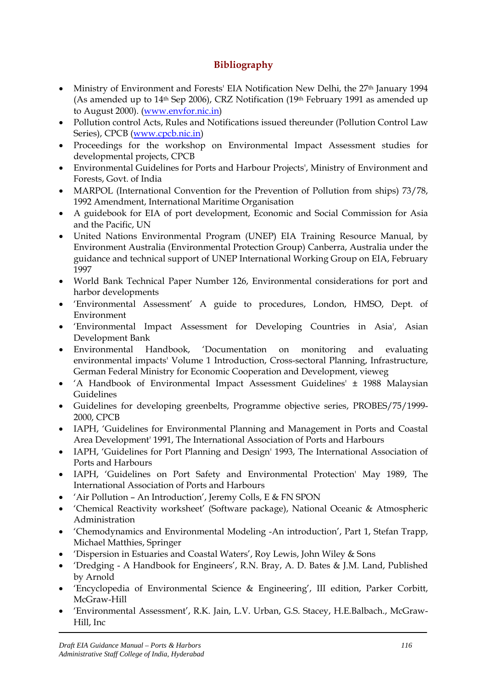# **Bibliography**

- Ministry of Environment and Forests' EIA Notification New Delhi, the 27<sup>th</sup> January 1994 (As amended up to 14th Sep 2006), CRZ Notification (19th February 1991 as amended up to August 2000). [\(www.envfor.nic.in\)](http://www.envfor.nic.in/)
- Pollution control Acts, Rules and Notifications issued thereunder (Pollution Control Law Series), CPCB [\(www.cpcb.nic.in](http://www.cpcb.nic.in/))
- Proceedings for the workshop on Environmental Impact Assessment studies for developmental projects, CPCB
- Environmental Guidelines for Ports and Harbour Projects', Ministry of Environment and Forests, Govt. of India
- MARPOL (International Convention for the Prevention of Pollution from ships) 73/78, 1992 Amendment, International Maritime Organisation
- A guidebook for EIA of port development, Economic and Social Commission for Asia and the Pacific, UN
- United Nations Environmental Program (UNEP) EIA Training Resource Manual, by Environment Australia (Environmental Protection Group) Canberra, Australia under the guidance and technical support of UNEP International Working Group on EIA, February 1997
- World Bank Technical Paper Number 126, Environmental considerations for port and harbor developments
- 'Environmental Assessment' A guide to procedures, London, HMSO, Dept. of Environment
- 'Environmental Impact Assessment for Developing Countries in Asia', Asian Development Bank
- Environmental Handbook, 'Documentation on monitoring and evaluating environmental impacts' Volume 1 Introduction, Cross-sectoral Planning, Infrastructure, German Federal Ministry for Economic Cooperation and Development, vieweg
- 'A Handbook of Environmental Impact Assessment Guidelines' ± 1988 Malaysian Guidelines
- Guidelines for developing greenbelts, Programme objective series, PROBES/75/1999- 2000, CPCB
- IAPH, 'Guidelines for Environmental Planning and Management in Ports and Coastal Area Development' 1991, The International Association of Ports and Harbours
- IAPH, 'Guidelines for Port Planning and Design' 1993, The International Association of Ports and Harbours
- IAPH, 'Guidelines on Port Safety and Environmental Protection' May 1989, The International Association of Ports and Harbours
- 'Air Pollution An Introduction', Jeremy Colls, E & FN SPON
- 'Chemical Reactivity worksheet' (Software package), National Oceanic & Atmospheric Administration
- 'Chemodynamics and Environmental Modeling -An introduction', Part 1, Stefan Trapp, Michael Matthies, Springer
- 'Dispersion in Estuaries and Coastal Waters', Roy Lewis, John Wiley & Sons
- 'Dredging A Handbook for Engineers', R.N. Bray, A. D. Bates & J.M. Land, Published by Arnold
- 'Encyclopedia of Environmental Science & Engineering', III edition, Parker Corbitt, McGraw-Hill
- 'Environmental Assessment', R.K. Jain, L.V. Urban, G.S. Stacey, H.E.Balbach., McGraw-Hill, Inc